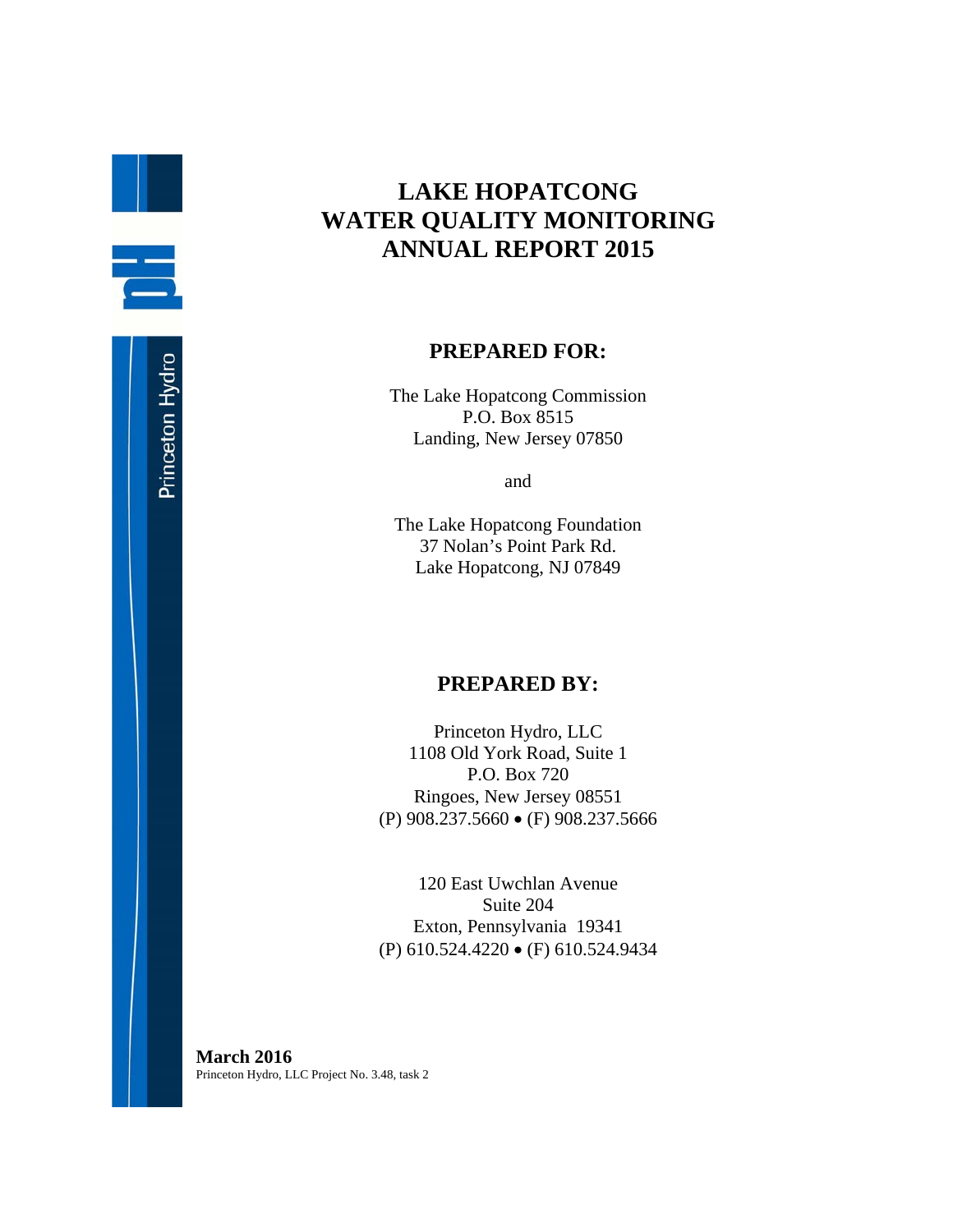## **LAKE HOPATCONG WATER QUALITY MONITORING ANNUAL REPORT 2015**

### **PREPARED FOR:**

The Lake Hopatcong Commission P.O. Box 8515 Landing, New Jersey 07850

and

The Lake Hopatcong Foundation 37 Nolan's Point Park Rd. Lake Hopatcong, NJ 07849

## **PREPARED BY:**

Princeton Hydro, LLC 1108 Old York Road, Suite 1 P.O. Box 720 Ringoes, New Jersey 08551 (P) 908.237.5660 (F) 908.237.5666

120 East Uwchlan Avenue Suite 204 Exton, Pennsylvania 19341 (P) 610.524.4220 (F) 610.524.9434

**March 2016**  Princeton Hydro, LLC Project No. 3.48, task 2

B.

 $\equiv$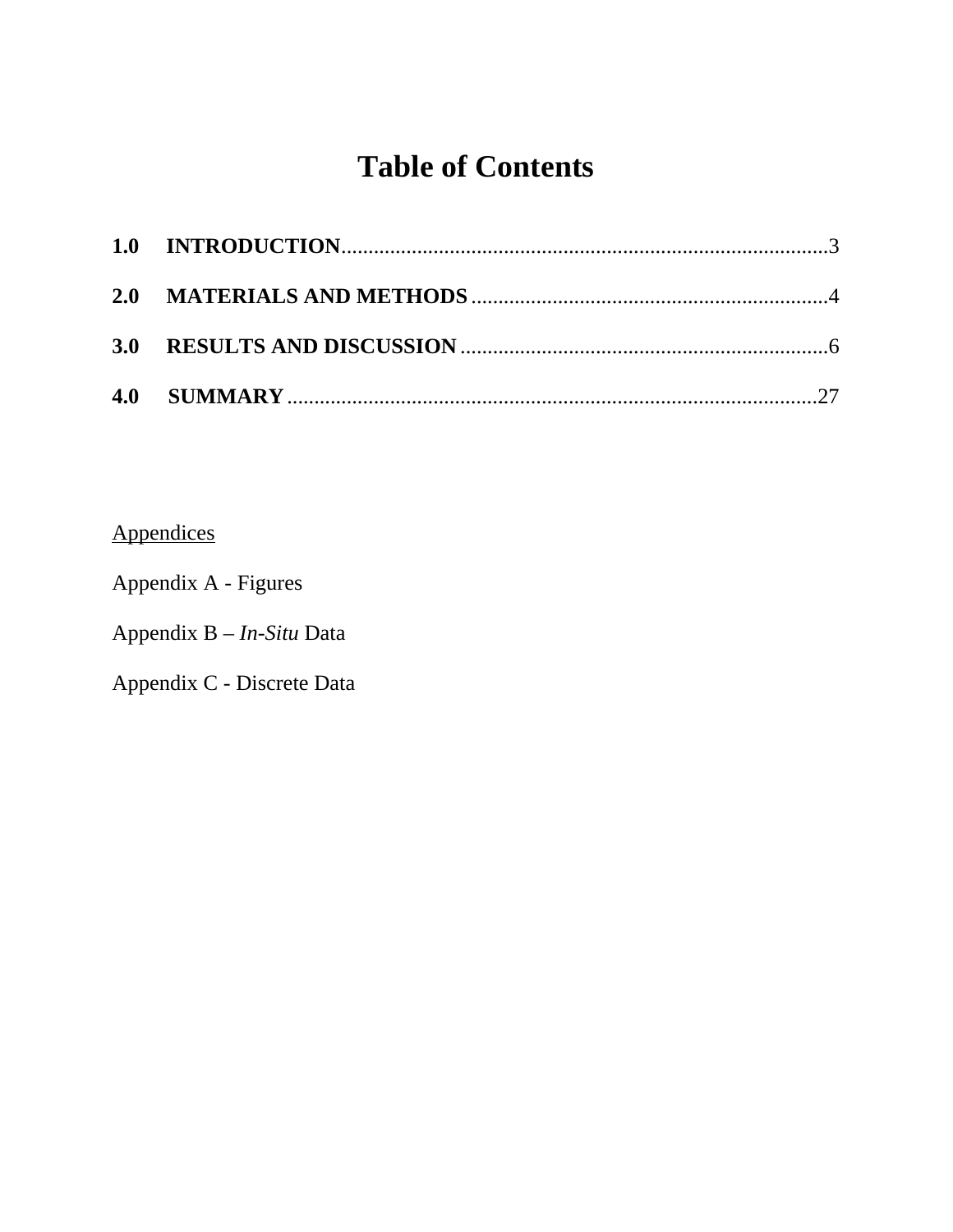# **Table of Contents**

Appendices

Appendix A - Figures

Appendix B – *In-Situ* Data

Appendix C - Discrete Data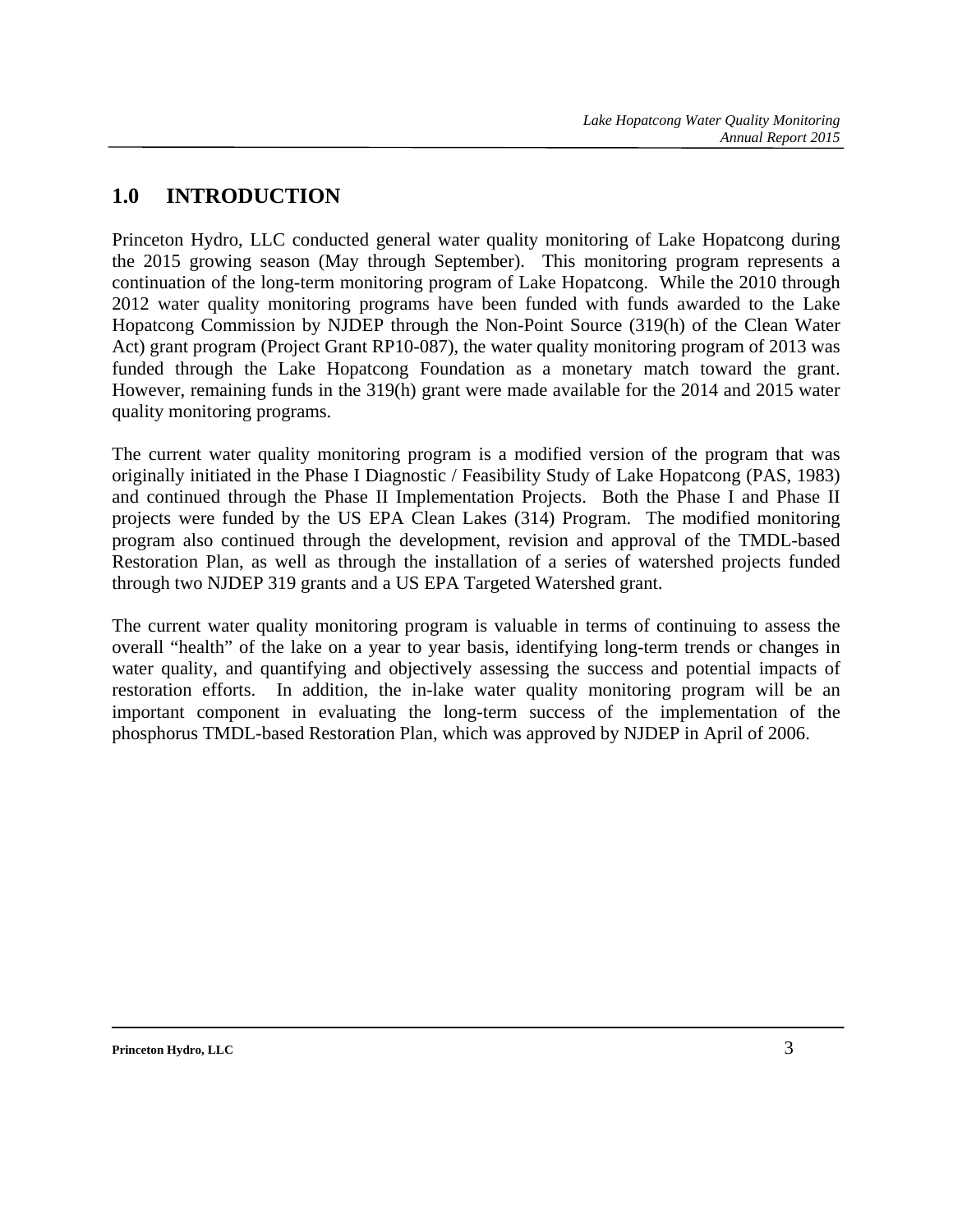## **1.0 INTRODUCTION**

Princeton Hydro, LLC conducted general water quality monitoring of Lake Hopatcong during the 2015 growing season (May through September). This monitoring program represents a continuation of the long-term monitoring program of Lake Hopatcong. While the 2010 through 2012 water quality monitoring programs have been funded with funds awarded to the Lake Hopatcong Commission by NJDEP through the Non-Point Source (319(h) of the Clean Water Act) grant program (Project Grant RP10-087), the water quality monitoring program of 2013 was funded through the Lake Hopatcong Foundation as a monetary match toward the grant. However, remaining funds in the 319(h) grant were made available for the 2014 and 2015 water quality monitoring programs.

The current water quality monitoring program is a modified version of the program that was originally initiated in the Phase I Diagnostic / Feasibility Study of Lake Hopatcong (PAS, 1983) and continued through the Phase II Implementation Projects. Both the Phase I and Phase II projects were funded by the US EPA Clean Lakes (314) Program. The modified monitoring program also continued through the development, revision and approval of the TMDL-based Restoration Plan, as well as through the installation of a series of watershed projects funded through two NJDEP 319 grants and a US EPA Targeted Watershed grant.

The current water quality monitoring program is valuable in terms of continuing to assess the overall "health" of the lake on a year to year basis, identifying long-term trends or changes in water quality, and quantifying and objectively assessing the success and potential impacts of restoration efforts. In addition, the in-lake water quality monitoring program will be an important component in evaluating the long-term success of the implementation of the phosphorus TMDL-based Restoration Plan, which was approved by NJDEP in April of 2006.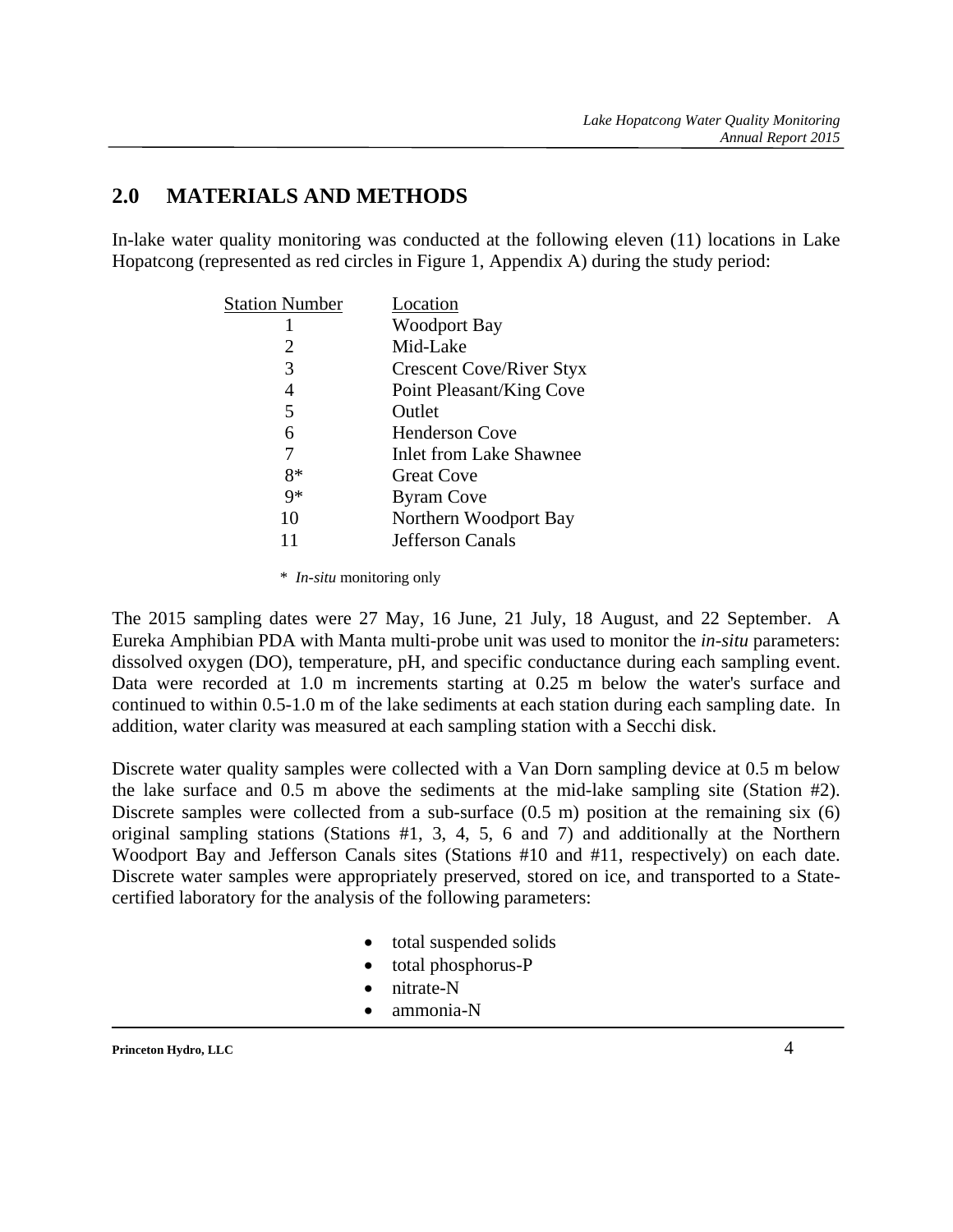## **2.0 MATERIALS AND METHODS**

In-lake water quality monitoring was conducted at the following eleven (11) locations in Lake Hopatcong (represented as red circles in Figure 1, Appendix A) during the study period:

| Location                        |
|---------------------------------|
| <b>Woodport Bay</b>             |
| Mid-Lake                        |
| <b>Crescent Cove/River Styx</b> |
| Point Pleasant/King Cove        |
| Outlet                          |
| <b>Henderson Cove</b>           |
| <b>Inlet from Lake Shawnee</b>  |
| <b>Great Cove</b>               |
| <b>Byram Cove</b>               |
| Northern Woodport Bay           |
| Jefferson Canals                |
|                                 |

\* *In-situ* monitoring only

The 2015 sampling dates were 27 May, 16 June, 21 July, 18 August, and 22 September. A Eureka Amphibian PDA with Manta multi-probe unit was used to monitor the *in-situ* parameters: dissolved oxygen (DO), temperature, pH, and specific conductance during each sampling event. Data were recorded at 1.0 m increments starting at 0.25 m below the water's surface and continued to within 0.5-1.0 m of the lake sediments at each station during each sampling date. In addition, water clarity was measured at each sampling station with a Secchi disk.

Discrete water quality samples were collected with a Van Dorn sampling device at 0.5 m below the lake surface and 0.5 m above the sediments at the mid-lake sampling site (Station #2). Discrete samples were collected from a sub-surface (0.5 m) position at the remaining six (6) original sampling stations (Stations #1, 3, 4, 5, 6 and 7) and additionally at the Northern Woodport Bay and Jefferson Canals sites (Stations #10 and #11, respectively) on each date. Discrete water samples were appropriately preserved, stored on ice, and transported to a Statecertified laboratory for the analysis of the following parameters:

- total suspended solids
- total phosphorus-P
- nitrate-N
- ammonia-N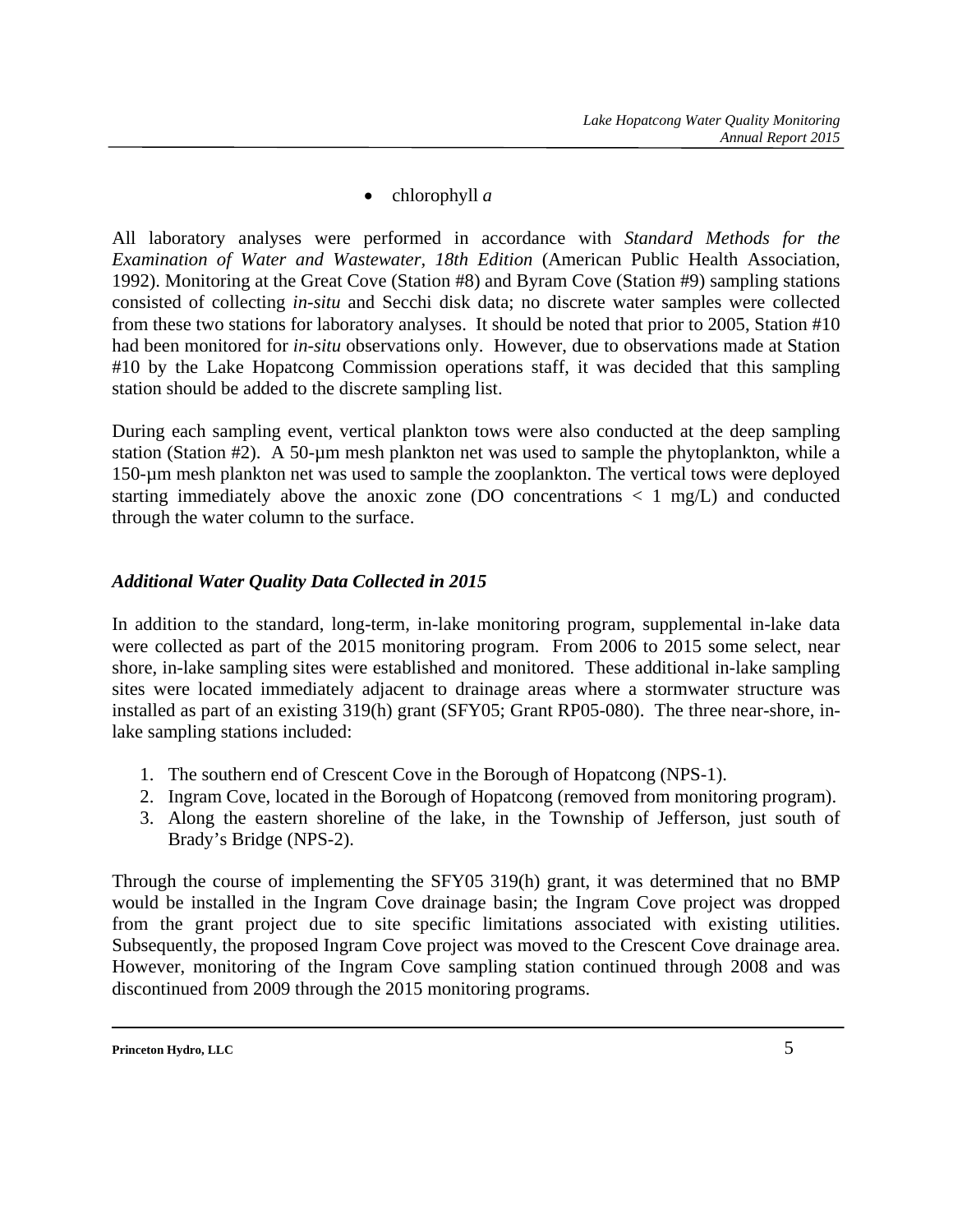• chlorophyll *a* 

All laboratory analyses were performed in accordance with *Standard Methods for the Examination of Water and Wastewater, 18th Edition* (American Public Health Association, 1992). Monitoring at the Great Cove (Station #8) and Byram Cove (Station #9) sampling stations consisted of collecting *in-situ* and Secchi disk data; no discrete water samples were collected from these two stations for laboratory analyses. It should be noted that prior to 2005, Station #10 had been monitored for *in-situ* observations only. However, due to observations made at Station #10 by the Lake Hopatcong Commission operations staff, it was decided that this sampling station should be added to the discrete sampling list.

During each sampling event, vertical plankton tows were also conducted at the deep sampling station (Station #2). A 50-µm mesh plankton net was used to sample the phytoplankton, while a 150-µm mesh plankton net was used to sample the zooplankton. The vertical tows were deployed starting immediately above the anoxic zone (DO concentrations  $\langle 1 \text{ mg/L} \rangle$  and conducted through the water column to the surface.

### *Additional Water Quality Data Collected in 2015*

In addition to the standard, long-term, in-lake monitoring program, supplemental in-lake data were collected as part of the 2015 monitoring program. From 2006 to 2015 some select, near shore, in-lake sampling sites were established and monitored. These additional in-lake sampling sites were located immediately adjacent to drainage areas where a stormwater structure was installed as part of an existing 319(h) grant (SFY05; Grant RP05-080). The three near-shore, inlake sampling stations included:

- 1. The southern end of Crescent Cove in the Borough of Hopatcong (NPS-1).
- 2. Ingram Cove, located in the Borough of Hopatcong (removed from monitoring program).
- 3. Along the eastern shoreline of the lake, in the Township of Jefferson, just south of Brady's Bridge (NPS-2).

Through the course of implementing the SFY05 319(h) grant, it was determined that no BMP would be installed in the Ingram Cove drainage basin; the Ingram Cove project was dropped from the grant project due to site specific limitations associated with existing utilities. Subsequently, the proposed Ingram Cove project was moved to the Crescent Cove drainage area. However, monitoring of the Ingram Cove sampling station continued through 2008 and was discontinued from 2009 through the 2015 monitoring programs.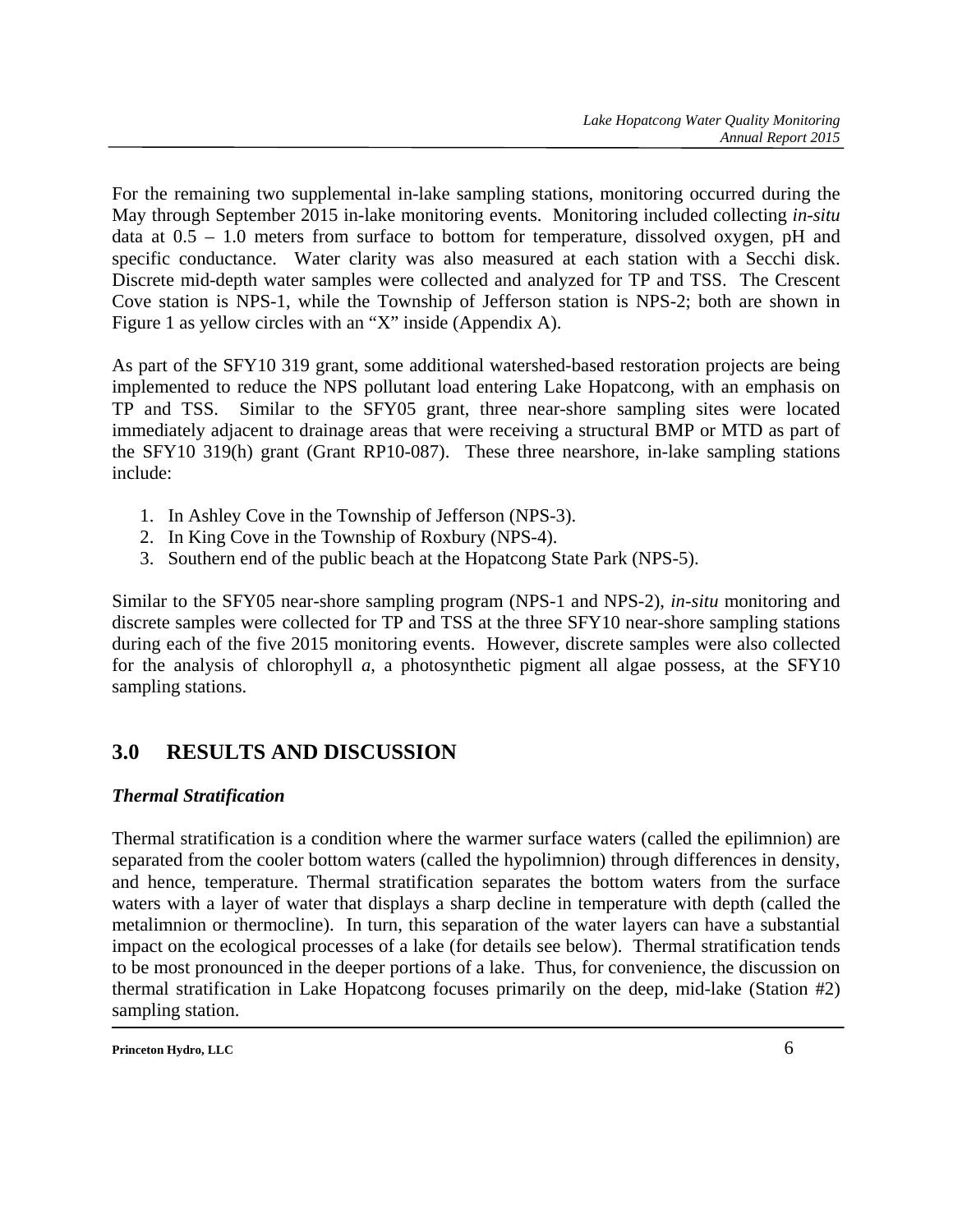For the remaining two supplemental in-lake sampling stations, monitoring occurred during the May through September 2015 in-lake monitoring events. Monitoring included collecting *in-situ* data at 0.5 – 1.0 meters from surface to bottom for temperature, dissolved oxygen, pH and specific conductance. Water clarity was also measured at each station with a Secchi disk. Discrete mid-depth water samples were collected and analyzed for TP and TSS. The Crescent Cove station is NPS-1, while the Township of Jefferson station is NPS-2; both are shown in Figure 1 as yellow circles with an "X" inside (Appendix A).

As part of the SFY10 319 grant, some additional watershed-based restoration projects are being implemented to reduce the NPS pollutant load entering Lake Hopatcong, with an emphasis on TP and TSS. Similar to the SFY05 grant, three near-shore sampling sites were located immediately adjacent to drainage areas that were receiving a structural BMP or MTD as part of the SFY10 319(h) grant (Grant RP10-087). These three nearshore, in-lake sampling stations include:

- 1. In Ashley Cove in the Township of Jefferson (NPS-3).
- 2. In King Cove in the Township of Roxbury (NPS-4).
- 3. Southern end of the public beach at the Hopatcong State Park (NPS-5).

Similar to the SFY05 near-shore sampling program (NPS-1 and NPS-2), *in-situ* monitoring and discrete samples were collected for TP and TSS at the three SFY10 near-shore sampling stations during each of the five 2015 monitoring events. However, discrete samples were also collected for the analysis of chlorophyll *a*, a photosynthetic pigment all algae possess, at the SFY10 sampling stations.

## **3.0 RESULTS AND DISCUSSION**

## *Thermal Stratification*

Thermal stratification is a condition where the warmer surface waters (called the epilimnion) are separated from the cooler bottom waters (called the hypolimnion) through differences in density, and hence, temperature. Thermal stratification separates the bottom waters from the surface waters with a layer of water that displays a sharp decline in temperature with depth (called the metalimnion or thermocline). In turn, this separation of the water layers can have a substantial impact on the ecological processes of a lake (for details see below). Thermal stratification tends to be most pronounced in the deeper portions of a lake. Thus, for convenience, the discussion on thermal stratification in Lake Hopatcong focuses primarily on the deep, mid-lake (Station #2) sampling station.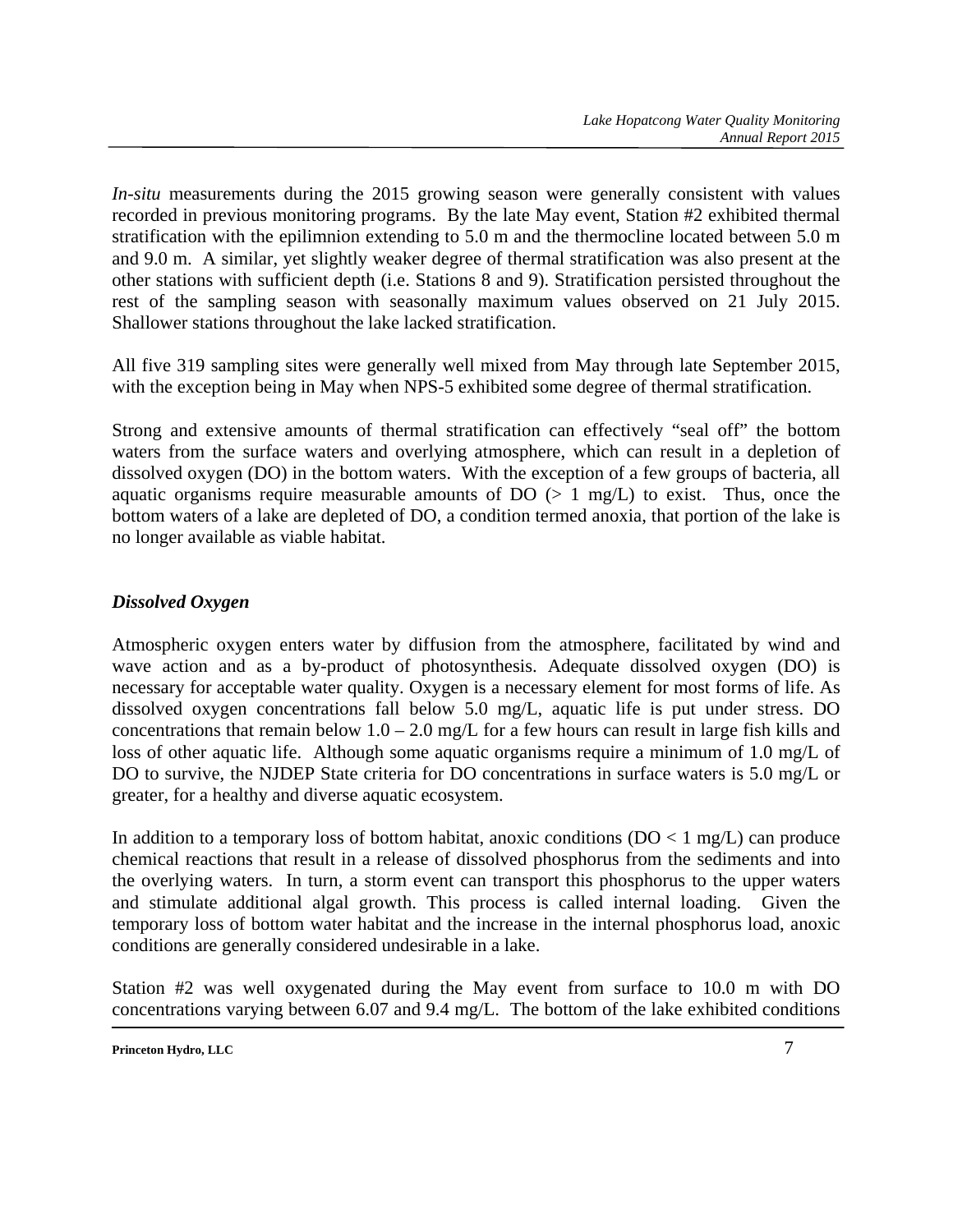*In-situ* measurements during the 2015 growing season were generally consistent with values recorded in previous monitoring programs. By the late May event, Station #2 exhibited thermal stratification with the epilimnion extending to 5.0 m and the thermocline located between 5.0 m and 9.0 m. A similar, yet slightly weaker degree of thermal stratification was also present at the other stations with sufficient depth (i.e. Stations 8 and 9). Stratification persisted throughout the rest of the sampling season with seasonally maximum values observed on 21 July 2015. Shallower stations throughout the lake lacked stratification.

All five 319 sampling sites were generally well mixed from May through late September 2015, with the exception being in May when NPS-5 exhibited some degree of thermal stratification.

Strong and extensive amounts of thermal stratification can effectively "seal off" the bottom waters from the surface waters and overlying atmosphere, which can result in a depletion of dissolved oxygen (DO) in the bottom waters. With the exception of a few groups of bacteria, all aquatic organisms require measurable amounts of  $DO \left( > 1 \text{ mg/L} \right)$  to exist. Thus, once the bottom waters of a lake are depleted of DO, a condition termed anoxia, that portion of the lake is no longer available as viable habitat.

## *Dissolved Oxygen*

Atmospheric oxygen enters water by diffusion from the atmosphere, facilitated by wind and wave action and as a by-product of photosynthesis. Adequate dissolved oxygen (DO) is necessary for acceptable water quality. Oxygen is a necessary element for most forms of life. As dissolved oxygen concentrations fall below 5.0 mg/L, aquatic life is put under stress. DO concentrations that remain below  $1.0 - 2.0$  mg/L for a few hours can result in large fish kills and loss of other aquatic life. Although some aquatic organisms require a minimum of 1.0 mg/L of DO to survive, the NJDEP State criteria for DO concentrations in surface waters is 5.0 mg/L or greater, for a healthy and diverse aquatic ecosystem.

In addition to a temporary loss of bottom habitat, anoxic conditions  $(DO < 1 mg/L)$  can produce chemical reactions that result in a release of dissolved phosphorus from the sediments and into the overlying waters. In turn, a storm event can transport this phosphorus to the upper waters and stimulate additional algal growth. This process is called internal loading. Given the temporary loss of bottom water habitat and the increase in the internal phosphorus load, anoxic conditions are generally considered undesirable in a lake.

Station #2 was well oxygenated during the May event from surface to 10.0 m with DO concentrations varying between 6.07 and 9.4 mg/L. The bottom of the lake exhibited conditions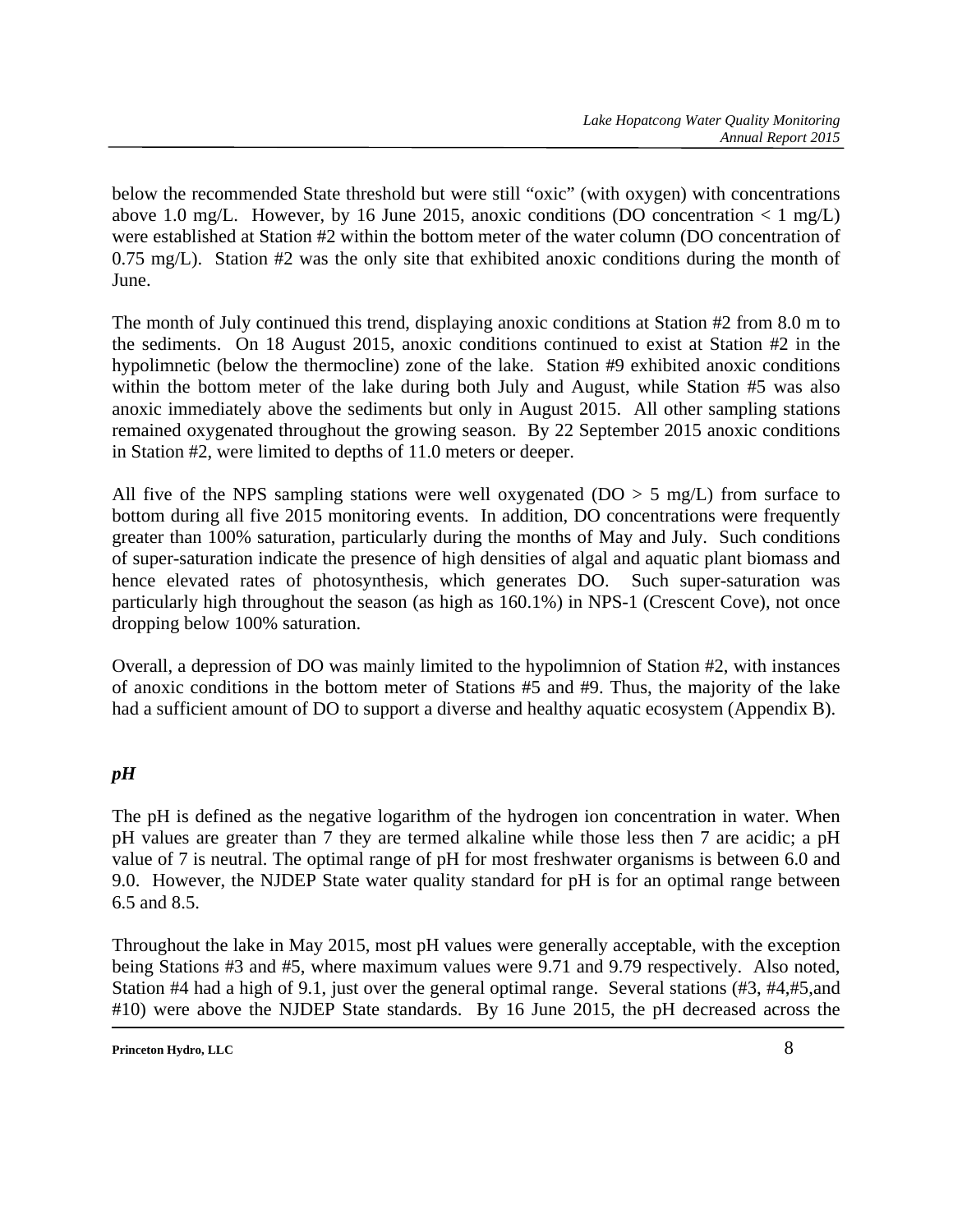below the recommended State threshold but were still "oxic" (with oxygen) with concentrations above 1.0 mg/L. However, by 16 June 2015, anoxic conditions (DO concentration  $\langle 1 \text{ mg/L}}$ ) were established at Station #2 within the bottom meter of the water column (DO concentration of 0.75 mg/L). Station #2 was the only site that exhibited anoxic conditions during the month of June.

The month of July continued this trend, displaying anoxic conditions at Station #2 from 8.0 m to the sediments. On 18 August 2015, anoxic conditions continued to exist at Station #2 in the hypolimnetic (below the thermocline) zone of the lake. Station #9 exhibited anoxic conditions within the bottom meter of the lake during both July and August, while Station #5 was also anoxic immediately above the sediments but only in August 2015. All other sampling stations remained oxygenated throughout the growing season. By 22 September 2015 anoxic conditions in Station #2, were limited to depths of 11.0 meters or deeper.

All five of the NPS sampling stations were well oxygenated ( $DO > 5$  mg/L) from surface to bottom during all five 2015 monitoring events. In addition, DO concentrations were frequently greater than 100% saturation, particularly during the months of May and July. Such conditions of super-saturation indicate the presence of high densities of algal and aquatic plant biomass and hence elevated rates of photosynthesis, which generates DO. Such super-saturation was particularly high throughout the season (as high as 160.1%) in NPS-1 (Crescent Cove), not once dropping below 100% saturation.

Overall, a depression of DO was mainly limited to the hypolimnion of Station #2, with instances of anoxic conditions in the bottom meter of Stations #5 and #9. Thus, the majority of the lake had a sufficient amount of DO to support a diverse and healthy aquatic ecosystem (Appendix B).

## *pH*

The pH is defined as the negative logarithm of the hydrogen ion concentration in water. When pH values are greater than 7 they are termed alkaline while those less then 7 are acidic; a pH value of 7 is neutral. The optimal range of pH for most freshwater organisms is between 6.0 and 9.0. However, the NJDEP State water quality standard for pH is for an optimal range between 6.5 and 8.5.

Throughout the lake in May 2015, most pH values were generally acceptable, with the exception being Stations #3 and #5, where maximum values were 9.71 and 9.79 respectively. Also noted, Station #4 had a high of 9.1, just over the general optimal range. Several stations (#3, #4,#5,and #10) were above the NJDEP State standards. By 16 June 2015, the pH decreased across the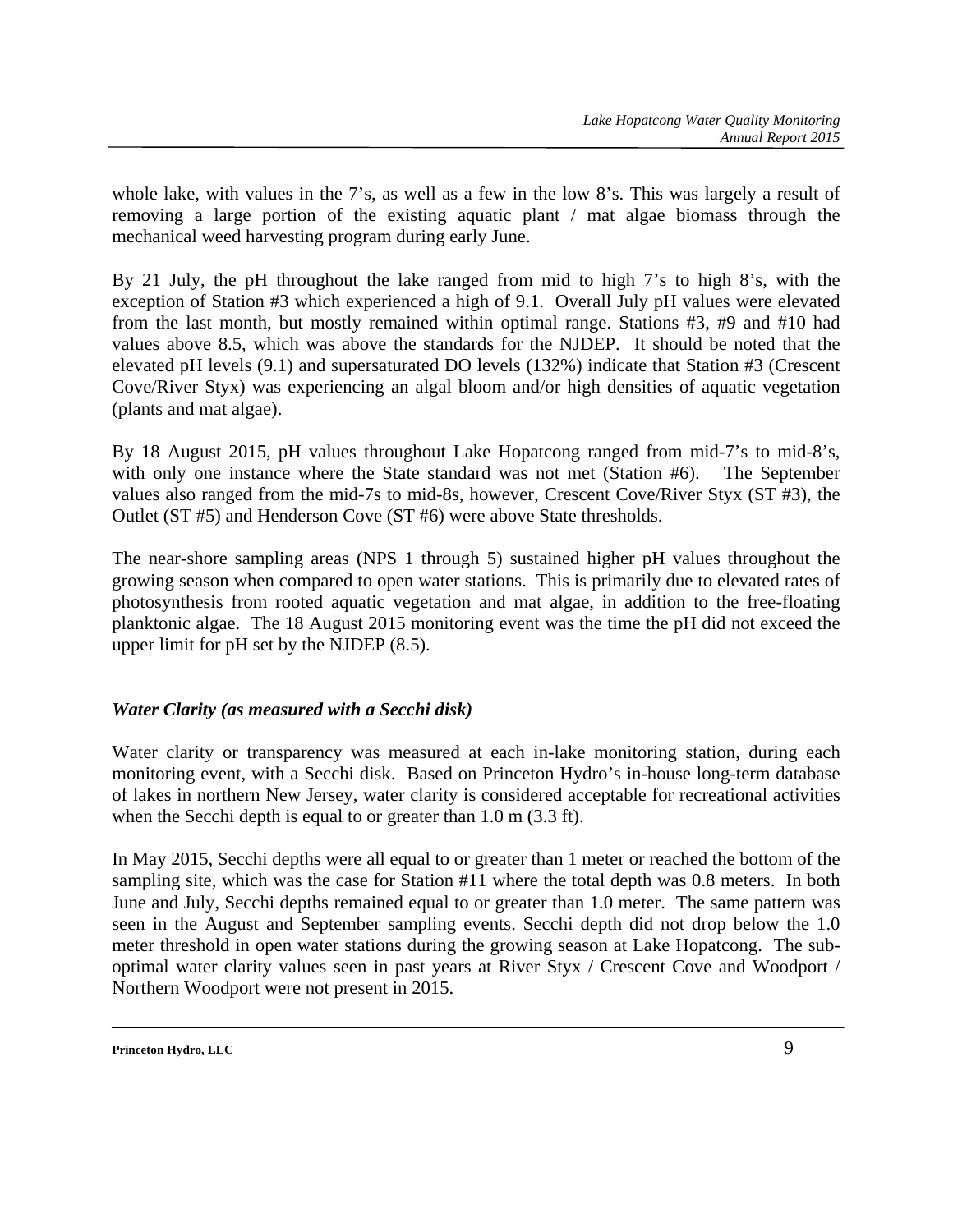whole lake, with values in the 7's, as well as a few in the low 8's. This was largely a result of removing a large portion of the existing aquatic plant / mat algae biomass through the mechanical weed harvesting program during early June.

By 21 July, the pH throughout the lake ranged from mid to high 7's to high 8's, with the exception of Station #3 which experienced a high of 9.1. Overall July pH values were elevated from the last month, but mostly remained within optimal range. Stations #3, #9 and #10 had values above 8.5, which was above the standards for the NJDEP. It should be noted that the elevated pH levels (9.1) and supersaturated DO levels (132%) indicate that Station #3 (Crescent Cove/River Styx) was experiencing an algal bloom and/or high densities of aquatic vegetation (plants and mat algae).

By 18 August 2015, pH values throughout Lake Hopatcong ranged from mid-7's to mid-8's, with only one instance where the State standard was not met (Station #6). The September values also ranged from the mid-7s to mid-8s, however, Crescent Cove/River Styx (ST #3), the Outlet (ST #5) and Henderson Cove (ST #6) were above State thresholds.

The near-shore sampling areas (NPS 1 through 5) sustained higher pH values throughout the growing season when compared to open water stations. This is primarily due to elevated rates of photosynthesis from rooted aquatic vegetation and mat algae, in addition to the free-floating planktonic algae. The 18 August 2015 monitoring event was the time the pH did not exceed the upper limit for pH set by the NJDEP (8.5).

## *Water Clarity (as measured with a Secchi disk)*

Water clarity or transparency was measured at each in-lake monitoring station, during each monitoring event, with a Secchi disk. Based on Princeton Hydro's in-house long-term database of lakes in northern New Jersey, water clarity is considered acceptable for recreational activities when the Secchi depth is equal to or greater than 1.0 m (3.3 ft).

In May 2015, Secchi depths were all equal to or greater than 1 meter or reached the bottom of the sampling site, which was the case for Station #11 where the total depth was 0.8 meters. In both June and July, Secchi depths remained equal to or greater than 1.0 meter. The same pattern was seen in the August and September sampling events. Secchi depth did not drop below the 1.0 meter threshold in open water stations during the growing season at Lake Hopatcong. The suboptimal water clarity values seen in past years at River Styx / Crescent Cove and Woodport / Northern Woodport were not present in 2015.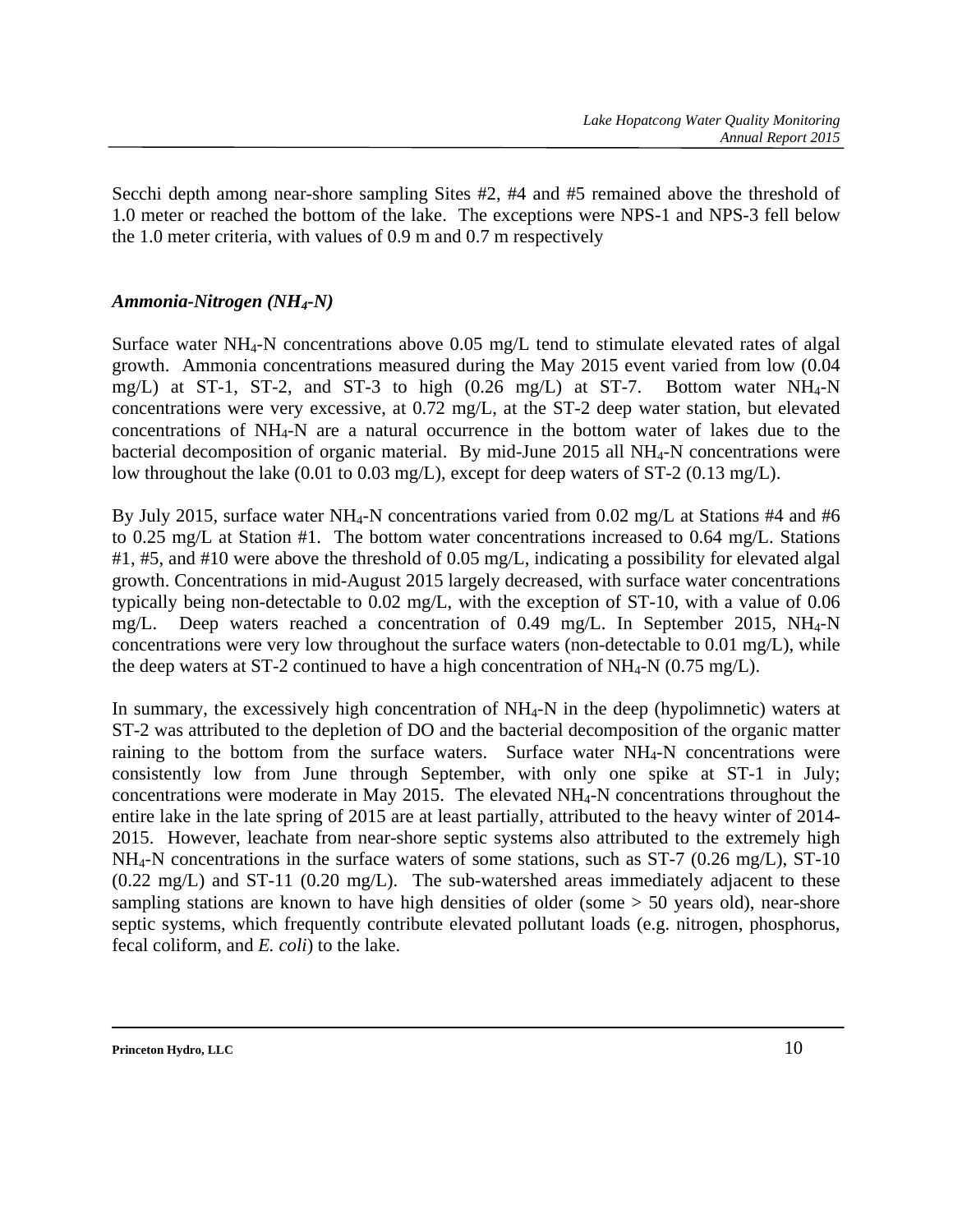Secchi depth among near-shore sampling Sites #2, #4 and #5 remained above the threshold of 1.0 meter or reached the bottom of the lake. The exceptions were NPS-1 and NPS-3 fell below the 1.0 meter criteria, with values of 0.9 m and 0.7 m respectively

### *Ammonia-Nitrogen (NH4-N)*

Surface water  $NH_4$ -N concentrations above 0.05 mg/L tend to stimulate elevated rates of algal growth. Ammonia concentrations measured during the May 2015 event varied from low (0.04 mg/L) at ST-1, ST-2, and ST-3 to high  $(0.26 \text{ mg/L})$  at ST-7. Bottom water NH<sub>4</sub>-N concentrations were very excessive, at 0.72 mg/L, at the ST-2 deep water station, but elevated concentrations of NH4-N are a natural occurrence in the bottom water of lakes due to the bacterial decomposition of organic material. By mid-June 2015 all NH4-N concentrations were low throughout the lake (0.01 to 0.03 mg/L), except for deep waters of ST-2 (0.13 mg/L).

By July 2015, surface water NH<sub>4</sub>-N concentrations varied from 0.02 mg/L at Stations #4 and #6 to 0.25 mg/L at Station #1. The bottom water concentrations increased to 0.64 mg/L. Stations #1, #5, and #10 were above the threshold of 0.05 mg/L, indicating a possibility for elevated algal growth. Concentrations in mid-August 2015 largely decreased, with surface water concentrations typically being non-detectable to 0.02 mg/L, with the exception of ST-10, with a value of 0.06 mg/L. Deep waters reached a concentration of 0.49 mg/L. In September 2015, NH<sub>4</sub>-N concentrations were very low throughout the surface waters (non-detectable to 0.01 mg/L), while the deep waters at ST-2 continued to have a high concentration of  $NH_4-N$  (0.75 mg/L).

In summary, the excessively high concentration of  $NH<sub>4</sub>-N$  in the deep (hypolimnetic) waters at ST-2 was attributed to the depletion of DO and the bacterial decomposition of the organic matter raining to the bottom from the surface waters. Surface water  $NH<sub>4</sub>-N$  concentrations were consistently low from June through September, with only one spike at ST-1 in July; concentrations were moderate in May 2015. The elevated NH4-N concentrations throughout the entire lake in the late spring of 2015 are at least partially, attributed to the heavy winter of 2014- 2015. However, leachate from near-shore septic systems also attributed to the extremely high  $NH<sub>4</sub>-N$  concentrations in the surface waters of some stations, such as ST-7 (0.26 mg/L), ST-10 (0.22 mg/L) and ST-11 (0.20 mg/L). The sub-watershed areas immediately adjacent to these sampling stations are known to have high densities of older (some  $> 50$  years old), near-shore septic systems, which frequently contribute elevated pollutant loads (e.g. nitrogen, phosphorus, fecal coliform, and *E. coli*) to the lake.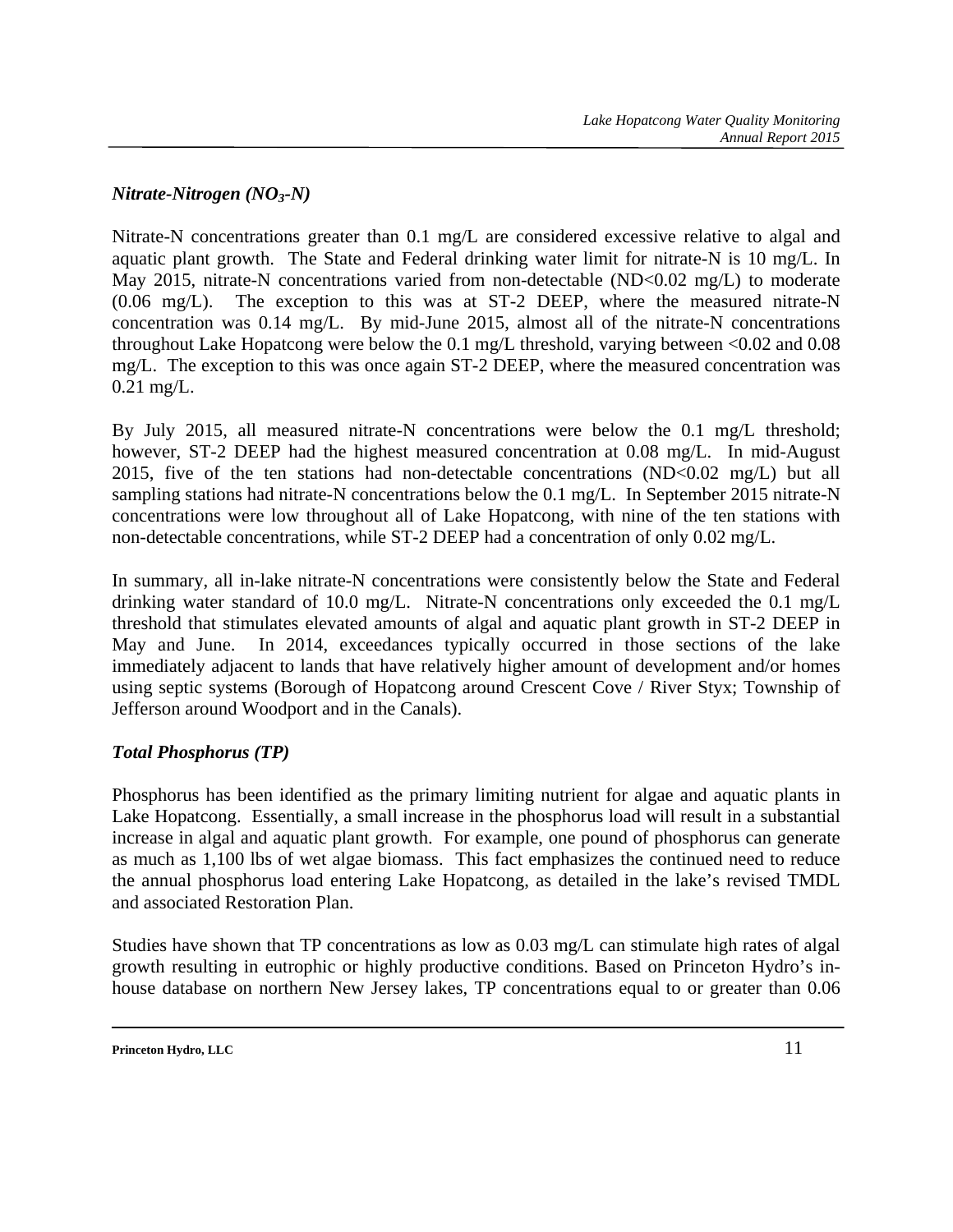## *Nitrate-Nitrogen (NO3-N)*

Nitrate-N concentrations greater than 0.1 mg/L are considered excessive relative to algal and aquatic plant growth. The State and Federal drinking water limit for nitrate-N is 10 mg/L. In May 2015, nitrate-N concentrations varied from non-detectable (ND<0.02 mg/L) to moderate (0.06 mg/L). The exception to this was at ST-2 DEEP, where the measured nitrate-N concentration was 0.14 mg/L. By mid-June 2015, almost all of the nitrate-N concentrations throughout Lake Hopatcong were below the 0.1 mg/L threshold, varying between <0.02 and 0.08 mg/L. The exception to this was once again ST-2 DEEP, where the measured concentration was 0.21 mg/L.

By July 2015, all measured nitrate-N concentrations were below the 0.1 mg/L threshold; however, ST-2 DEEP had the highest measured concentration at 0.08 mg/L. In mid-August 2015, five of the ten stations had non-detectable concentrations (ND<0.02 mg/L) but all sampling stations had nitrate-N concentrations below the 0.1 mg/L. In September 2015 nitrate-N concentrations were low throughout all of Lake Hopatcong, with nine of the ten stations with non-detectable concentrations, while ST-2 DEEP had a concentration of only 0.02 mg/L.

In summary, all in-lake nitrate-N concentrations were consistently below the State and Federal drinking water standard of 10.0 mg/L. Nitrate-N concentrations only exceeded the 0.1 mg/L threshold that stimulates elevated amounts of algal and aquatic plant growth in ST-2 DEEP in May and June. In 2014, exceedances typically occurred in those sections of the lake immediately adjacent to lands that have relatively higher amount of development and/or homes using septic systems (Borough of Hopatcong around Crescent Cove / River Styx; Township of Jefferson around Woodport and in the Canals).

#### *Total Phosphorus (TP)*

Phosphorus has been identified as the primary limiting nutrient for algae and aquatic plants in Lake Hopatcong. Essentially, a small increase in the phosphorus load will result in a substantial increase in algal and aquatic plant growth. For example, one pound of phosphorus can generate as much as 1,100 lbs of wet algae biomass. This fact emphasizes the continued need to reduce the annual phosphorus load entering Lake Hopatcong, as detailed in the lake's revised TMDL and associated Restoration Plan.

Studies have shown that TP concentrations as low as 0.03 mg/L can stimulate high rates of algal growth resulting in eutrophic or highly productive conditions. Based on Princeton Hydro's inhouse database on northern New Jersey lakes, TP concentrations equal to or greater than 0.06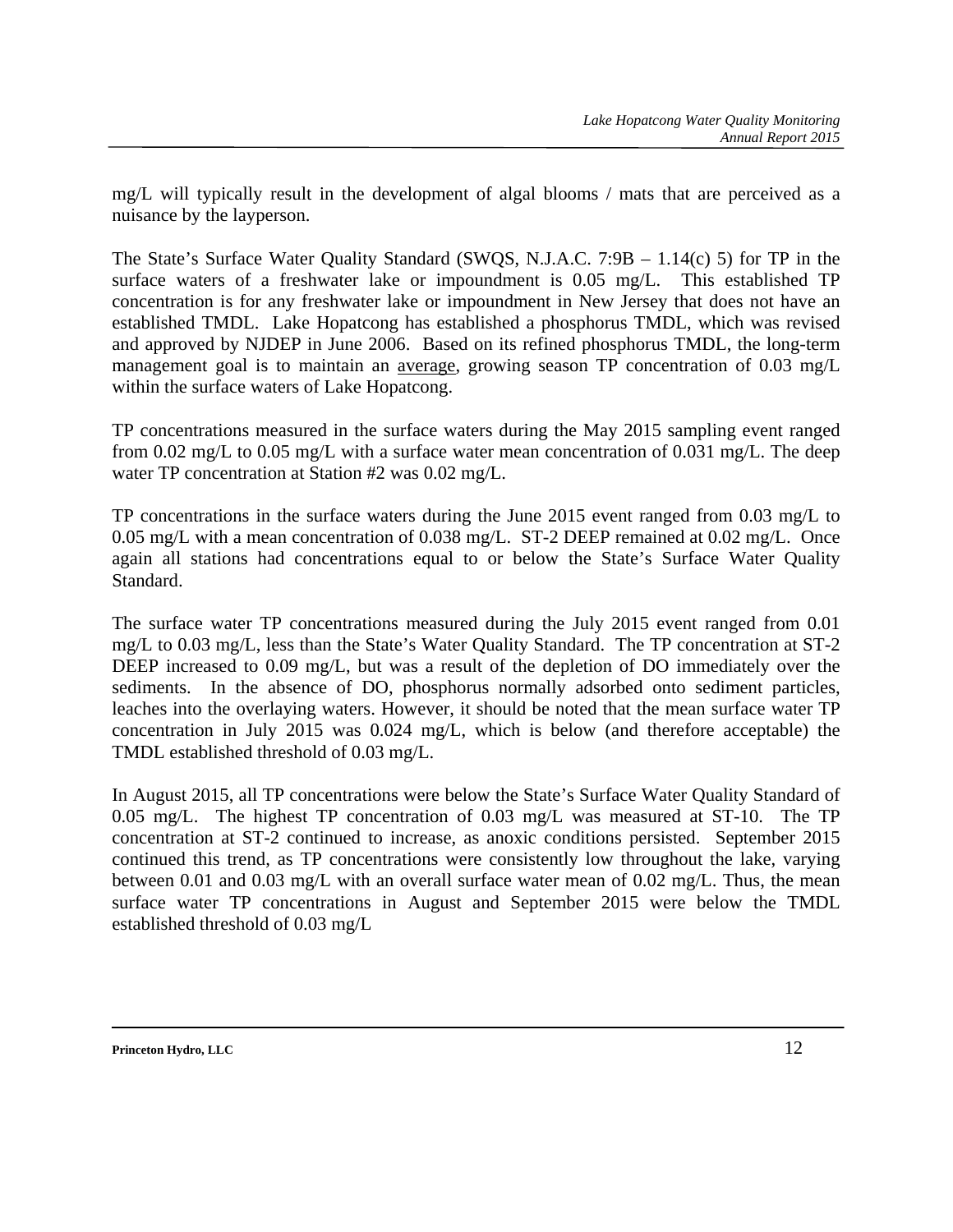mg/L will typically result in the development of algal blooms / mats that are perceived as a nuisance by the layperson.

The State's Surface Water Quality Standard (SWQS, N.J.A.C. 7:9B – 1.14(c) 5) for TP in the surface waters of a freshwater lake or impoundment is 0.05 mg/L. This established TP concentration is for any freshwater lake or impoundment in New Jersey that does not have an established TMDL. Lake Hopatcong has established a phosphorus TMDL, which was revised and approved by NJDEP in June 2006. Based on its refined phosphorus TMDL, the long-term management goal is to maintain an average, growing season TP concentration of 0.03 mg/L within the surface waters of Lake Hopatcong.

TP concentrations measured in the surface waters during the May 2015 sampling event ranged from 0.02 mg/L to 0.05 mg/L with a surface water mean concentration of 0.031 mg/L. The deep water TP concentration at Station #2 was 0.02 mg/L.

TP concentrations in the surface waters during the June 2015 event ranged from 0.03 mg/L to 0.05 mg/L with a mean concentration of 0.038 mg/L. ST-2 DEEP remained at 0.02 mg/L. Once again all stations had concentrations equal to or below the State's Surface Water Quality Standard.

The surface water TP concentrations measured during the July 2015 event ranged from 0.01 mg/L to 0.03 mg/L, less than the State's Water Quality Standard. The TP concentration at ST-2 DEEP increased to 0.09 mg/L, but was a result of the depletion of DO immediately over the sediments. In the absence of DO, phosphorus normally adsorbed onto sediment particles, leaches into the overlaying waters. However, it should be noted that the mean surface water TP concentration in July 2015 was 0.024 mg/L, which is below (and therefore acceptable) the TMDL established threshold of 0.03 mg/L.

In August 2015, all TP concentrations were below the State's Surface Water Quality Standard of 0.05 mg/L. The highest TP concentration of 0.03 mg/L was measured at ST-10. The TP concentration at ST-2 continued to increase, as anoxic conditions persisted. September 2015 continued this trend, as TP concentrations were consistently low throughout the lake, varying between 0.01 and 0.03 mg/L with an overall surface water mean of 0.02 mg/L. Thus, the mean surface water TP concentrations in August and September 2015 were below the TMDL established threshold of 0.03 mg/L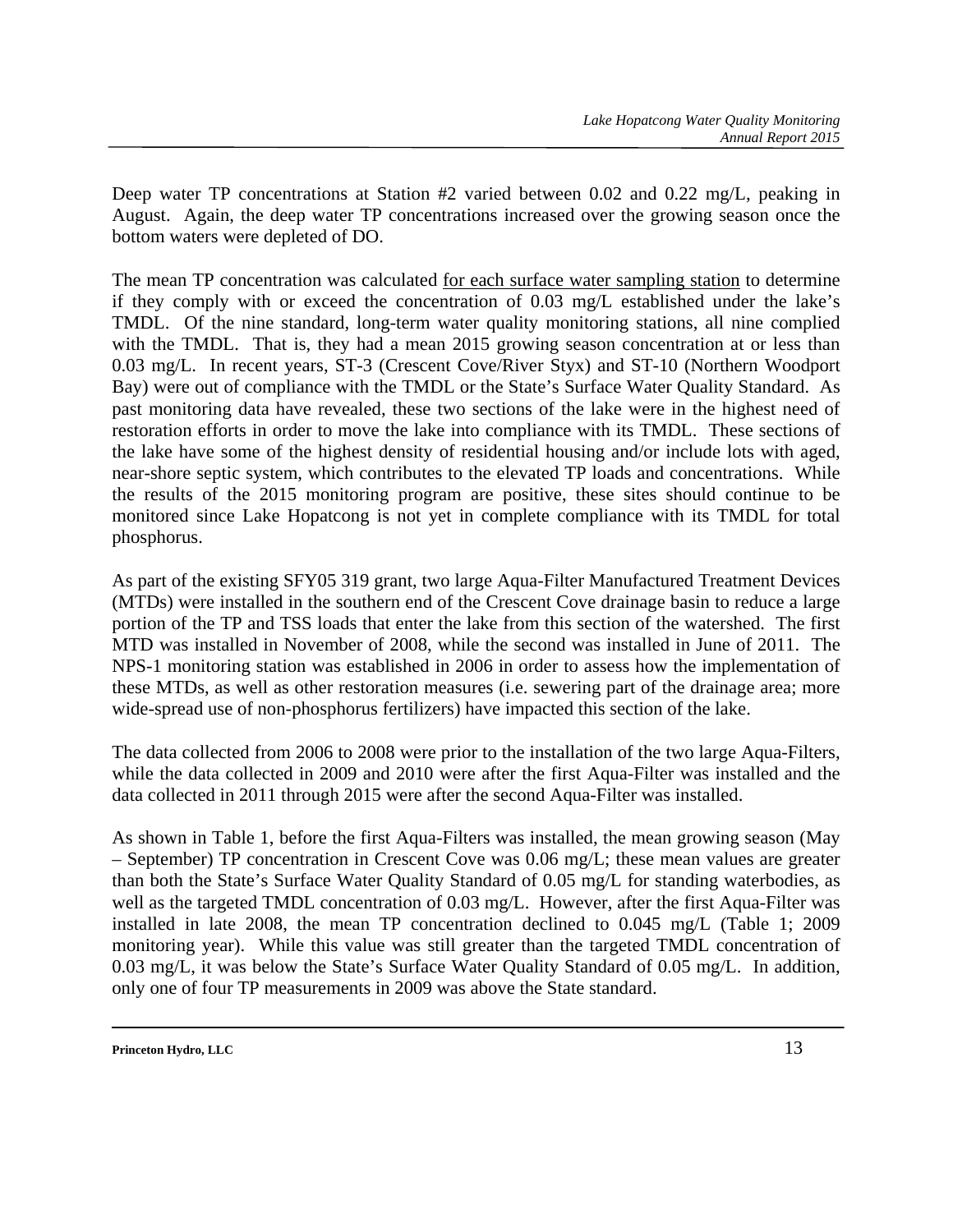Deep water TP concentrations at Station #2 varied between 0.02 and 0.22 mg/L, peaking in August. Again, the deep water TP concentrations increased over the growing season once the bottom waters were depleted of DO.

The mean TP concentration was calculated for each surface water sampling station to determine if they comply with or exceed the concentration of 0.03 mg/L established under the lake's TMDL. Of the nine standard, long-term water quality monitoring stations, all nine complied with the TMDL. That is, they had a mean 2015 growing season concentration at or less than 0.03 mg/L. In recent years, ST-3 (Crescent Cove/River Styx) and ST-10 (Northern Woodport Bay) were out of compliance with the TMDL or the State's Surface Water Quality Standard. As past monitoring data have revealed, these two sections of the lake were in the highest need of restoration efforts in order to move the lake into compliance with its TMDL. These sections of the lake have some of the highest density of residential housing and/or include lots with aged, near-shore septic system, which contributes to the elevated TP loads and concentrations. While the results of the 2015 monitoring program are positive, these sites should continue to be monitored since Lake Hopatcong is not yet in complete compliance with its TMDL for total phosphorus.

As part of the existing SFY05 319 grant, two large Aqua-Filter Manufactured Treatment Devices (MTDs) were installed in the southern end of the Crescent Cove drainage basin to reduce a large portion of the TP and TSS loads that enter the lake from this section of the watershed. The first MTD was installed in November of 2008, while the second was installed in June of 2011. The NPS-1 monitoring station was established in 2006 in order to assess how the implementation of these MTDs, as well as other restoration measures (i.e. sewering part of the drainage area; more wide-spread use of non-phosphorus fertilizers) have impacted this section of the lake.

The data collected from 2006 to 2008 were prior to the installation of the two large Aqua-Filters, while the data collected in 2009 and 2010 were after the first Aqua-Filter was installed and the data collected in 2011 through 2015 were after the second Aqua-Filter was installed.

As shown in Table 1, before the first Aqua-Filters was installed, the mean growing season (May – September) TP concentration in Crescent Cove was 0.06 mg/L; these mean values are greater than both the State's Surface Water Quality Standard of 0.05 mg/L for standing waterbodies, as well as the targeted TMDL concentration of 0.03 mg/L. However, after the first Aqua-Filter was installed in late 2008, the mean TP concentration declined to 0.045 mg/L (Table 1; 2009 monitoring year). While this value was still greater than the targeted TMDL concentration of 0.03 mg/L, it was below the State's Surface Water Quality Standard of 0.05 mg/L. In addition, only one of four TP measurements in 2009 was above the State standard.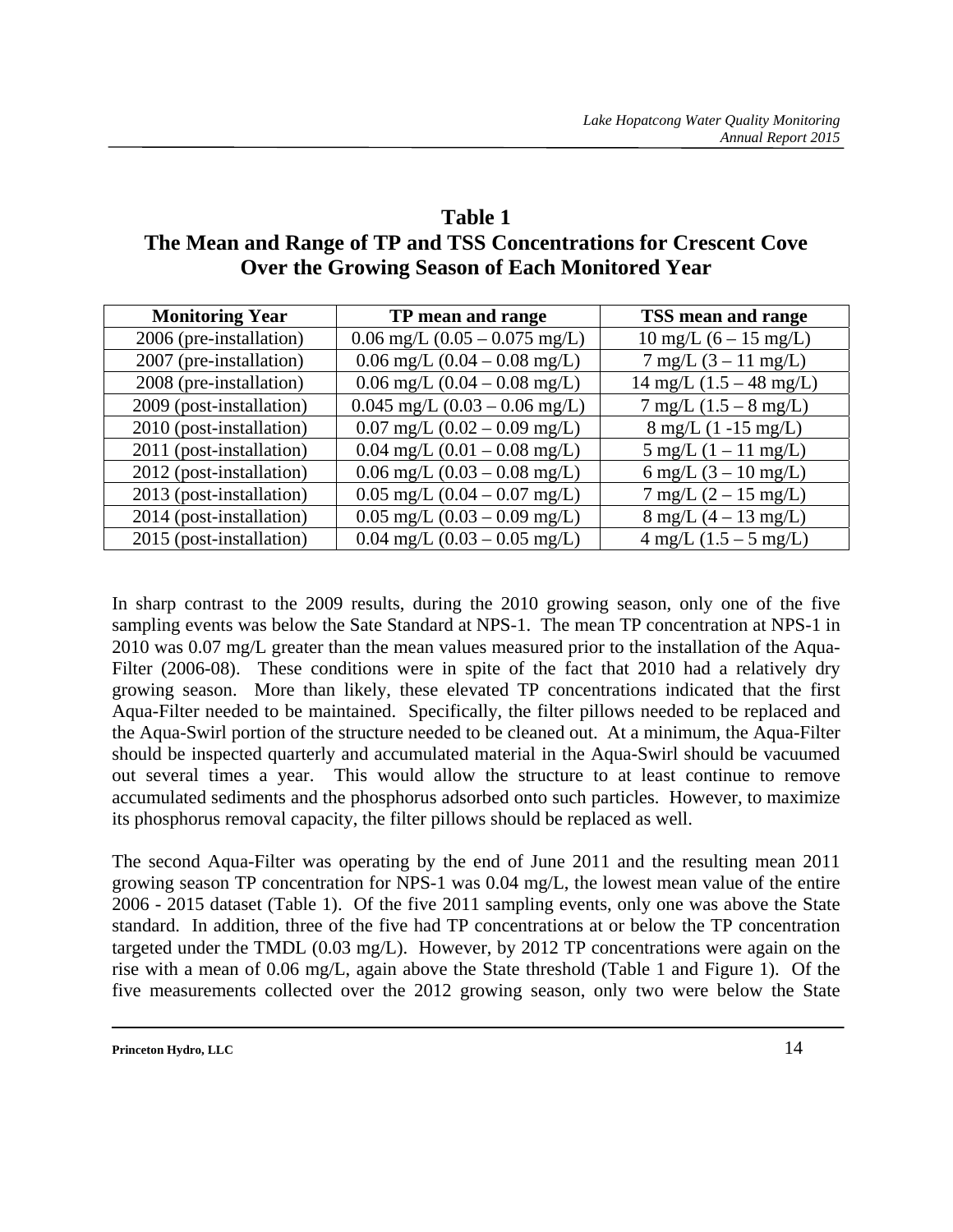## **Table 1 The Mean and Range of TP and TSS Concentrations for Crescent Cove Over the Growing Season of Each Monitored Year**

| <b>Monitoring Year</b>   | TP mean and range                                | TSS mean and range                        |
|--------------------------|--------------------------------------------------|-------------------------------------------|
| 2006 (pre-installation)  | $0.06$ mg/L $(0.05 - 0.075$ mg/L)                | $10 \text{ mg/L}$ (6 – 15 mg/L)           |
| 2007 (pre-installation)  | $0.06 \text{ mg/L}$ $(0.04 - 0.08 \text{ mg/L})$ | $7 \text{ mg/L} (3 - 11 \text{ mg/L})$    |
| 2008 (pre-installation)  | $0.06$ mg/L $(0.04 - 0.08$ mg/L)                 | $14 \text{ mg/L} (1.5 - 48 \text{ mg/L})$ |
| 2009 (post-installation) | $0.045$ mg/L $(0.03 - 0.06$ mg/L)                | $7 \text{ mg/L}$ (1.5 – 8 mg/L)           |
| 2010 (post-installation) | $0.07$ mg/L $(0.02 - 0.09$ mg/L)                 | $8 \text{ mg/L}$ (1 -15 mg/L)             |
| 2011 (post-installation) | $0.04$ mg/L $(0.01 - 0.08$ mg/L)                 | $5 \text{ mg/L} (1 - 11 \text{ mg/L})$    |
| 2012 (post-installation) | $0.06 \text{ mg/L}$ $(0.03 - 0.08 \text{ mg/L})$ | 6 mg/L $(3 - 10 \text{ mg/L})$            |
| 2013 (post-installation) | $0.05$ mg/L $(0.04 - 0.07$ mg/L)                 | $7 \text{ mg/L} (2 - 15 \text{ mg/L})$    |
| 2014 (post-installation) | $0.05$ mg/L $(0.03 - 0.09$ mg/L)                 | $8 \text{ mg/L} (4 - 13 \text{ mg/L})$    |
| 2015 (post-installation) | $0.04$ mg/L $(0.03 - 0.05$ mg/L)                 | $4 \text{ mg/L} (1.5 - 5 \text{ mg/L})$   |

In sharp contrast to the 2009 results, during the 2010 growing season, only one of the five sampling events was below the Sate Standard at NPS-1. The mean TP concentration at NPS-1 in 2010 was 0.07 mg/L greater than the mean values measured prior to the installation of the Aqua-Filter (2006-08). These conditions were in spite of the fact that 2010 had a relatively dry growing season. More than likely, these elevated TP concentrations indicated that the first Aqua-Filter needed to be maintained. Specifically, the filter pillows needed to be replaced and the Aqua-Swirl portion of the structure needed to be cleaned out. At a minimum, the Aqua-Filter should be inspected quarterly and accumulated material in the Aqua-Swirl should be vacuumed out several times a year. This would allow the structure to at least continue to remove accumulated sediments and the phosphorus adsorbed onto such particles. However, to maximize its phosphorus removal capacity, the filter pillows should be replaced as well.

The second Aqua-Filter was operating by the end of June 2011 and the resulting mean 2011 growing season TP concentration for NPS-1 was 0.04 mg/L, the lowest mean value of the entire 2006 - 2015 dataset (Table 1). Of the five 2011 sampling events, only one was above the State standard. In addition, three of the five had TP concentrations at or below the TP concentration targeted under the TMDL (0.03 mg/L). However, by 2012 TP concentrations were again on the rise with a mean of 0.06 mg/L, again above the State threshold (Table 1 and Figure 1). Of the five measurements collected over the 2012 growing season, only two were below the State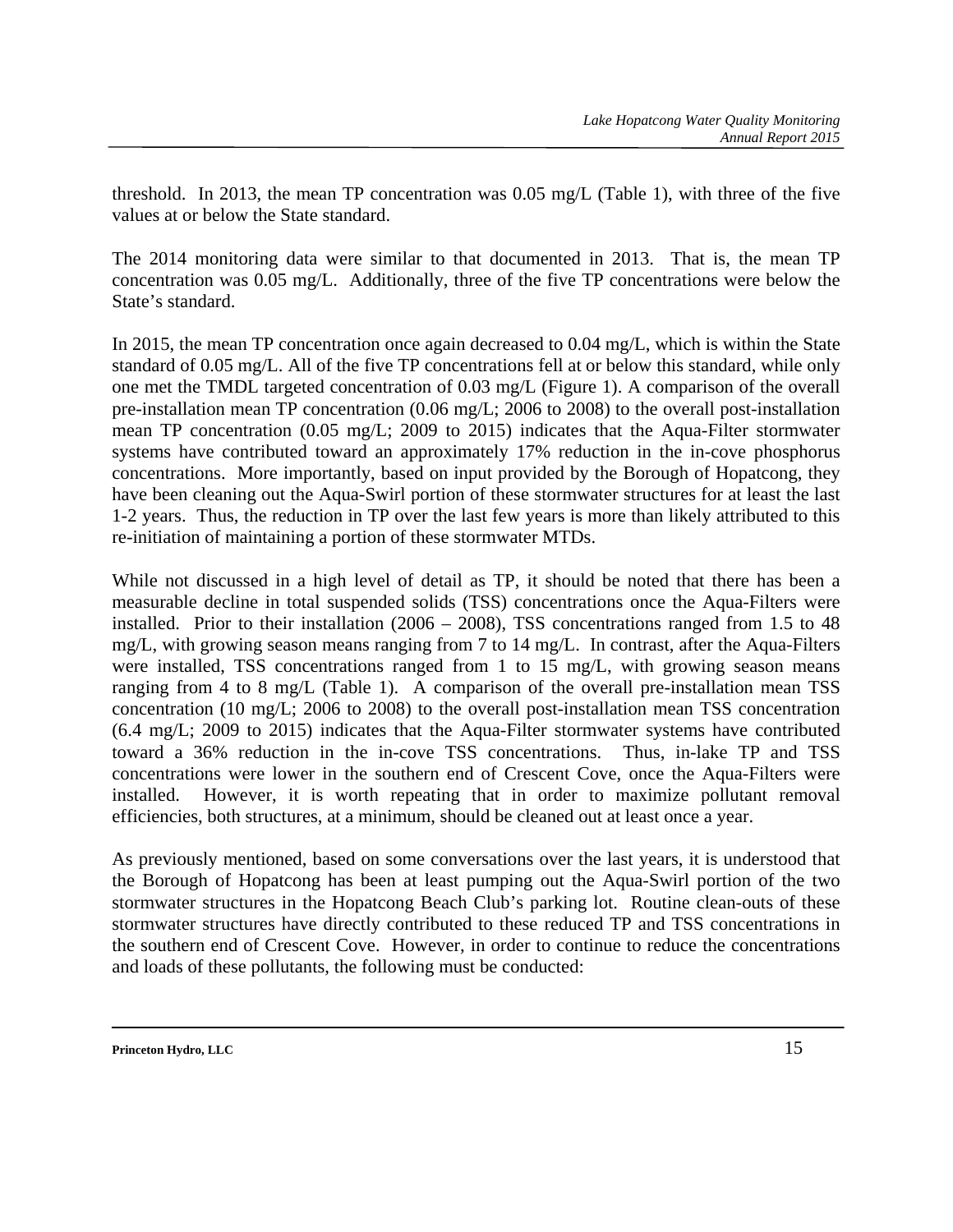threshold. In 2013, the mean TP concentration was 0.05 mg/L (Table 1), with three of the five values at or below the State standard.

The 2014 monitoring data were similar to that documented in 2013. That is, the mean TP concentration was 0.05 mg/L. Additionally, three of the five TP concentrations were below the State's standard.

In 2015, the mean TP concentration once again decreased to 0.04 mg/L, which is within the State standard of 0.05 mg/L. All of the five TP concentrations fell at or below this standard, while only one met the TMDL targeted concentration of 0.03 mg/L (Figure 1). A comparison of the overall pre-installation mean TP concentration (0.06 mg/L; 2006 to 2008) to the overall post-installation mean TP concentration (0.05 mg/L; 2009 to 2015) indicates that the Aqua-Filter stormwater systems have contributed toward an approximately 17% reduction in the in-cove phosphorus concentrations. More importantly, based on input provided by the Borough of Hopatcong, they have been cleaning out the Aqua-Swirl portion of these stormwater structures for at least the last 1-2 years. Thus, the reduction in TP over the last few years is more than likely attributed to this re-initiation of maintaining a portion of these stormwater MTDs.

While not discussed in a high level of detail as TP, it should be noted that there has been a measurable decline in total suspended solids (TSS) concentrations once the Aqua-Filters were installed. Prior to their installation (2006 – 2008), TSS concentrations ranged from 1.5 to 48 mg/L, with growing season means ranging from 7 to 14 mg/L. In contrast, after the Aqua-Filters were installed, TSS concentrations ranged from 1 to 15 mg/L, with growing season means ranging from 4 to 8 mg/L (Table 1). A comparison of the overall pre-installation mean TSS concentration (10 mg/L; 2006 to 2008) to the overall post-installation mean TSS concentration (6.4 mg/L; 2009 to 2015) indicates that the Aqua-Filter stormwater systems have contributed toward a 36% reduction in the in-cove TSS concentrations. Thus, in-lake TP and TSS concentrations were lower in the southern end of Crescent Cove, once the Aqua-Filters were installed. However, it is worth repeating that in order to maximize pollutant removal efficiencies, both structures, at a minimum, should be cleaned out at least once a year.

As previously mentioned, based on some conversations over the last years, it is understood that the Borough of Hopatcong has been at least pumping out the Aqua-Swirl portion of the two stormwater structures in the Hopatcong Beach Club's parking lot. Routine clean-outs of these stormwater structures have directly contributed to these reduced TP and TSS concentrations in the southern end of Crescent Cove. However, in order to continue to reduce the concentrations and loads of these pollutants, the following must be conducted: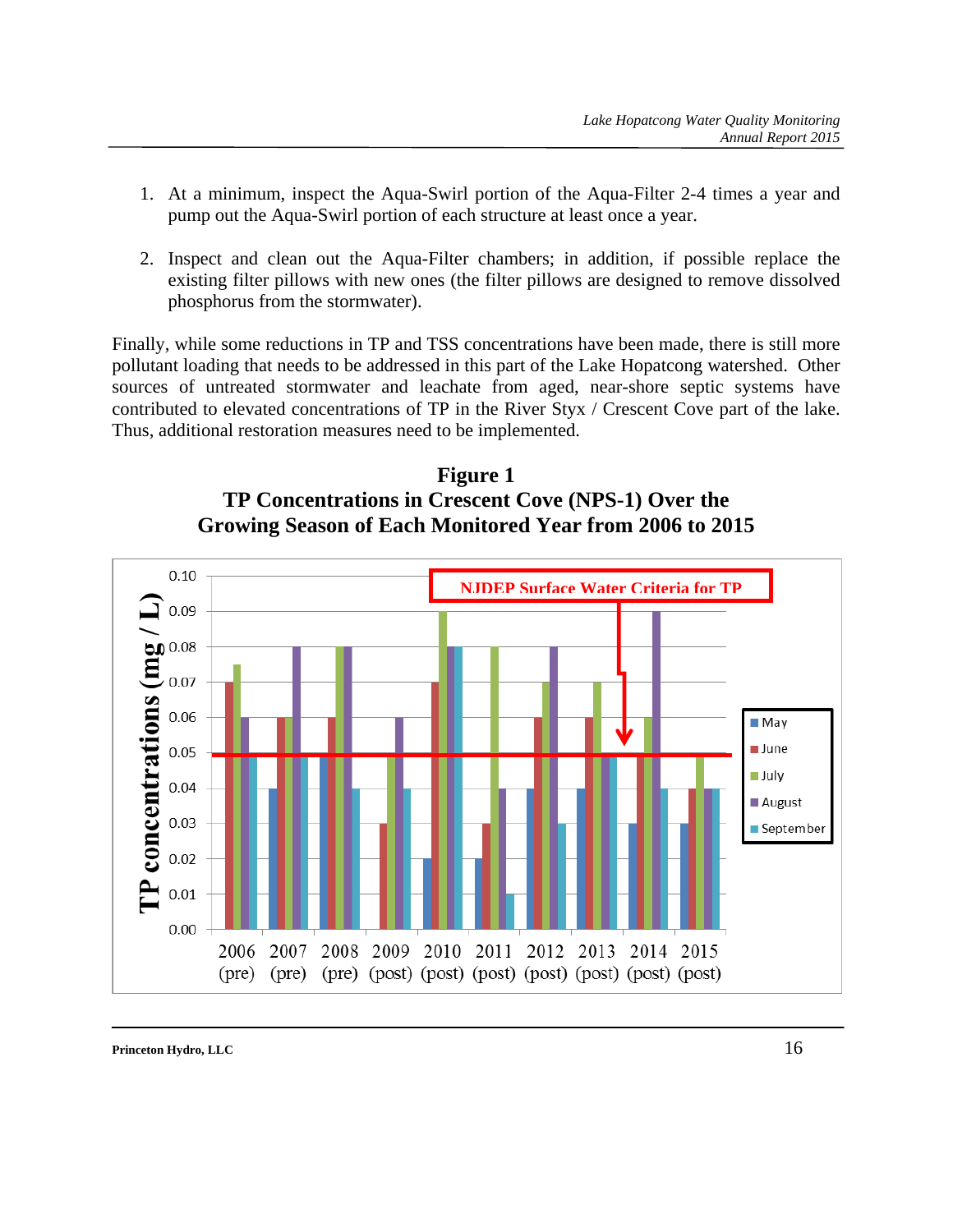- 1. At a minimum, inspect the Aqua-Swirl portion of the Aqua-Filter 2-4 times a year and pump out the Aqua-Swirl portion of each structure at least once a year.
- 2. Inspect and clean out the Aqua-Filter chambers; in addition, if possible replace the existing filter pillows with new ones (the filter pillows are designed to remove dissolved phosphorus from the stormwater).

Finally, while some reductions in TP and TSS concentrations have been made, there is still more pollutant loading that needs to be addressed in this part of the Lake Hopatcong watershed. Other sources of untreated stormwater and leachate from aged, near-shore septic systems have contributed to elevated concentrations of TP in the River Styx / Crescent Cove part of the lake. Thus, additional restoration measures need to be implemented.



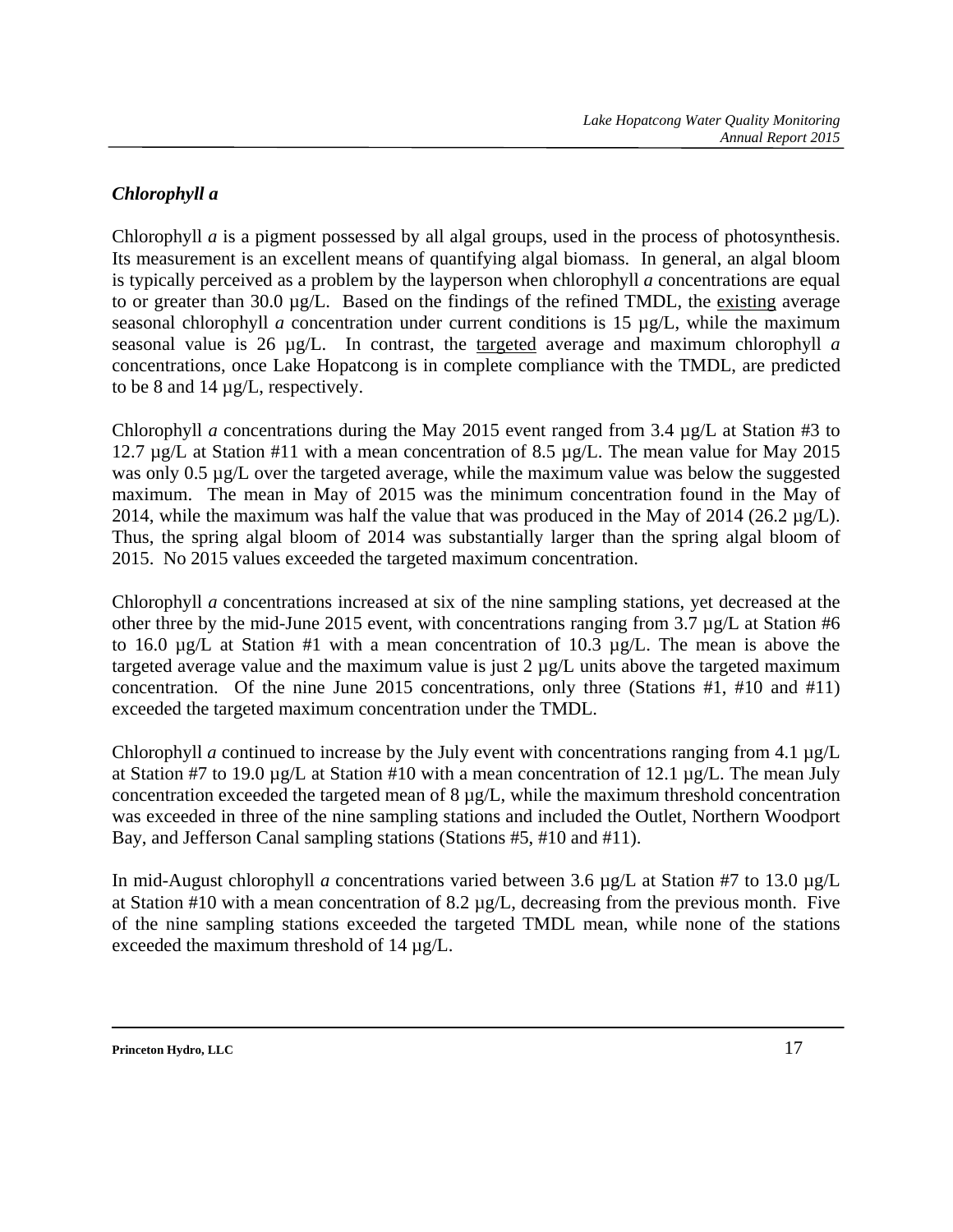## *Chlorophyll a*

Chlorophyll *a* is a pigment possessed by all algal groups, used in the process of photosynthesis. Its measurement is an excellent means of quantifying algal biomass. In general, an algal bloom is typically perceived as a problem by the layperson when chlorophyll *a* concentrations are equal to or greater than 30.0 µg/L. Based on the findings of the refined TMDL, the existing average seasonal chlorophyll *a* concentration under current conditions is 15 µg/L, while the maximum seasonal value is 26 µg/L. In contrast, the targeted average and maximum chlorophyll *a* concentrations, once Lake Hopatcong is in complete compliance with the TMDL, are predicted to be 8 and 14 µg/L, respectively.

Chlorophyll *a* concentrations during the May 2015 event ranged from 3.4  $\mu$ g/L at Station #3 to 12.7 µg/L at Station #11 with a mean concentration of 8.5 µg/L. The mean value for May 2015 was only 0.5  $\mu$ g/L over the targeted average, while the maximum value was below the suggested maximum. The mean in May of 2015 was the minimum concentration found in the May of 2014, while the maximum was half the value that was produced in the May of 2014 (26.2  $\mu$ g/L). Thus, the spring algal bloom of 2014 was substantially larger than the spring algal bloom of 2015. No 2015 values exceeded the targeted maximum concentration.

Chlorophyll *a* concentrations increased at six of the nine sampling stations, yet decreased at the other three by the mid-June 2015 event, with concentrations ranging from 3.7 µg/L at Station #6 to 16.0  $\mu$ g/L at Station #1 with a mean concentration of 10.3  $\mu$ g/L. The mean is above the targeted average value and the maximum value is just 2 µg/L units above the targeted maximum concentration. Of the nine June 2015 concentrations, only three (Stations #1, #10 and #11) exceeded the targeted maximum concentration under the TMDL.

Chlorophyll *a* continued to increase by the July event with concentrations ranging from 4.1 µg/L at Station #7 to 19.0 µg/L at Station #10 with a mean concentration of 12.1 µg/L. The mean July concentration exceeded the targeted mean of 8 µg/L, while the maximum threshold concentration was exceeded in three of the nine sampling stations and included the Outlet, Northern Woodport Bay, and Jefferson Canal sampling stations (Stations #5, #10 and #11).

In mid-August chlorophyll *a* concentrations varied between 3.6 µg/L at Station #7 to 13.0 µg/L at Station #10 with a mean concentration of 8.2 µg/L, decreasing from the previous month. Five of the nine sampling stations exceeded the targeted TMDL mean, while none of the stations exceeded the maximum threshold of 14 µg/L.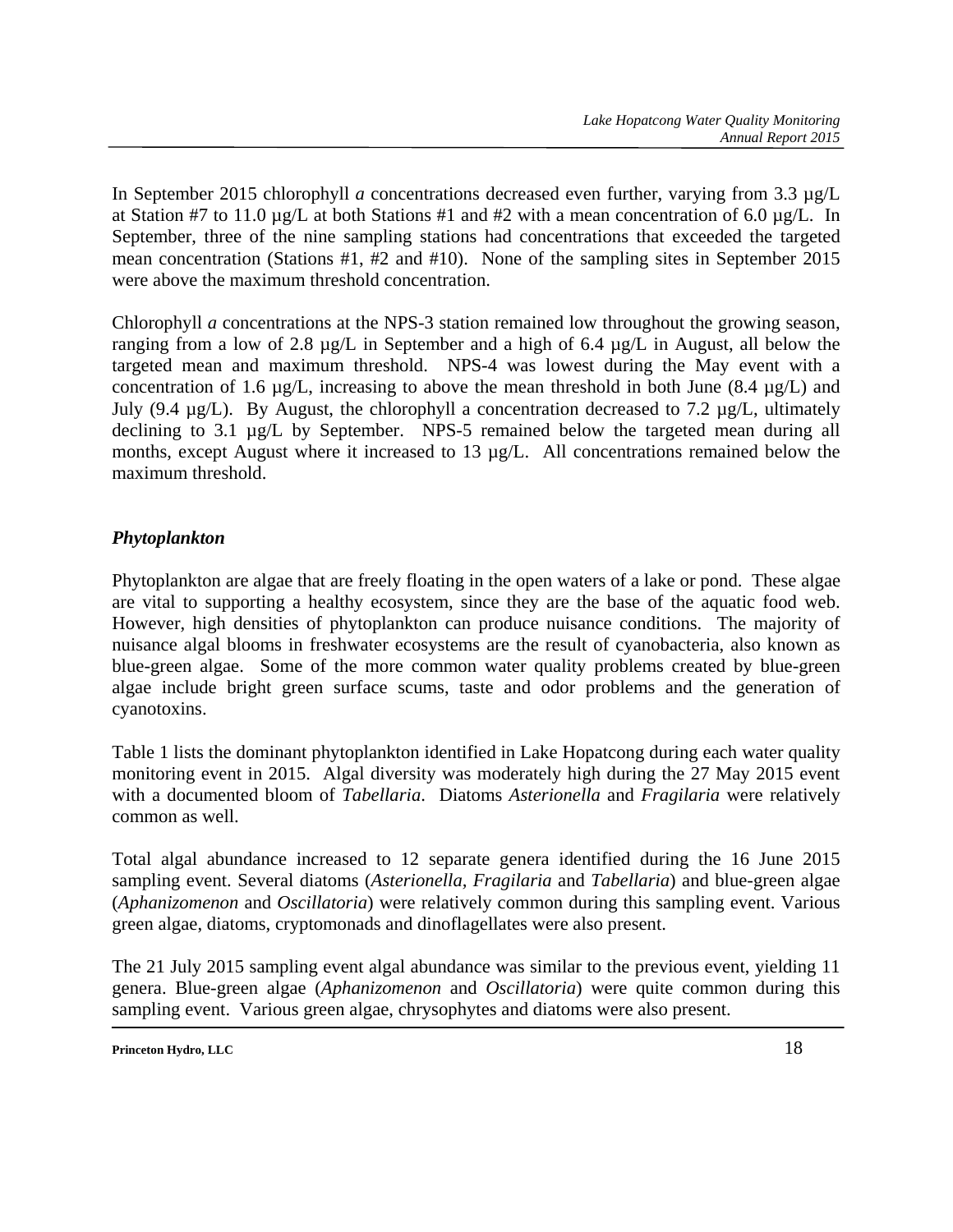In September 2015 chlorophyll *a* concentrations decreased even further, varying from 3.3 µg/L at Station #7 to 11.0  $\mu$ g/L at both Stations #1 and #2 with a mean concentration of 6.0  $\mu$ g/L. In September, three of the nine sampling stations had concentrations that exceeded the targeted mean concentration (Stations #1, #2 and #10). None of the sampling sites in September 2015 were above the maximum threshold concentration.

Chlorophyll *a* concentrations at the NPS-3 station remained low throughout the growing season, ranging from a low of 2.8 µg/L in September and a high of 6.4 µg/L in August, all below the targeted mean and maximum threshold. NPS-4 was lowest during the May event with a concentration of 1.6  $\mu$ g/L, increasing to above the mean threshold in both June (8.4  $\mu$ g/L) and July (9.4  $\mu$ g/L). By August, the chlorophyll a concentration decreased to 7.2  $\mu$ g/L, ultimately declining to 3.1 µg/L by September. NPS-5 remained below the targeted mean during all months, except August where it increased to 13 µg/L. All concentrations remained below the maximum threshold.

## *Phytoplankton*

Phytoplankton are algae that are freely floating in the open waters of a lake or pond. These algae are vital to supporting a healthy ecosystem, since they are the base of the aquatic food web. However, high densities of phytoplankton can produce nuisance conditions. The majority of nuisance algal blooms in freshwater ecosystems are the result of cyanobacteria, also known as blue-green algae. Some of the more common water quality problems created by blue-green algae include bright green surface scums, taste and odor problems and the generation of cyanotoxins.

Table 1 lists the dominant phytoplankton identified in Lake Hopatcong during each water quality monitoring event in 2015. Algal diversity was moderately high during the 27 May 2015 event with a documented bloom of *Tabellaria*. Diatoms *Asterionella* and *Fragilaria* were relatively common as well.

Total algal abundance increased to 12 separate genera identified during the 16 June 2015 sampling event. Several diatoms (*Asterionella, Fragilaria* and *Tabellaria*) and blue-green algae (*Aphanizomenon* and *Oscillatoria*) were relatively common during this sampling event. Various green algae, diatoms, cryptomonads and dinoflagellates were also present.

The 21 July 2015 sampling event algal abundance was similar to the previous event, yielding 11 genera. Blue-green algae (*Aphanizomenon* and *Oscillatoria*) were quite common during this sampling event. Various green algae, chrysophytes and diatoms were also present.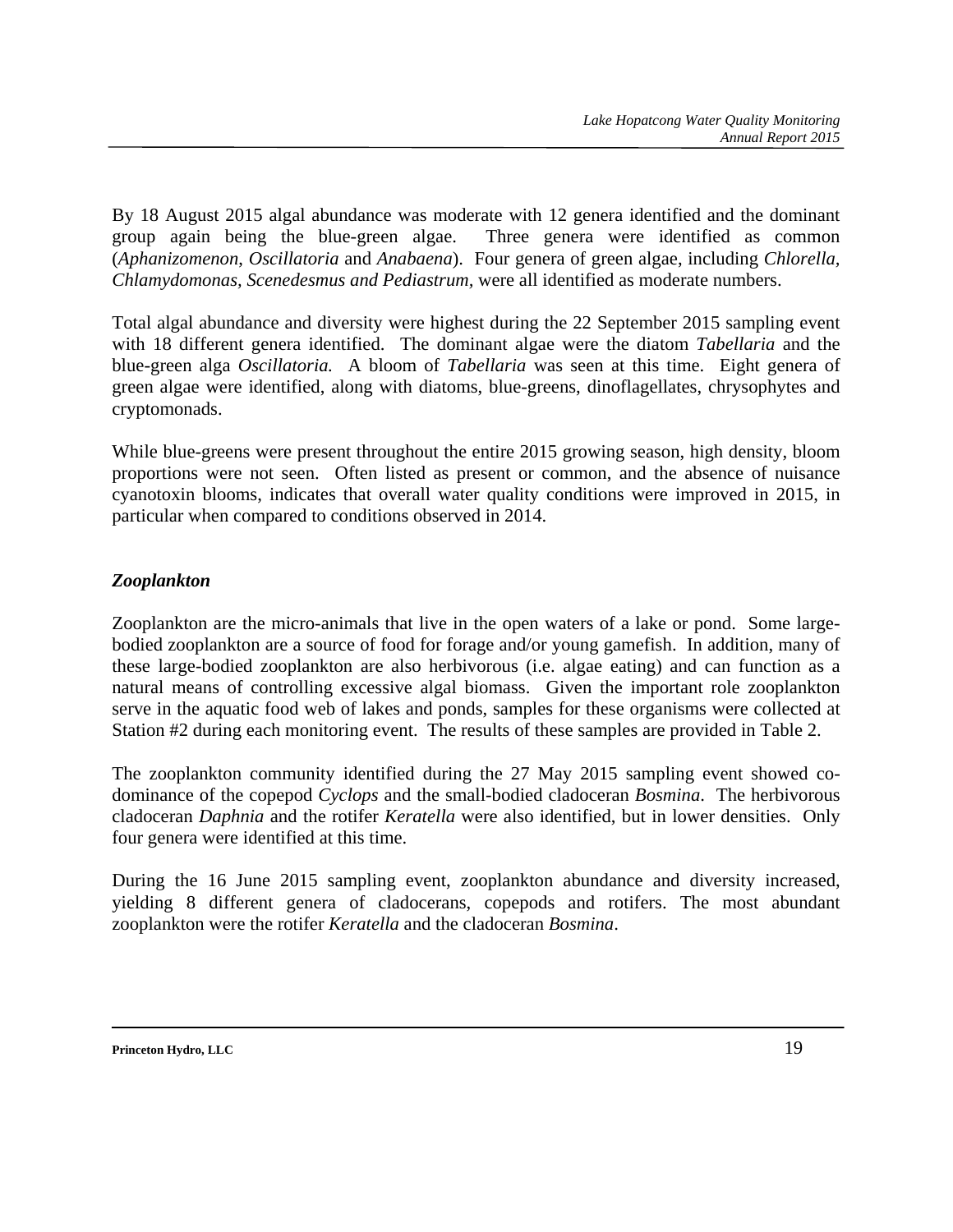By 18 August 2015 algal abundance was moderate with 12 genera identified and the dominant group again being the blue-green algae. Three genera were identified as common (*Aphanizomenon*, *Oscillatoria* and *Anabaena*). Four genera of green algae, including *Chlorella, Chlamydomonas, Scenedesmus and Pediastrum,* were all identified as moderate numbers.

Total algal abundance and diversity were highest during the 22 September 2015 sampling event with 18 different genera identified. The dominant algae were the diatom *Tabellaria* and the blue-green alga *Oscillatoria.* A bloom of *Tabellaria* was seen at this time. Eight genera of green algae were identified, along with diatoms, blue-greens, dinoflagellates, chrysophytes and cryptomonads.

While blue-greens were present throughout the entire 2015 growing season, high density, bloom proportions were not seen. Often listed as present or common, and the absence of nuisance cyanotoxin blooms, indicates that overall water quality conditions were improved in 2015, in particular when compared to conditions observed in 2014.

## *Zooplankton*

Zooplankton are the micro-animals that live in the open waters of a lake or pond. Some largebodied zooplankton are a source of food for forage and/or young gamefish. In addition, many of these large-bodied zooplankton are also herbivorous (i.e. algae eating) and can function as a natural means of controlling excessive algal biomass. Given the important role zooplankton serve in the aquatic food web of lakes and ponds, samples for these organisms were collected at Station #2 during each monitoring event. The results of these samples are provided in Table 2.

The zooplankton community identified during the 27 May 2015 sampling event showed codominance of the copepod *Cyclops* and the small-bodied cladoceran *Bosmina*. The herbivorous cladoceran *Daphnia* and the rotifer *Keratella* were also identified, but in lower densities. Only four genera were identified at this time.

During the 16 June 2015 sampling event, zooplankton abundance and diversity increased, yielding 8 different genera of cladocerans, copepods and rotifers. The most abundant zooplankton were the rotifer *Keratella* and the cladoceran *Bosmina*.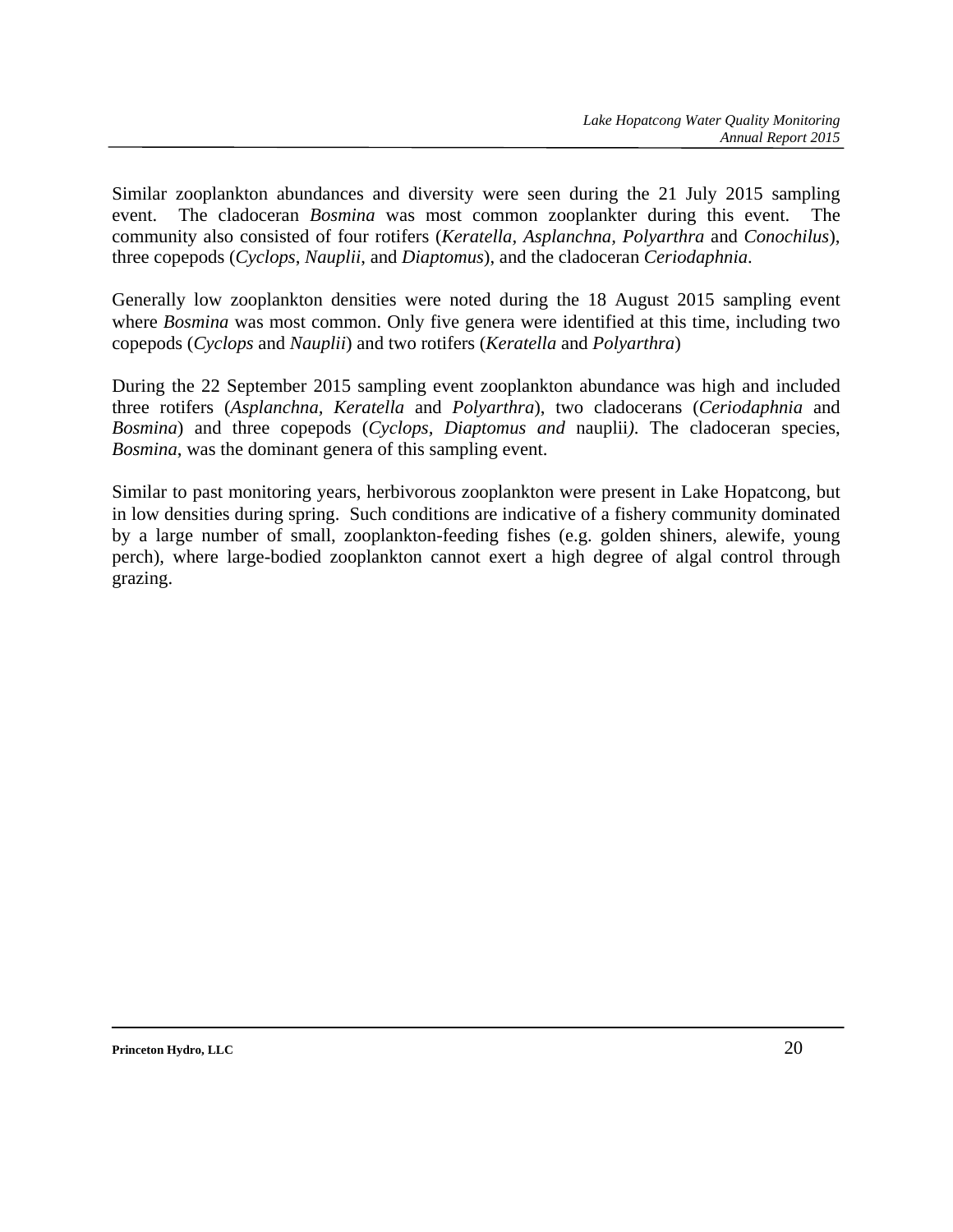Similar zooplankton abundances and diversity were seen during the 21 July 2015 sampling event. The cladoceran *Bosmina* was most common zooplankter during this event. The community also consisted of four rotifers (*Keratella, Asplanchna, Polyarthra* and *Conochilus*), three copepods (*Cyclops*, *Nauplii*, and *Diaptomus*), and the cladoceran *Ceriodaphnia*.

Generally low zooplankton densities were noted during the 18 August 2015 sampling event where *Bosmina* was most common. Only five genera were identified at this time, including two copepods (*Cyclops* and *Nauplii*) and two rotifers (*Keratella* and *Polyarthra*)

During the 22 September 2015 sampling event zooplankton abundance was high and included three rotifers (*Asplanchna, Keratella* and *Polyarthra*), two cladocerans (*Ceriodaphnia* and *Bosmina*) and three copepods (*Cyclops, Diaptomus and* nauplii*)*. The cladoceran species, *Bosmina*, was the dominant genera of this sampling event.

Similar to past monitoring years, herbivorous zooplankton were present in Lake Hopatcong, but in low densities during spring. Such conditions are indicative of a fishery community dominated by a large number of small, zooplankton-feeding fishes (e.g. golden shiners, alewife, young perch), where large-bodied zooplankton cannot exert a high degree of algal control through grazing.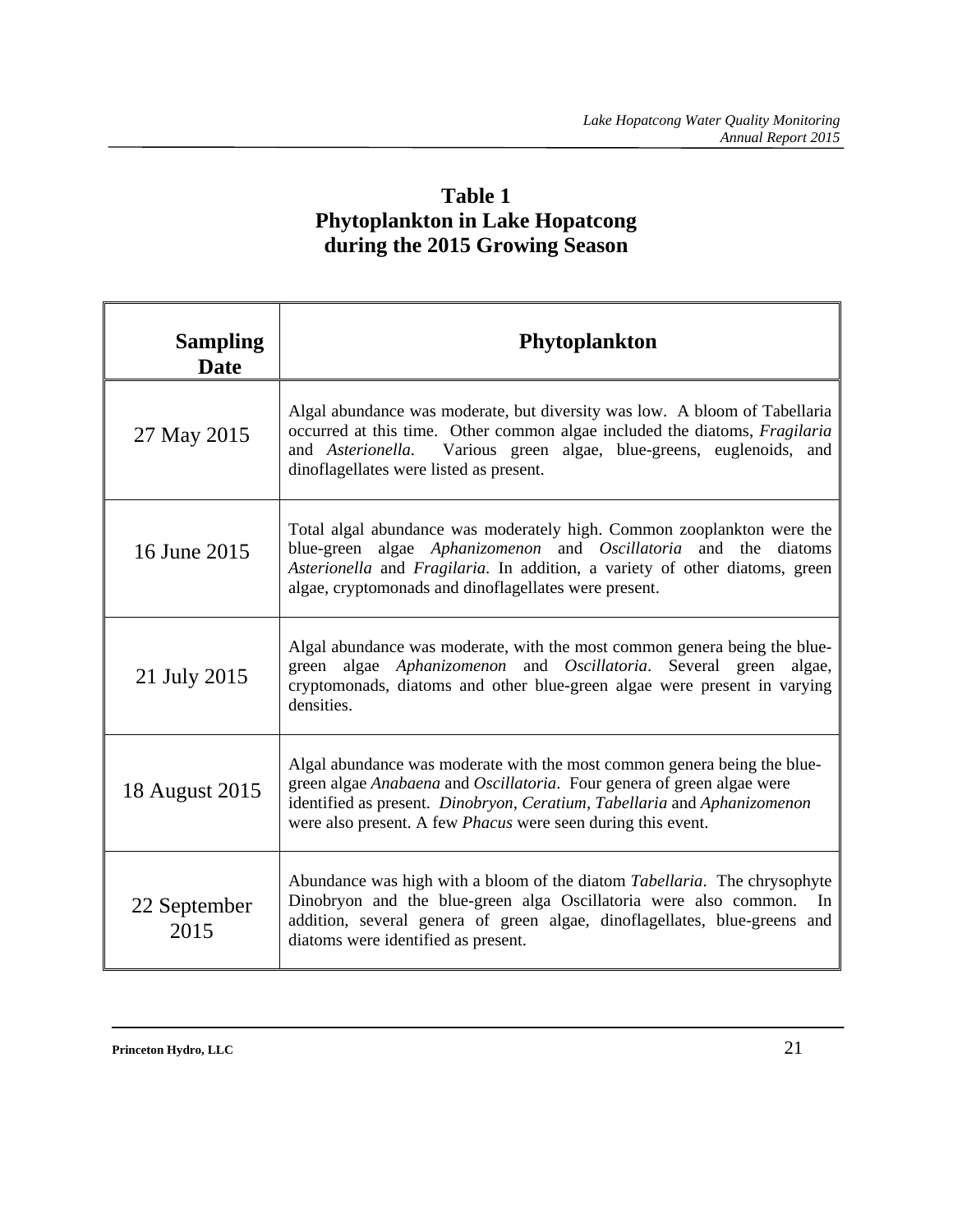## **Table 1 Phytoplankton in Lake Hopatcong during the 2015 Growing Season**

| <b>Sampling</b><br><b>Date</b> | <b>Phytoplankton</b>                                                                                                                                                                                                                                                                                  |
|--------------------------------|-------------------------------------------------------------------------------------------------------------------------------------------------------------------------------------------------------------------------------------------------------------------------------------------------------|
| 27 May 2015                    | Algal abundance was moderate, but diversity was low. A bloom of Tabellaria<br>occurred at this time. Other common algae included the diatoms, <i>Fragilaria</i><br>and <i>Asterionella</i> . Various green algae, blue-greens, euglenoids, and<br>dinoflagellates were listed as present.             |
| 16 June 2015                   | Total algal abundance was moderately high. Common zooplankton were the<br>algae Aphanizomenon and Oscillatoria and the diatoms<br>blue-green<br>Asterionella and Fragilaria. In addition, a variety of other diatoms, green<br>algae, cryptomonads and dinoflagellates were present.                  |
| 21 July 2015                   | Algal abundance was moderate, with the most common genera being the blue-<br>green algae Aphanizomenon and Oscillatoria. Several green algae,<br>cryptomonads, diatoms and other blue-green algae were present in varying<br>densities.                                                               |
| 18 August 2015                 | Algal abundance was moderate with the most common genera being the blue-<br>green algae Anabaena and Oscillatoria. Four genera of green algae were<br>identified as present. Dinobryon, Ceratium, Tabellaria and Aphanizomenon<br>were also present. A few <i>Phacus</i> were seen during this event. |
| 22 September<br>2015           | Abundance was high with a bloom of the diatom Tabellaria. The chrysophyte<br>Dinobryon and the blue-green alga Oscillatoria were also common. In<br>addition, several genera of green algae, dinoflagellates, blue-greens and<br>diatoms were identified as present.                                  |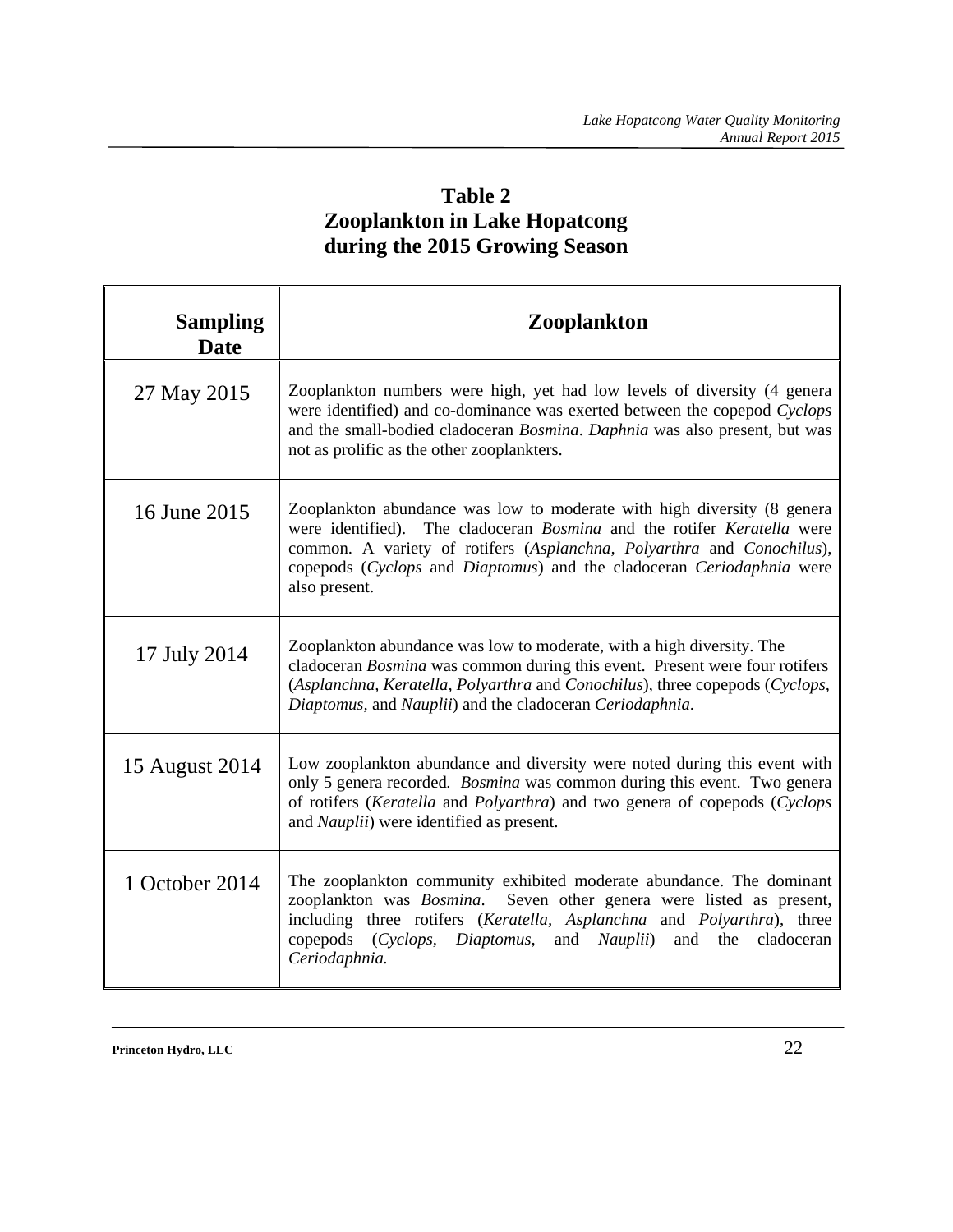## **Table 2 Zooplankton in Lake Hopatcong during the 2015 Growing Season**

| <b>Sampling</b><br><b>Date</b> | <b>Zooplankton</b>                                                                                                                                                                                                                                                                                                                   |
|--------------------------------|--------------------------------------------------------------------------------------------------------------------------------------------------------------------------------------------------------------------------------------------------------------------------------------------------------------------------------------|
| 27 May 2015                    | Zooplankton numbers were high, yet had low levels of diversity (4 genera<br>were identified) and co-dominance was exerted between the copepod Cyclops<br>and the small-bodied cladoceran <i>Bosmina</i> . Daphnia was also present, but was<br>not as prolific as the other zooplankters.                                            |
| 16 June 2015                   | Zooplankton abundance was low to moderate with high diversity (8 genera<br>were identified). The cladoceran <i>Bosmina</i> and the rotifer <i>Keratella</i> were<br>common. A variety of rotifers (Asplanchna, Polyarthra and Conochilus),<br>copepods (Cyclops and Diaptomus) and the cladoceran Ceriodaphnia were<br>also present. |
| 17 July 2014                   | Zooplankton abundance was low to moderate, with a high diversity. The<br>cladoceran Bosmina was common during this event. Present were four rotifers<br>(Asplanchna, Keratella, Polyarthra and Conochilus), three copepods (Cyclops,<br>Diaptomus, and Nauplii) and the cladoceran Ceriodaphnia.                                     |
| 15 August 2014                 | Low zooplankton abundance and diversity were noted during this event with<br>only 5 genera recorded. <i>Bosmina</i> was common during this event. Two genera<br>of rotifers (Keratella and Polyarthra) and two genera of copepods (Cyclops<br>and Nauplii) were identified as present.                                               |
| 1 October 2014                 | The zooplankton community exhibited moderate abundance. The dominant<br>zooplankton was Bosmina. Seven other genera were listed as present,<br>including three rotifers (Keratella, Asplanchna and Polyarthra), three<br>copepods (Cyclops, Diaptomus,<br>and <i>Nauplii</i> )<br>and<br>the<br>cladoceran<br>Ceriodaphnia.          |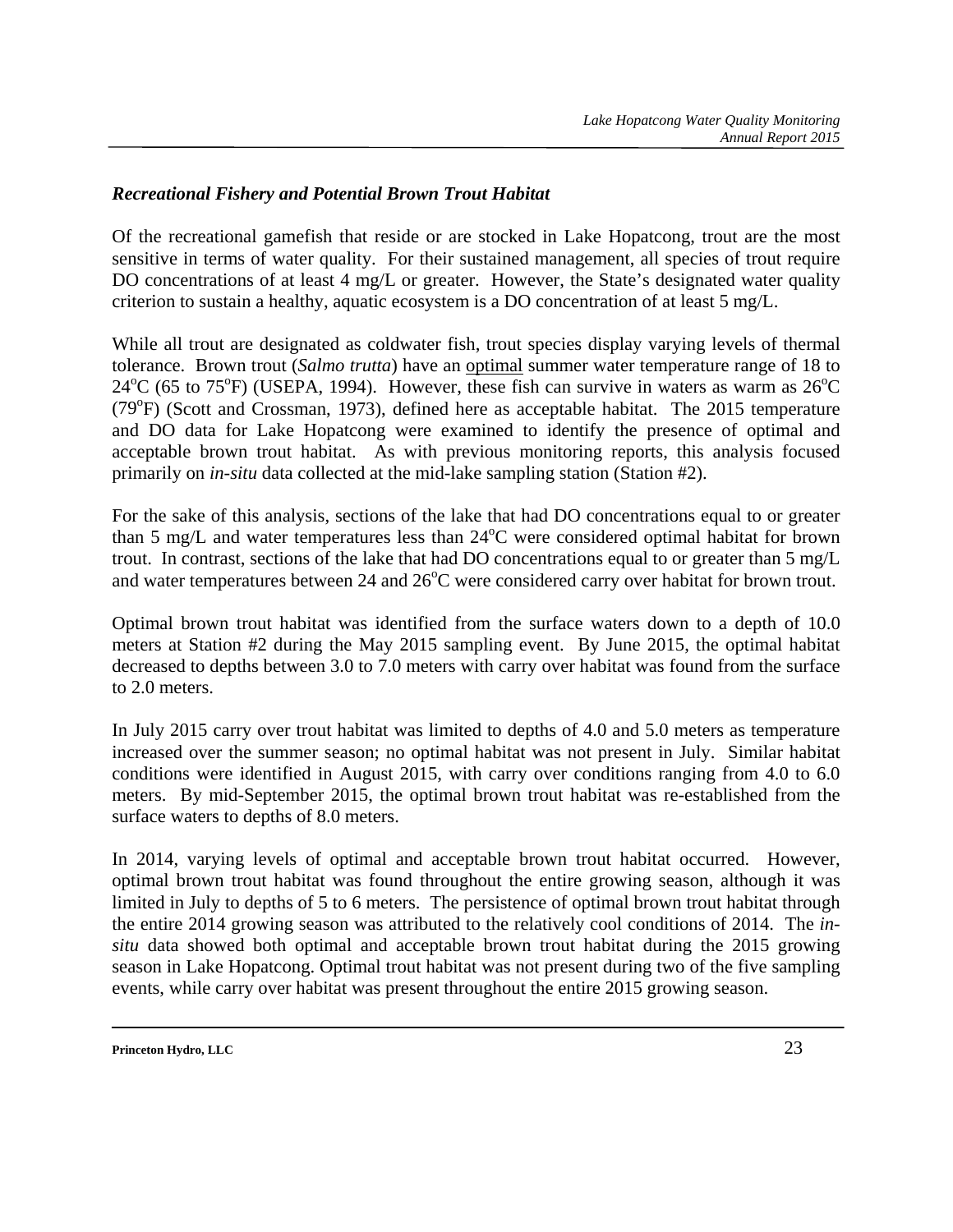#### *Recreational Fishery and Potential Brown Trout Habitat*

Of the recreational gamefish that reside or are stocked in Lake Hopatcong, trout are the most sensitive in terms of water quality. For their sustained management, all species of trout require DO concentrations of at least 4 mg/L or greater. However, the State's designated water quality criterion to sustain a healthy, aquatic ecosystem is a DO concentration of at least 5 mg/L.

While all trout are designated as coldwater fish, trout species display varying levels of thermal tolerance. Brown trout (*Salmo trutta*) have an optimal summer water temperature range of 18 to  $24^{\circ}$ C (65 to 75<sup>o</sup>F) (USEPA, 1994). However, these fish can survive in waters as warm as  $26^{\circ}$ C (79°F) (Scott and Crossman, 1973), defined here as acceptable habitat. The 2015 temperature and DO data for Lake Hopatcong were examined to identify the presence of optimal and acceptable brown trout habitat. As with previous monitoring reports, this analysis focused primarily on *in-situ* data collected at the mid-lake sampling station (Station #2).

For the sake of this analysis, sections of the lake that had DO concentrations equal to or greater than 5 mg/L and water temperatures less than  $24^{\circ}$ C were considered optimal habitat for brown trout. In contrast, sections of the lake that had DO concentrations equal to or greater than 5 mg/L and water temperatures between 24 and  $26^{\circ}$ C were considered carry over habitat for brown trout.

Optimal brown trout habitat was identified from the surface waters down to a depth of 10.0 meters at Station #2 during the May 2015 sampling event. By June 2015, the optimal habitat decreased to depths between 3.0 to 7.0 meters with carry over habitat was found from the surface to 2.0 meters.

In July 2015 carry over trout habitat was limited to depths of 4.0 and 5.0 meters as temperature increased over the summer season; no optimal habitat was not present in July. Similar habitat conditions were identified in August 2015, with carry over conditions ranging from 4.0 to 6.0 meters. By mid-September 2015, the optimal brown trout habitat was re-established from the surface waters to depths of 8.0 meters.

In 2014, varying levels of optimal and acceptable brown trout habitat occurred. However, optimal brown trout habitat was found throughout the entire growing season, although it was limited in July to depths of 5 to 6 meters. The persistence of optimal brown trout habitat through the entire 2014 growing season was attributed to the relatively cool conditions of 2014. The *insitu* data showed both optimal and acceptable brown trout habitat during the 2015 growing season in Lake Hopatcong. Optimal trout habitat was not present during two of the five sampling events, while carry over habitat was present throughout the entire 2015 growing season.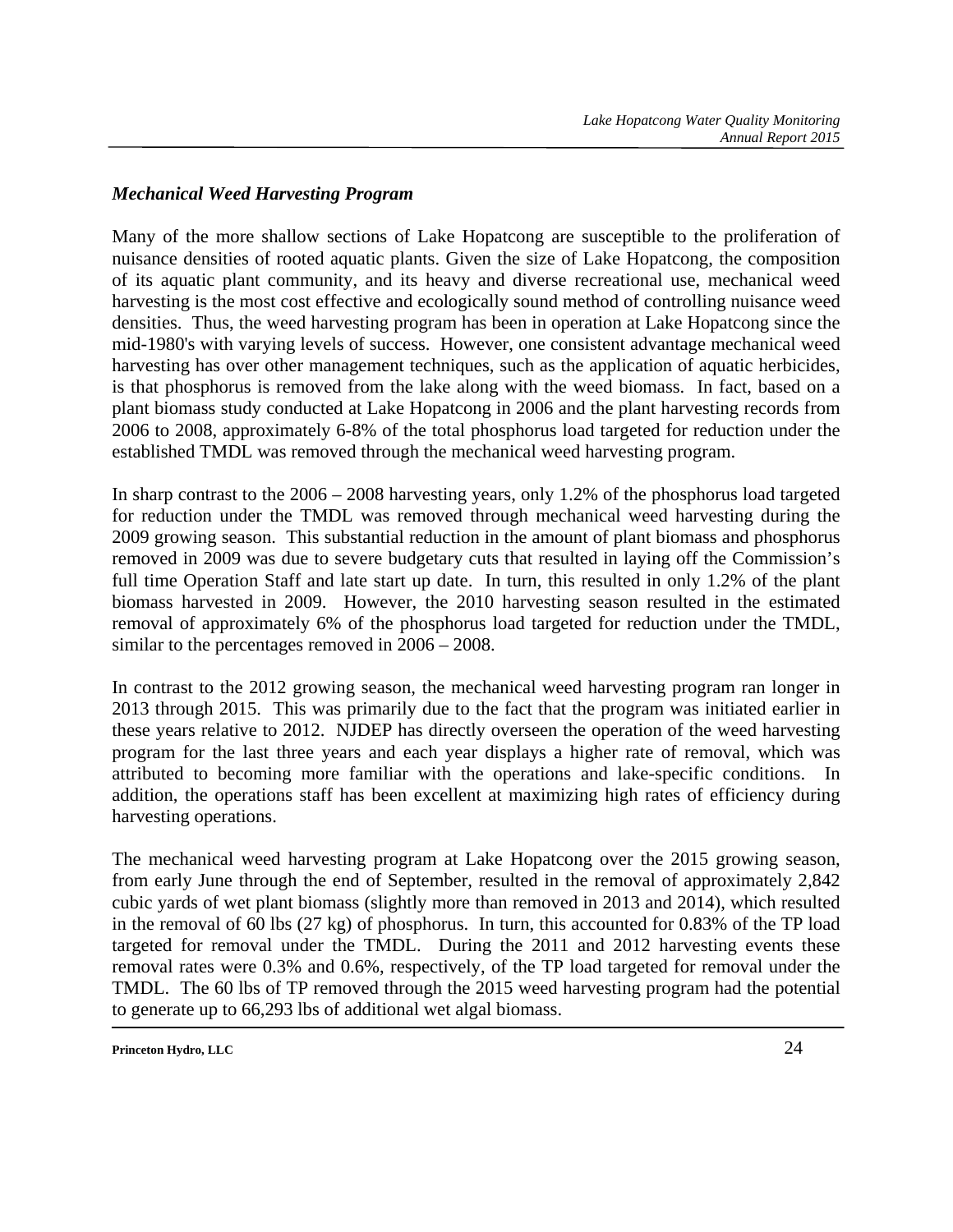#### *Mechanical Weed Harvesting Program*

Many of the more shallow sections of Lake Hopatcong are susceptible to the proliferation of nuisance densities of rooted aquatic plants. Given the size of Lake Hopatcong, the composition of its aquatic plant community, and its heavy and diverse recreational use, mechanical weed harvesting is the most cost effective and ecologically sound method of controlling nuisance weed densities. Thus, the weed harvesting program has been in operation at Lake Hopatcong since the mid-1980's with varying levels of success. However, one consistent advantage mechanical weed harvesting has over other management techniques, such as the application of aquatic herbicides, is that phosphorus is removed from the lake along with the weed biomass. In fact, based on a plant biomass study conducted at Lake Hopatcong in 2006 and the plant harvesting records from 2006 to 2008, approximately 6-8% of the total phosphorus load targeted for reduction under the established TMDL was removed through the mechanical weed harvesting program.

In sharp contrast to the 2006 – 2008 harvesting years, only 1.2% of the phosphorus load targeted for reduction under the TMDL was removed through mechanical weed harvesting during the 2009 growing season. This substantial reduction in the amount of plant biomass and phosphorus removed in 2009 was due to severe budgetary cuts that resulted in laying off the Commission's full time Operation Staff and late start up date. In turn, this resulted in only 1.2% of the plant biomass harvested in 2009. However, the 2010 harvesting season resulted in the estimated removal of approximately 6% of the phosphorus load targeted for reduction under the TMDL, similar to the percentages removed in 2006 – 2008.

In contrast to the 2012 growing season, the mechanical weed harvesting program ran longer in 2013 through 2015. This was primarily due to the fact that the program was initiated earlier in these years relative to 2012. NJDEP has directly overseen the operation of the weed harvesting program for the last three years and each year displays a higher rate of removal, which was attributed to becoming more familiar with the operations and lake-specific conditions. In addition, the operations staff has been excellent at maximizing high rates of efficiency during harvesting operations.

The mechanical weed harvesting program at Lake Hopatcong over the 2015 growing season, from early June through the end of September, resulted in the removal of approximately 2,842 cubic yards of wet plant biomass (slightly more than removed in 2013 and 2014), which resulted in the removal of 60 lbs (27 kg) of phosphorus. In turn, this accounted for 0.83% of the TP load targeted for removal under the TMDL. During the 2011 and 2012 harvesting events these removal rates were 0.3% and 0.6%, respectively, of the TP load targeted for removal under the TMDL. The 60 lbs of TP removed through the 2015 weed harvesting program had the potential to generate up to 66,293 lbs of additional wet algal biomass.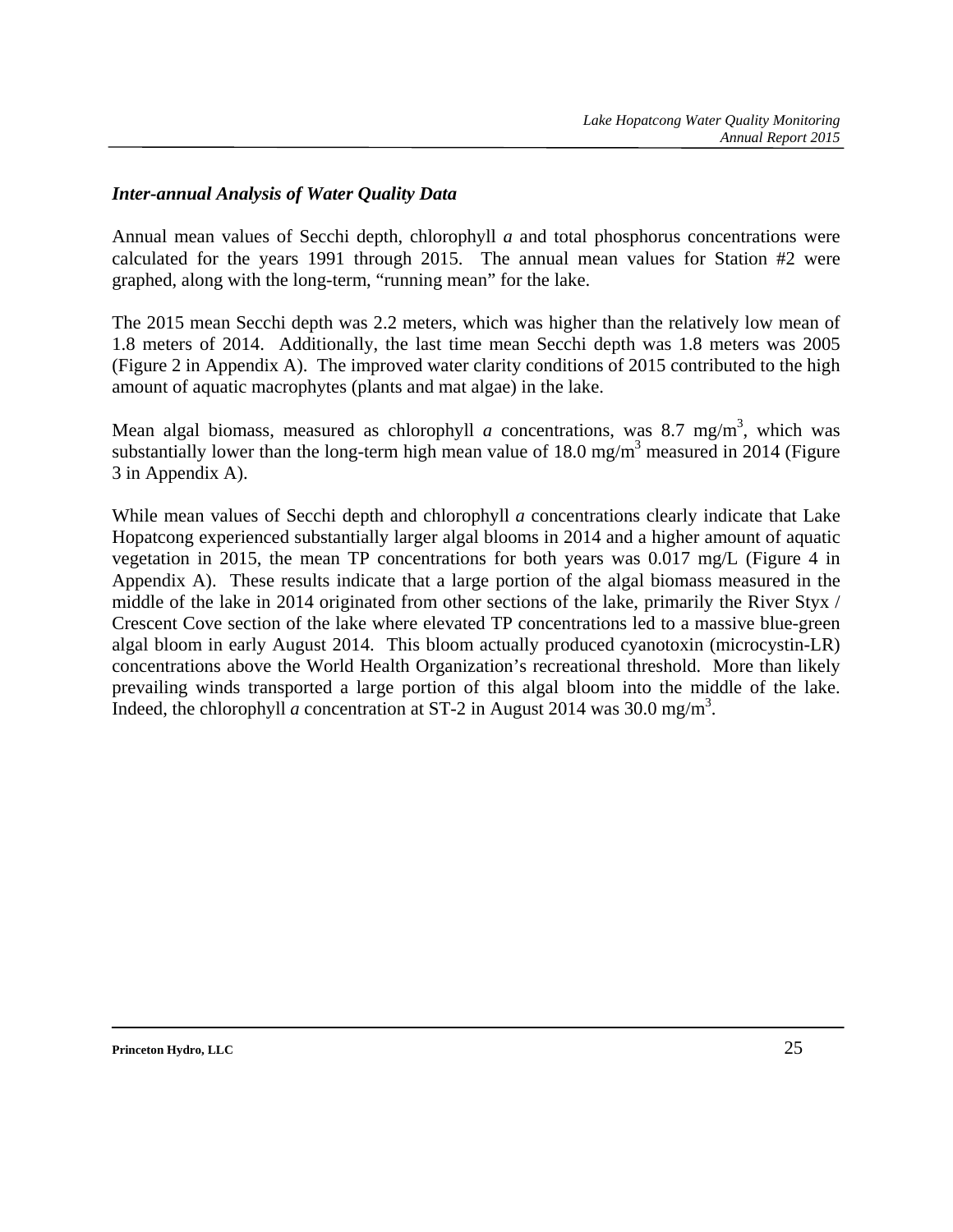#### *Inter-annual Analysis of Water Quality Data*

Annual mean values of Secchi depth, chlorophyll *a* and total phosphorus concentrations were calculated for the years 1991 through 2015. The annual mean values for Station #2 were graphed, along with the long-term, "running mean" for the lake.

The 2015 mean Secchi depth was 2.2 meters, which was higher than the relatively low mean of 1.8 meters of 2014. Additionally, the last time mean Secchi depth was 1.8 meters was 2005 (Figure 2 in Appendix A). The improved water clarity conditions of 2015 contributed to the high amount of aquatic macrophytes (plants and mat algae) in the lake.

Mean algal biomass, measured as chlorophyll *a* concentrations, was 8.7 mg/m<sup>3</sup>, which was substantially lower than the long-term high mean value of  $18.0 \text{ mg/m}^3$  measured in 2014 (Figure 3 in Appendix A).

While mean values of Secchi depth and chlorophyll *a* concentrations clearly indicate that Lake Hopatcong experienced substantially larger algal blooms in 2014 and a higher amount of aquatic vegetation in 2015, the mean TP concentrations for both years was 0.017 mg/L (Figure 4 in Appendix A). These results indicate that a large portion of the algal biomass measured in the middle of the lake in 2014 originated from other sections of the lake, primarily the River Styx / Crescent Cove section of the lake where elevated TP concentrations led to a massive blue-green algal bloom in early August 2014. This bloom actually produced cyanotoxin (microcystin-LR) concentrations above the World Health Organization's recreational threshold. More than likely prevailing winds transported a large portion of this algal bloom into the middle of the lake. Indeed, the chlorophyll *a* concentration at ST-2 in August 2014 was 30.0 mg/m<sup>3</sup>.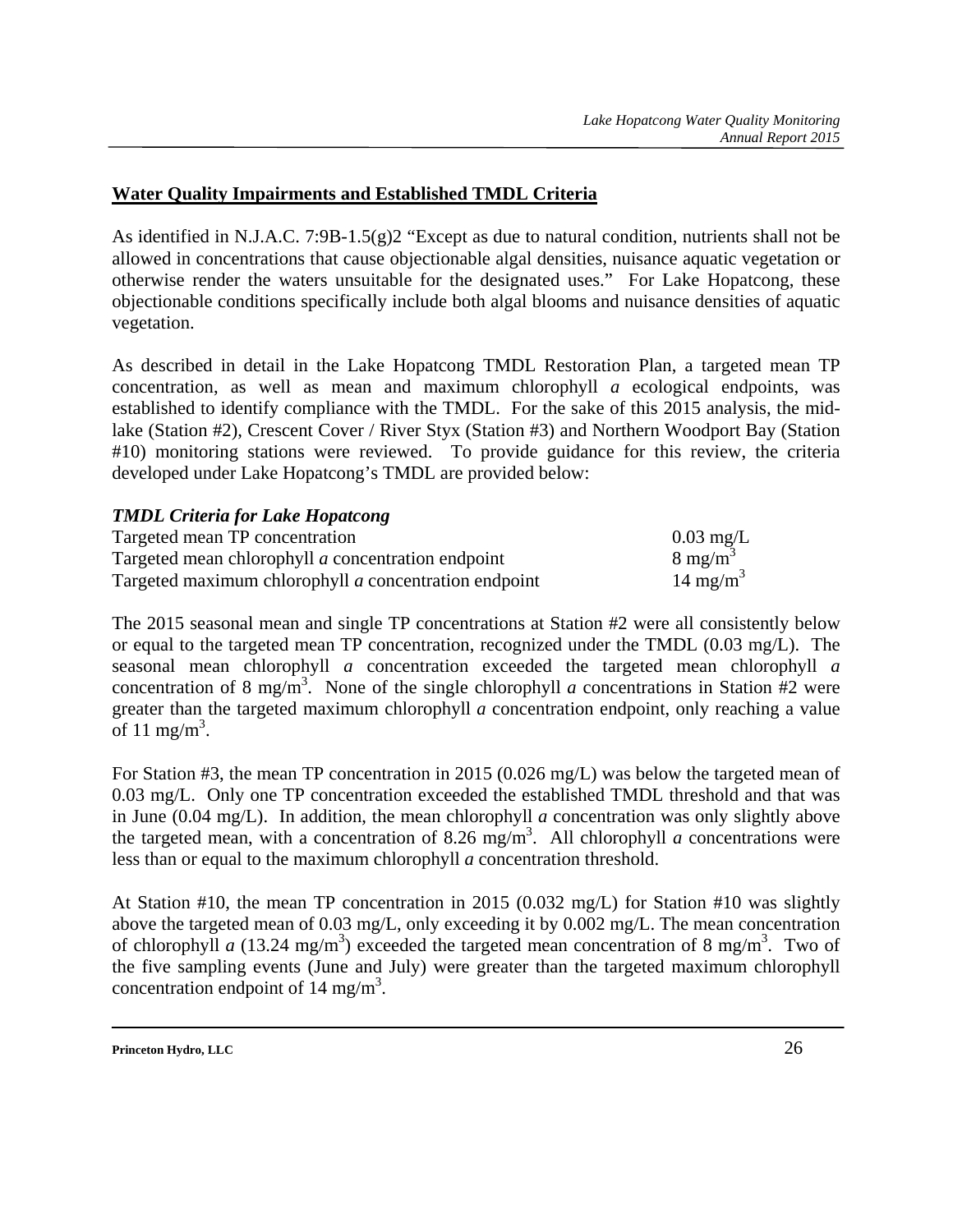### **Water Quality Impairments and Established TMDL Criteria**

As identified in N.J.A.C. 7:9B-1.5(g)2 "Except as due to natural condition, nutrients shall not be allowed in concentrations that cause objectionable algal densities, nuisance aquatic vegetation or otherwise render the waters unsuitable for the designated uses." For Lake Hopatcong, these objectionable conditions specifically include both algal blooms and nuisance densities of aquatic vegetation.

As described in detail in the Lake Hopatcong TMDL Restoration Plan, a targeted mean TP concentration, as well as mean and maximum chlorophyll *a* ecological endpoints, was established to identify compliance with the TMDL. For the sake of this 2015 analysis, the midlake (Station #2), Crescent Cover / River Styx (Station #3) and Northern Woodport Bay (Station #10) monitoring stations were reviewed. To provide guidance for this review, the criteria developed under Lake Hopatcong's TMDL are provided below:

### *TMDL Criteria for Lake Hopatcong*

| Targeted mean TP concentration                        | $0.03 \text{ mg/L}$  |
|-------------------------------------------------------|----------------------|
| Targeted mean chlorophyll a concentration endpoint    | $8 \text{ mg/m}^3$   |
| Targeted maximum chlorophyll a concentration endpoint | 14 mg/m <sup>3</sup> |

The 2015 seasonal mean and single TP concentrations at Station #2 were all consistently below or equal to the targeted mean TP concentration, recognized under the TMDL (0.03 mg/L). The seasonal mean chlorophyll *a* concentration exceeded the targeted mean chlorophyll *a* concentration of 8 mg/m<sup>3</sup>. None of the single chlorophyll *a* concentrations in Station #2 were greater than the targeted maximum chlorophyll *a* concentration endpoint, only reaching a value of 11 mg/m<sup>3</sup>.

For Station #3, the mean TP concentration in 2015 (0.026 mg/L) was below the targeted mean of 0.03 mg/L. Only one TP concentration exceeded the established TMDL threshold and that was in June (0.04 mg/L). In addition, the mean chlorophyll *a* concentration was only slightly above the targeted mean, with a concentration of 8.26 mg/m<sup>3</sup>. All chlorophyll *a* concentrations were less than or equal to the maximum chlorophyll *a* concentration threshold.

At Station #10, the mean TP concentration in 2015 (0.032 mg/L) for Station #10 was slightly above the targeted mean of 0.03 mg/L, only exceeding it by 0.002 mg/L. The mean concentration of chlorophyll *a* (13.24 mg/m<sup>3</sup>) exceeded the targeted mean concentration of 8 mg/m<sup>3</sup>. Two of the five sampling events (June and July) were greater than the targeted maximum chlorophyll concentration endpoint of  $14 \text{ mg/m}^3$ .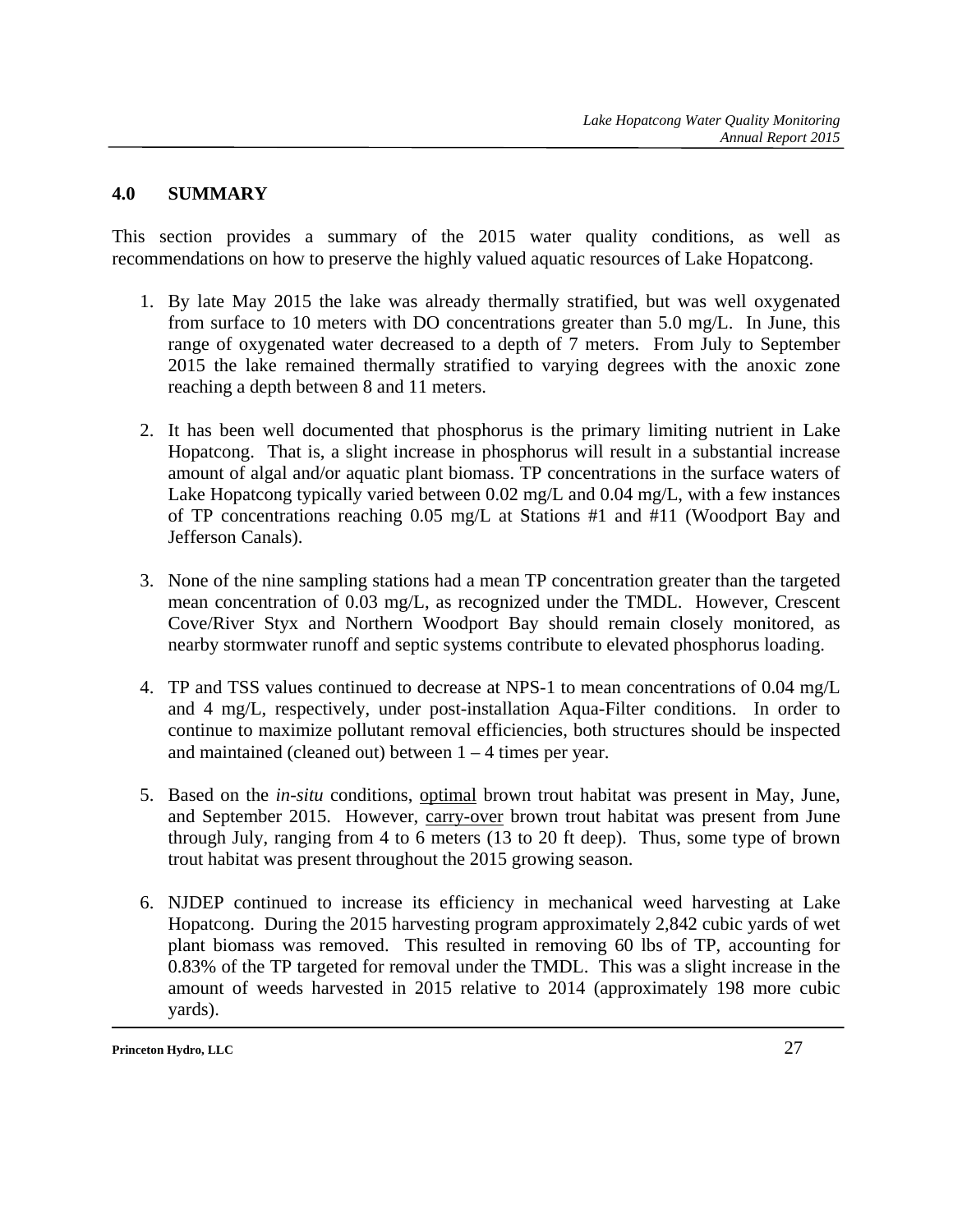#### **4.0 SUMMARY**

This section provides a summary of the 2015 water quality conditions, as well as recommendations on how to preserve the highly valued aquatic resources of Lake Hopatcong.

- 1. By late May 2015 the lake was already thermally stratified, but was well oxygenated from surface to 10 meters with DO concentrations greater than 5.0 mg/L. In June, this range of oxygenated water decreased to a depth of 7 meters. From July to September 2015 the lake remained thermally stratified to varying degrees with the anoxic zone reaching a depth between 8 and 11 meters.
- 2. It has been well documented that phosphorus is the primary limiting nutrient in Lake Hopatcong. That is, a slight increase in phosphorus will result in a substantial increase amount of algal and/or aquatic plant biomass. TP concentrations in the surface waters of Lake Hopatcong typically varied between 0.02 mg/L and 0.04 mg/L, with a few instances of TP concentrations reaching 0.05 mg/L at Stations #1 and #11 (Woodport Bay and Jefferson Canals).
- 3. None of the nine sampling stations had a mean TP concentration greater than the targeted mean concentration of 0.03 mg/L, as recognized under the TMDL. However, Crescent Cove/River Styx and Northern Woodport Bay should remain closely monitored, as nearby stormwater runoff and septic systems contribute to elevated phosphorus loading.
- 4. TP and TSS values continued to decrease at NPS-1 to mean concentrations of 0.04 mg/L and 4 mg/L, respectively, under post-installation Aqua-Filter conditions. In order to continue to maximize pollutant removal efficiencies, both structures should be inspected and maintained (cleaned out) between  $1 - 4$  times per year.
- 5. Based on the *in-situ* conditions, optimal brown trout habitat was present in May, June, and September 2015. However, carry-over brown trout habitat was present from June through July, ranging from 4 to 6 meters (13 to 20 ft deep). Thus, some type of brown trout habitat was present throughout the 2015 growing season.
- 6. NJDEP continued to increase its efficiency in mechanical weed harvesting at Lake Hopatcong. During the 2015 harvesting program approximately 2,842 cubic yards of wet plant biomass was removed. This resulted in removing 60 lbs of TP, accounting for 0.83% of the TP targeted for removal under the TMDL. This was a slight increase in the amount of weeds harvested in 2015 relative to 2014 (approximately 198 more cubic yards).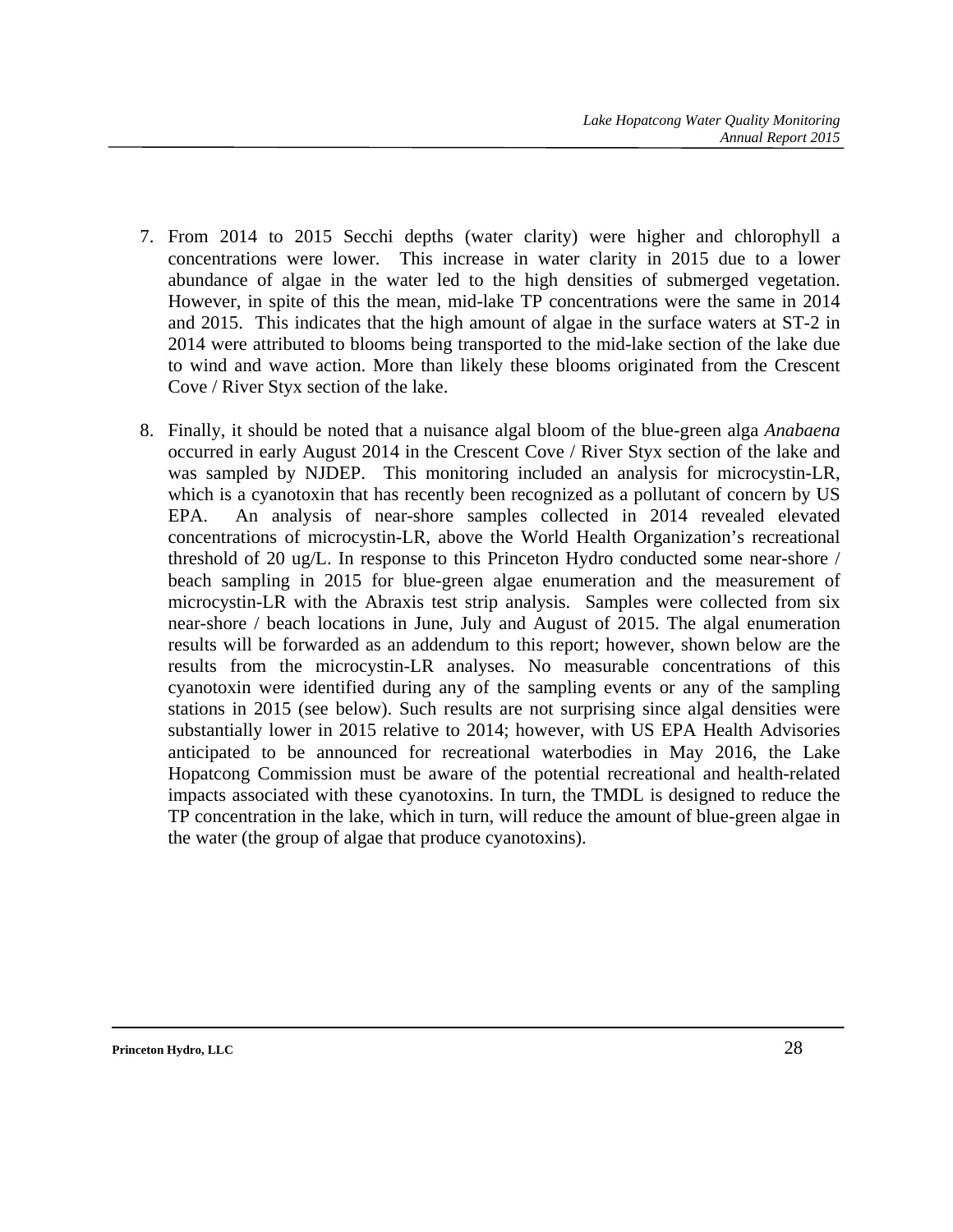- 7. From 2014 to 2015 Secchi depths (water clarity) were higher and chlorophyll a concentrations were lower. This increase in water clarity in 2015 due to a lower abundance of algae in the water led to the high densities of submerged vegetation. However, in spite of this the mean, mid-lake TP concentrations were the same in 2014 and 2015. This indicates that the high amount of algae in the surface waters at ST-2 in 2014 were attributed to blooms being transported to the mid-lake section of the lake due to wind and wave action. More than likely these blooms originated from the Crescent Cove / River Styx section of the lake.
- 8. Finally, it should be noted that a nuisance algal bloom of the blue-green alga *Anabaena*  occurred in early August 2014 in the Crescent Cove / River Styx section of the lake and was sampled by NJDEP. This monitoring included an analysis for microcystin-LR, which is a cyanotoxin that has recently been recognized as a pollutant of concern by US EPA. An analysis of near-shore samples collected in 2014 revealed elevated concentrations of microcystin-LR, above the World Health Organization's recreational threshold of 20 ug/L. In response to this Princeton Hydro conducted some near-shore / beach sampling in 2015 for blue-green algae enumeration and the measurement of microcystin-LR with the Abraxis test strip analysis. Samples were collected from six near-shore / beach locations in June, July and August of 2015. The algal enumeration results will be forwarded as an addendum to this report; however, shown below are the results from the microcystin-LR analyses. No measurable concentrations of this cyanotoxin were identified during any of the sampling events or any of the sampling stations in 2015 (see below). Such results are not surprising since algal densities were substantially lower in 2015 relative to 2014; however, with US EPA Health Advisories anticipated to be announced for recreational waterbodies in May 2016, the Lake Hopatcong Commission must be aware of the potential recreational and health-related impacts associated with these cyanotoxins. In turn, the TMDL is designed to reduce the TP concentration in the lake, which in turn, will reduce the amount of blue-green algae in the water (the group of algae that produce cyanotoxins).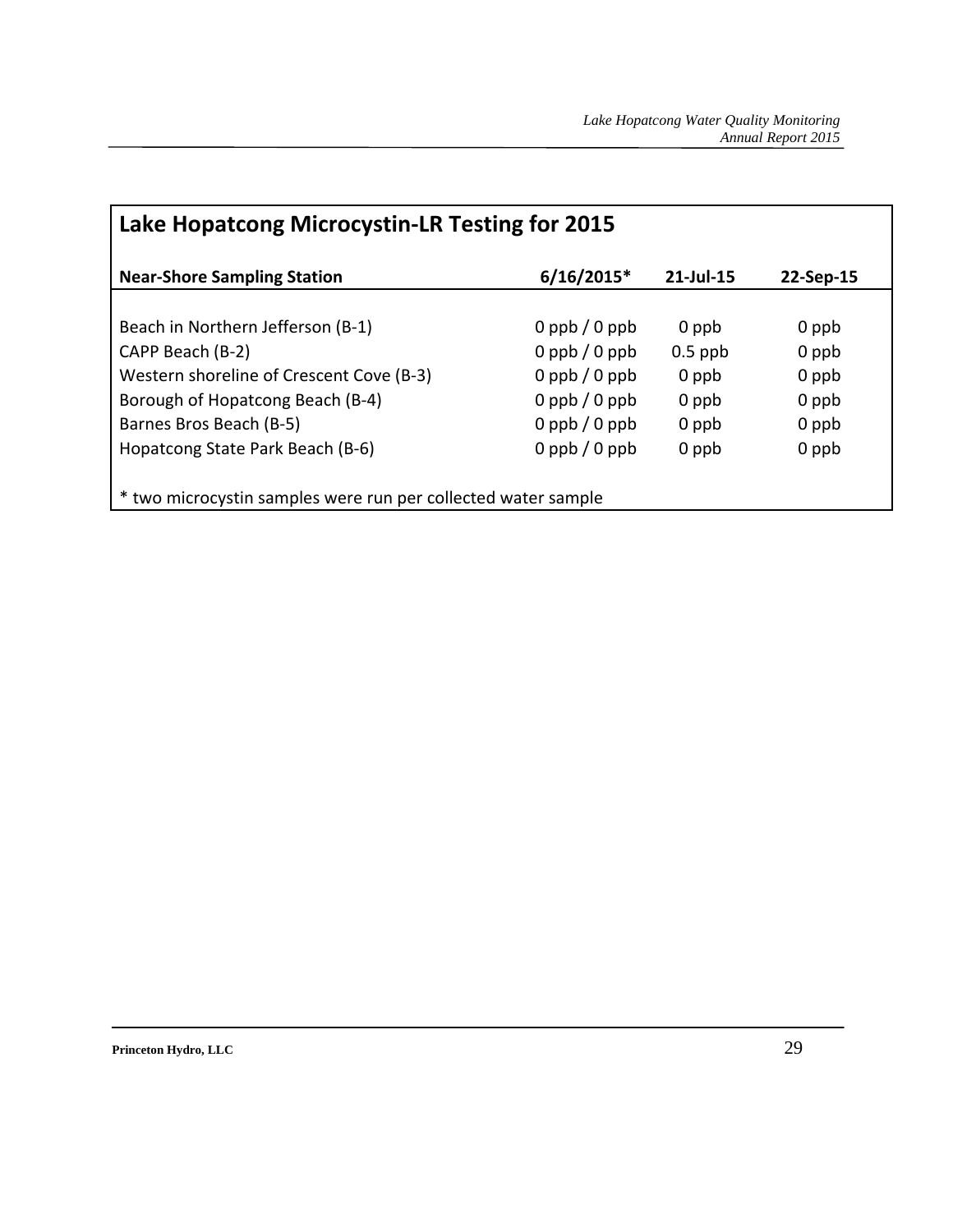| Lake Hopatcong Microcystin-LR Testing for 2015                               |                        |           |       |  |  |  |  |  |  |  |  |
|------------------------------------------------------------------------------|------------------------|-----------|-------|--|--|--|--|--|--|--|--|
| $6/16/2015*$<br>21-Jul-15<br><b>Near-Shore Sampling Station</b><br>22-Sep-15 |                        |           |       |  |  |  |  |  |  |  |  |
|                                                                              |                        |           |       |  |  |  |  |  |  |  |  |
| Beach in Northern Jefferson (B-1)                                            | $0$ ppb $\sqrt{0}$ ppb | 0 ppb     | 0 ppb |  |  |  |  |  |  |  |  |
| CAPP Beach (B-2)                                                             | $0$ ppb $/0$ ppb       | $0.5$ ppb | 0 ppb |  |  |  |  |  |  |  |  |
| Western shoreline of Crescent Cove (B-3)                                     | $0$ ppb $/0$ ppb       | 0 ppb     | 0 ppb |  |  |  |  |  |  |  |  |
| Borough of Hopatcong Beach (B-4)                                             | $0$ ppb $/0$ ppb       | 0 ppb     | 0 ppb |  |  |  |  |  |  |  |  |
| Barnes Bros Beach (B-5)                                                      | $0$ ppb $/0$ ppb       | 0 ppb     | 0 ppb |  |  |  |  |  |  |  |  |
| Hopatcong State Park Beach (B-6)                                             | $0$ ppb $/0$ ppb       | 0 ppb     | 0 ppb |  |  |  |  |  |  |  |  |
|                                                                              |                        |           |       |  |  |  |  |  |  |  |  |
| * two microcystin samples were run per collected water sample                |                        |           |       |  |  |  |  |  |  |  |  |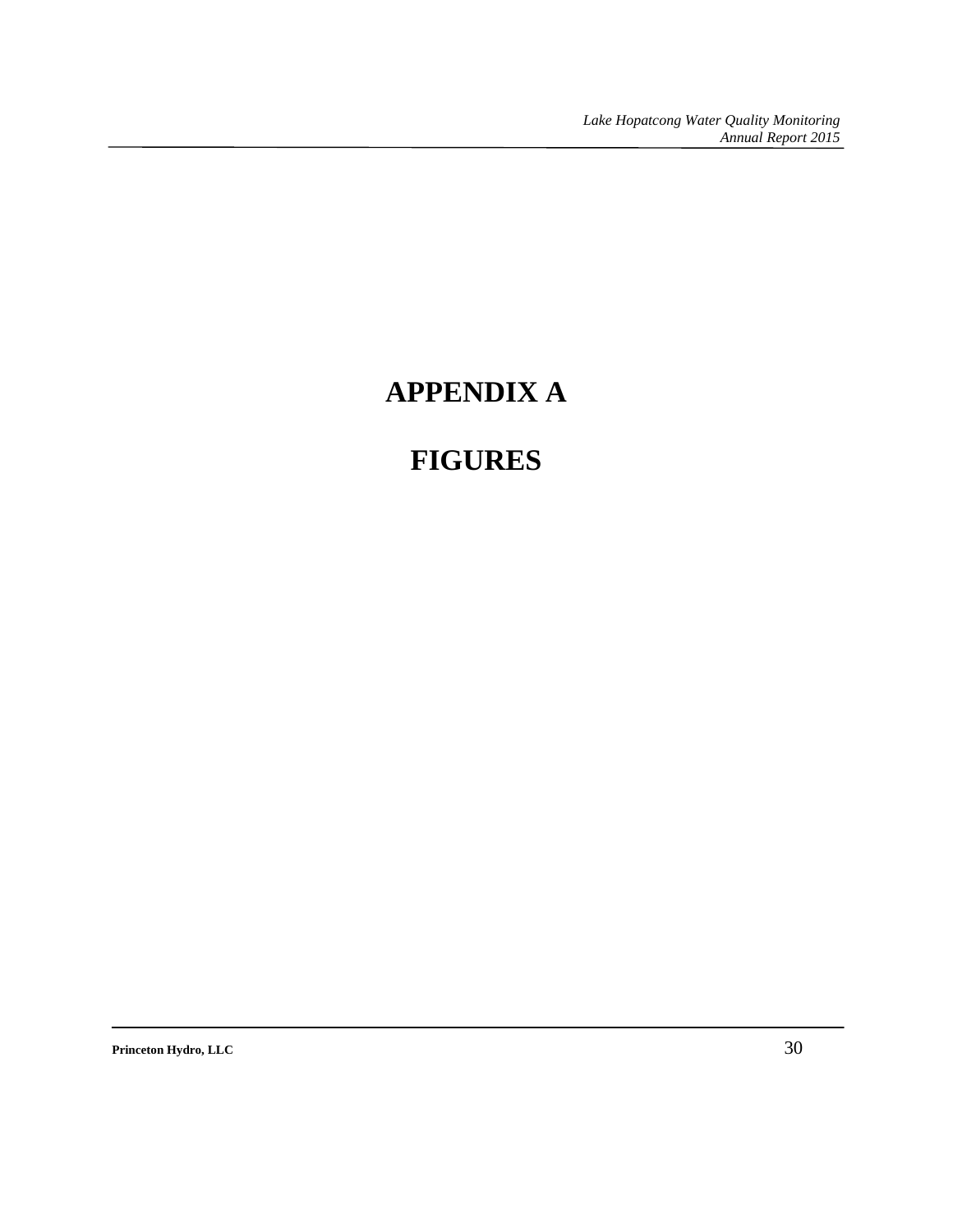*Lake Hopatcong Water Quality Monitoring Annual Report 2015* 

# **APPENDIX A**

## **FIGURES**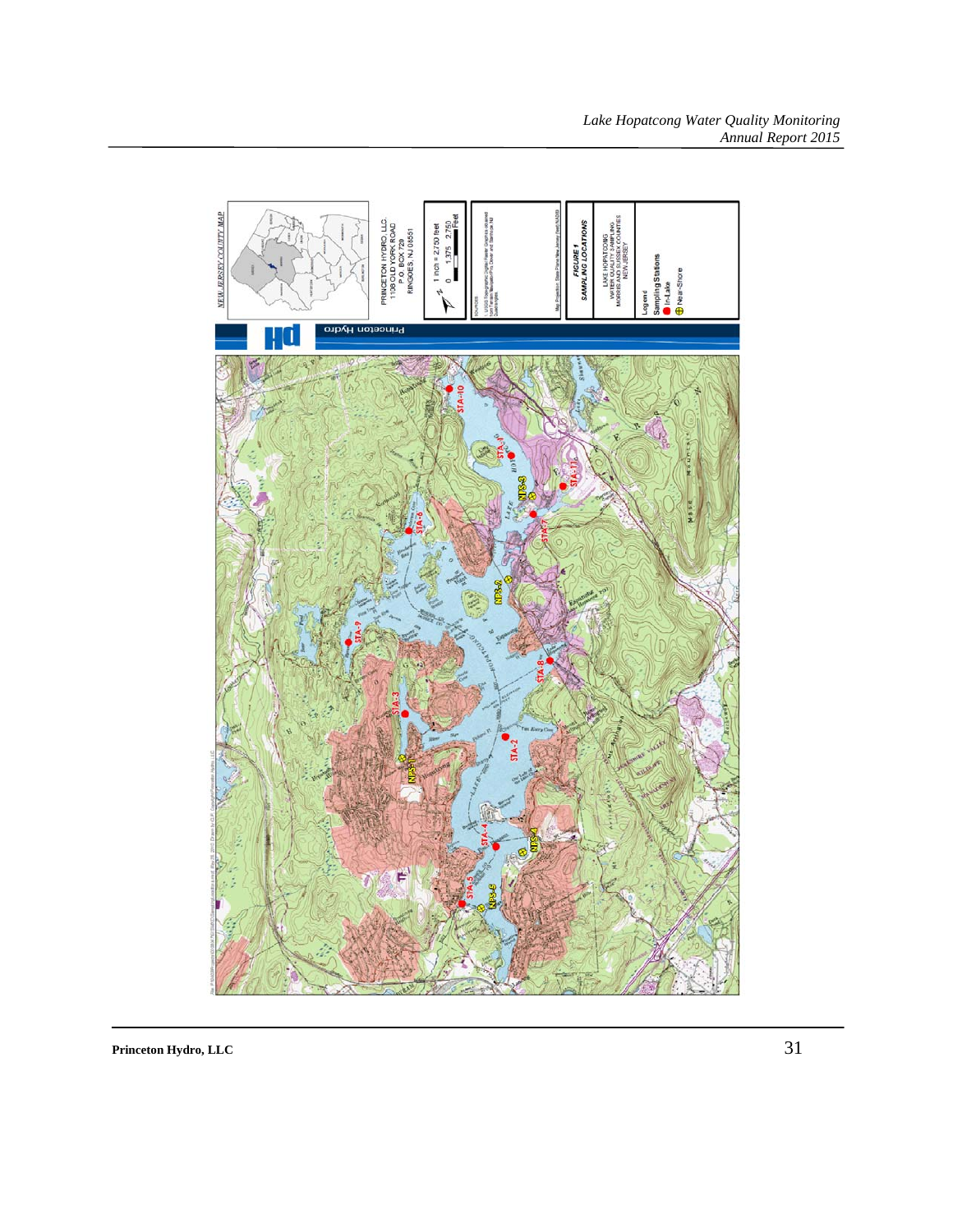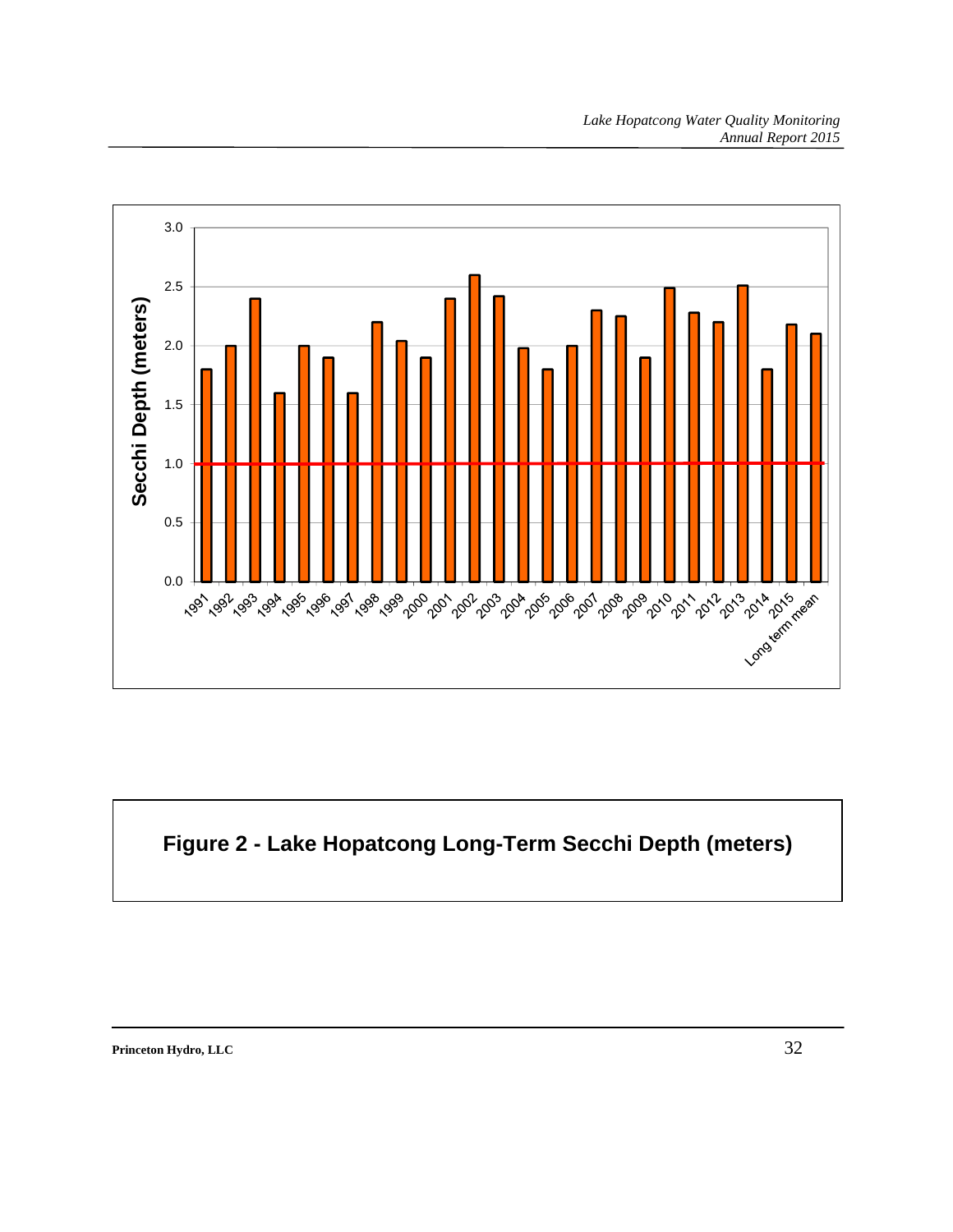

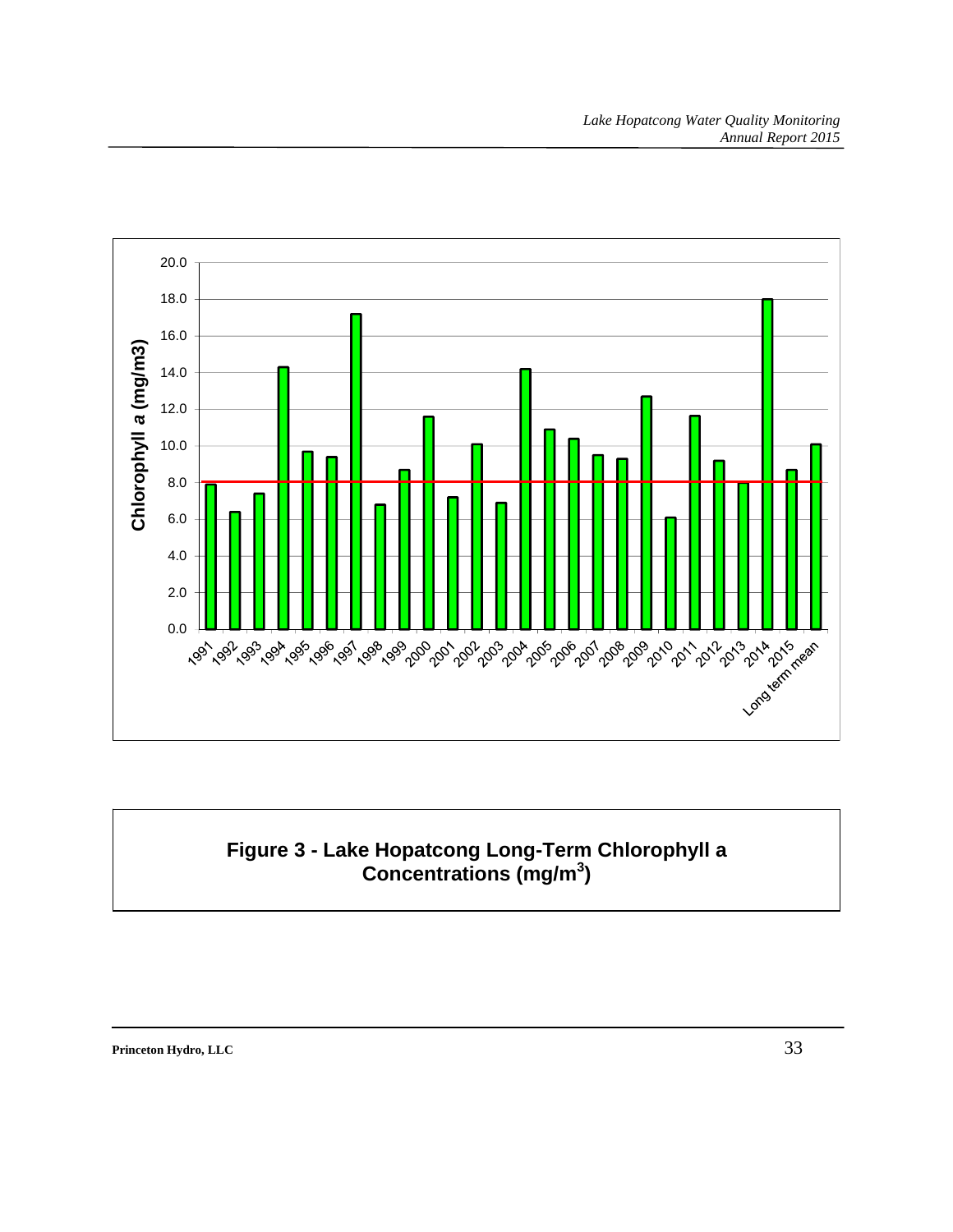

## **Figure 3 - Lake Hopatcong Long-Term Chlorophyll a Concentrations (mg/m<sup>3</sup> )**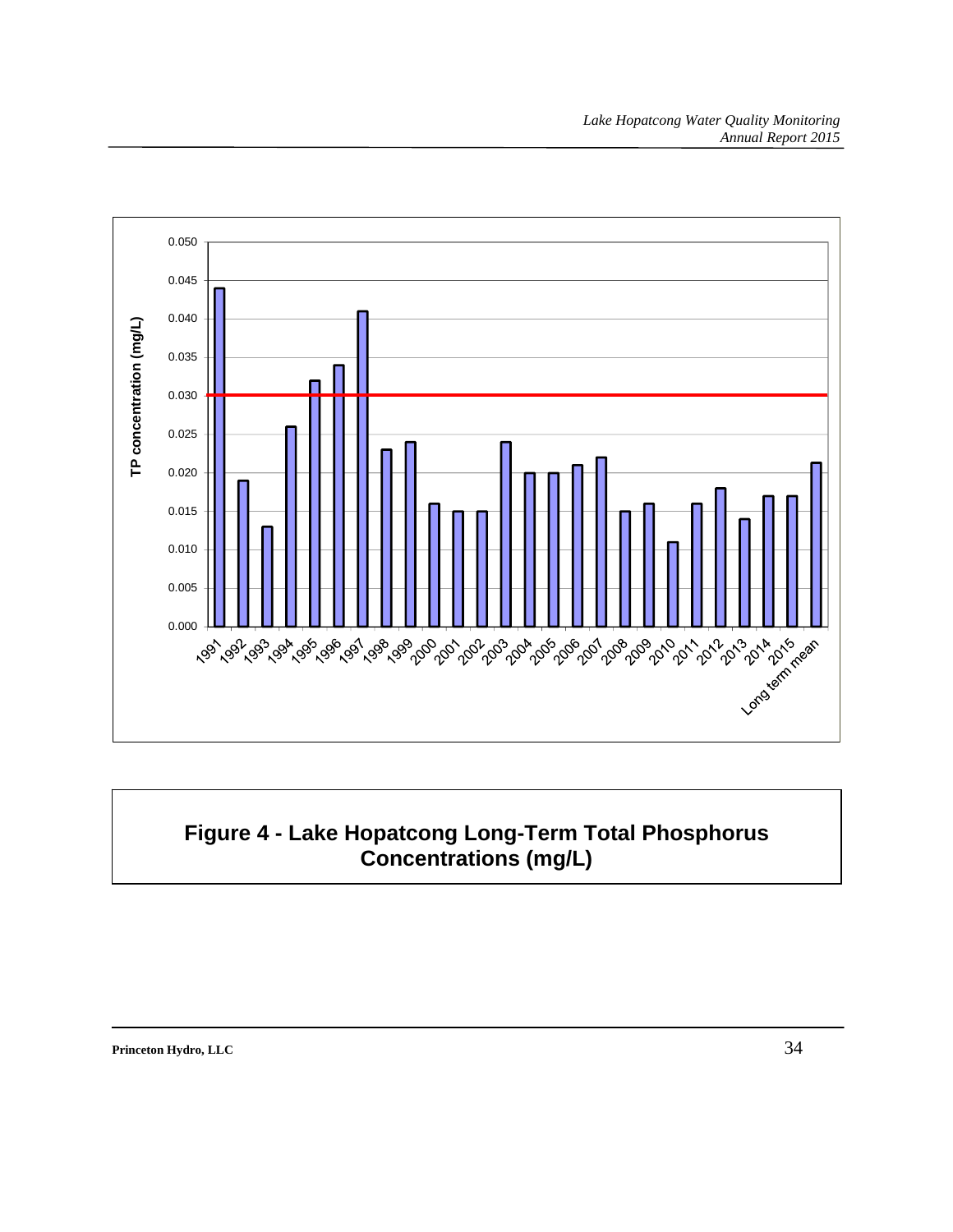

## **Figure 4 - Lake Hopatcong Long-Term Total Phosphorus Concentrations (mg/L)**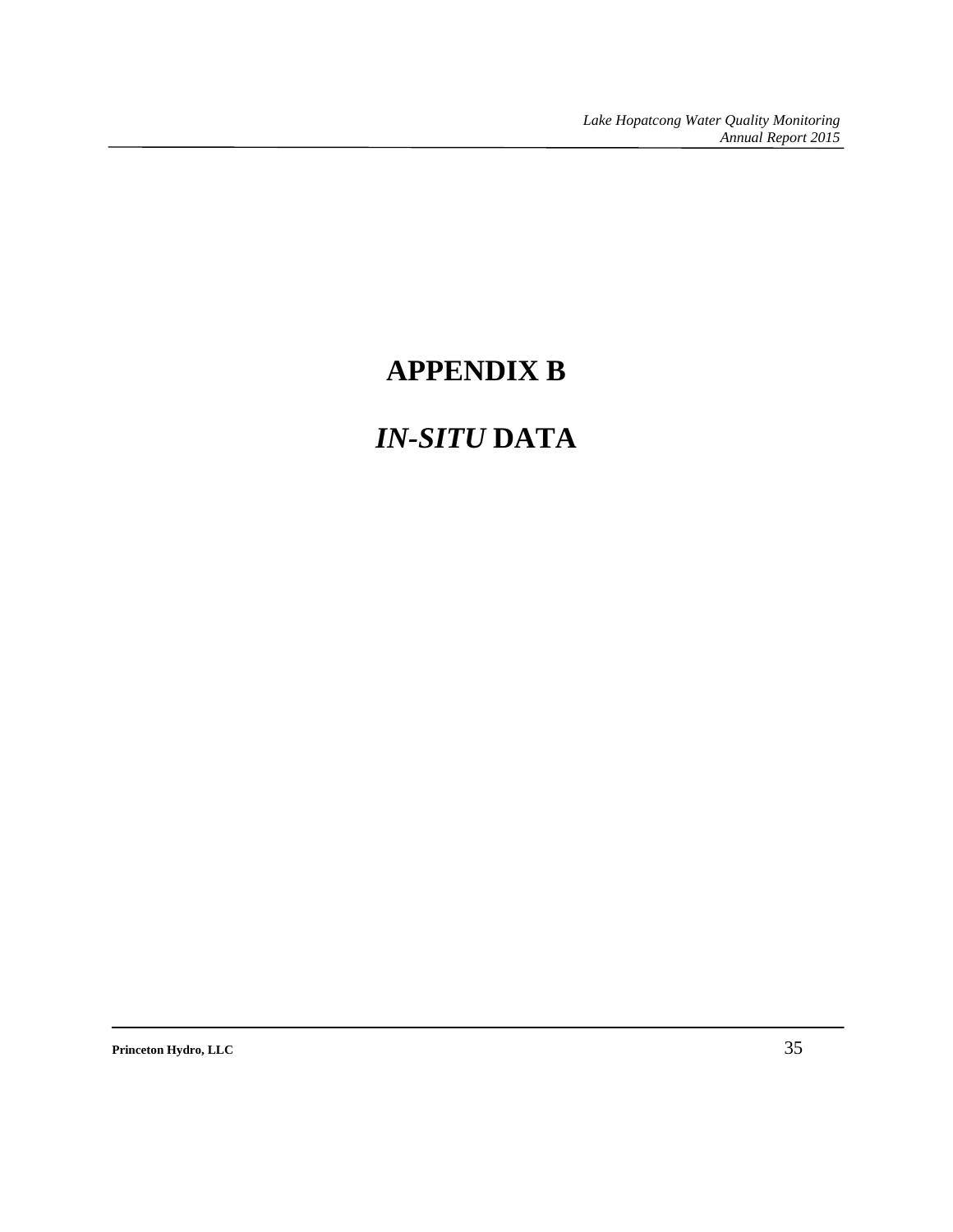# **APPENDIX B**

# *IN-SITU* **DATA**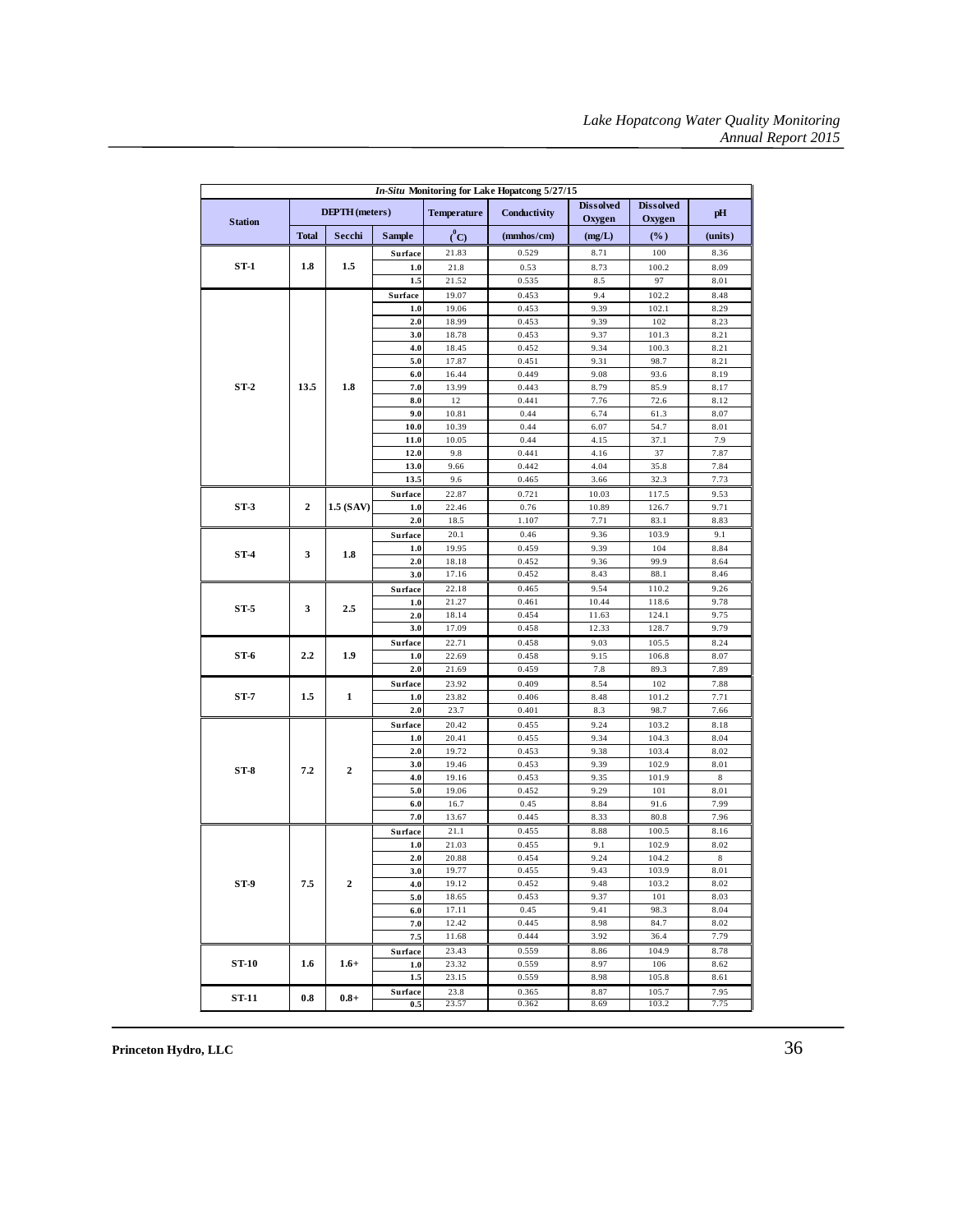| In-Situ Monitoring for Lake Hopatcong 5/27/15 |                       |                  |                |                    |                |                            |                            |              |
|-----------------------------------------------|-----------------------|------------------|----------------|--------------------|----------------|----------------------------|----------------------------|--------------|
| <b>Station</b>                                | <b>DEPTH</b> (meters) |                  |                | <b>Temperature</b> | Conductivity   | <b>Dissolved</b><br>Oxygen | <b>Dissolved</b><br>Oxygen | pH           |
|                                               | <b>Total</b>          | Secchi           | <b>Sample</b>  | $^o$ C)            | (mmhos/cm)     | (mg/L)                     | $(\%)$                     | (units)      |
|                                               |                       |                  | Surface        | 21.83              | 0.529          | 8.71                       | 100                        | 8.36         |
| $ST-1$                                        | 1.8                   | 1.5              | 1.0            | 21.8               | 0.53           | 8.73                       | 100.2                      | 8.09         |
|                                               |                       |                  | 1.5            | 21.52              | 0.535          | 8.5                        | 97                         | 8.01         |
|                                               |                       |                  | Surface        | 19.07              | 0.453          | 9.4                        | 102.2                      | 8.48         |
|                                               |                       |                  | 1.0            | 19.06              | 0.453          | 9.39                       | 102.1                      | 8.29         |
|                                               |                       |                  | 2.0            | 18.99              | 0.453          | 9.39                       | 102                        | 8.23         |
|                                               |                       |                  | 3.0            | 18.78              | 0.453          | 9.37                       | 101.3                      | 8.21         |
|                                               |                       |                  | 4.0            | 18.45              | 0.452          | 9.34                       | 100.3                      | 8.21         |
|                                               |                       |                  | 5.0            | 17.87              | 0.451          | 9.31                       | 98.7                       | 8.21         |
|                                               |                       |                  | 6.0            | 16.44              | 0.449          | 9.08                       | 93.6                       | 8.19         |
| $ST-2$                                        | 13.5                  | 1.8              | 7.0            | 13.99              | 0.443          | 8.79                       | 85.9                       | 8.17         |
|                                               |                       |                  | 8.0            | 12                 | 0.441          | 7.76                       | 72.6                       | 8.12         |
|                                               |                       |                  | 9.0            | 10.81              | 0.44           | 6.74                       | 61.3                       | 8.07         |
|                                               |                       |                  | 10.0           | 10.39              | 0.44           | 6.07                       | 54.7                       | 8.01         |
|                                               |                       |                  | 11.0           | 10.05              | 0.44           | 4.15                       | 37.1                       | 7.9          |
|                                               |                       |                  | 12.0           | 9.8                | 0.441          | 4.16                       | 37                         | 7.87         |
|                                               |                       |                  | 13.0           | 9.66               | 0.442          | 4.04                       | 35.8                       | 7.84         |
|                                               |                       |                  | 13.5           | 9.6                | 0.465          | 3.66                       | 32.3                       | 7.73         |
|                                               |                       |                  | Surface        | 22.87              | 0.721          | 10.03                      | 117.5                      | 9.53         |
| $ST-3$                                        | $\overline{2}$        | 1.5 (SAV)        | 1.0            | 22.46              | 0.76           | 10.89                      | 126.7                      | 9.71         |
|                                               |                       |                  | 2.0            | 18.5               | 1.107          | 7.71                       | 83.1                       | 8.83         |
|                                               |                       |                  | Surface        | 20.1               | 0.46           | 9.36                       | 103.9                      | 9.1          |
| $ST-4$                                        | 3                     | 1.8              | 1.0            | 19.95              | 0.459<br>0.452 | 9.39<br>9.36               | 104<br>99.9                | 8.84<br>8.64 |
|                                               |                       |                  | 2.0<br>3.0     | 18.18<br>17.16     | 0.452          | 8.43                       | 88.1                       | 8.46         |
|                                               |                       |                  |                | 22.18              |                |                            |                            |              |
|                                               |                       |                  | Surface<br>1.0 | 21.27              | 0.465<br>0.461 | 9.54<br>10.44              | 110.2<br>118.6             | 9.26<br>9.78 |
| $ST-5$                                        | 3                     | 2.5              | 2.0            | 18.14              | 0.454          | 11.63                      | 124.1                      | 9.75         |
|                                               |                       |                  | 3.0            | 17.09              | 0.458          | 12.33                      | 128.7                      | 9.79         |
|                                               |                       |                  | Surface        | 22.71              | 0.458          | 9.03                       | 105.5                      | 8.24         |
| $ST-6$                                        | 2.2                   | 1.9              | 1.0            | 22.69              | 0.458          | 9.15                       | 106.8                      | 8.07         |
|                                               |                       |                  | 2.0            | 21.69              | 0.459          | 7.8                        | 89.3                       | 7.89         |
|                                               |                       |                  | Surface        | 23.92              | 0.409          | 8.54                       | 102                        | 7.88         |
| $ST-7$                                        | 1.5                   | 1                | 1.0            | 23.82              | 0.406          | 8.48                       | 101.2                      | 7.71         |
|                                               |                       |                  | 2.0            | 23.7               | 0.401          | 8.3                        | 98.7                       | 7.66         |
|                                               |                       |                  | Surface        | 20.42              | 0.455          | 9.24                       | 103.2                      | 8.18         |
|                                               |                       |                  | 1.0            | 20.41              | 0.455          | 9.34                       | 104.3                      | 8.04         |
|                                               |                       |                  | 2.0            | 19.72              | 0.453          | 9.38                       | 103.4                      | 8.02         |
|                                               |                       |                  | 3.0            | 19.46              | 0.453          | 9.39                       | 102.9                      | 8.01         |
| $ST-8$                                        | 7.2                   | $\boldsymbol{2}$ | 4.0            | 19.16              | 0.453          | 9.35                       | 101.9                      | 8            |
|                                               |                       |                  | 5.0            | 19.06              | 0.452          | 9.29                       | 101                        | 8.01         |
|                                               |                       |                  | 6.0            | 16.7               | 0.45           | 8.84                       | 91.6                       | 7.99         |
|                                               |                       |                  | 7.0            | 13.67              | 0.445          | 8.33                       | 80.8                       | 7.96         |
|                                               |                       |                  | Surface        | 21.1               | 0.455          | 8.88                       | 100.5                      | 8.16         |
|                                               |                       |                  | 1.0            | 21.03              | 0.455          | 9.1                        | 102.9                      | 8.02         |
|                                               |                       |                  | 2.0            | 20.88              | 0.454          | 9.24                       | 104.2                      | $\,$ 8 $\,$  |
|                                               |                       |                  | 3.0            | 19.77              | 0.455          | 9.43                       | 103.9                      | 8.01         |
| ST-9                                          | 7.5                   | 2                | 4.0            | 19.12              | 0.452          | 9.48                       | 103.2                      | 8.02         |
|                                               |                       |                  | 5.0            | 18.65              | 0.453          | 9.37                       | 101                        | 8.03         |
|                                               |                       |                  | 6.0            | 17.11              | 0.45           | 9.41                       | 98.3                       | 8.04         |
|                                               |                       |                  | 7.0            | 12.42              | 0.445          | 8.98                       | 84.7                       | 8.02         |
|                                               |                       |                  | 7.5            | 11.68              | 0.444          | 3.92                       | 36.4                       | 7.79         |
|                                               |                       |                  | Surface        | 23.43              | 0.559          | 8.86                       | 104.9                      | 8.78         |
| <b>ST-10</b>                                  | 1.6                   | $1.6+$           | 1.0            | 23.32              | 0.559          | 8.97                       | 106                        | 8.62         |
|                                               |                       |                  | 1.5            | 23.15              | 0.559          | 8.98                       | 105.8                      | 8.61         |
| <b>ST-11</b>                                  | 0.8                   | $0.8 +$          | Surface        | 23.8               | 0.365          | 8.87                       | 105.7                      | 7.95         |
|                                               |                       |                  | 0.5            | 23.57              | 0.362          | 8.69                       | 103.2                      | 7.75         |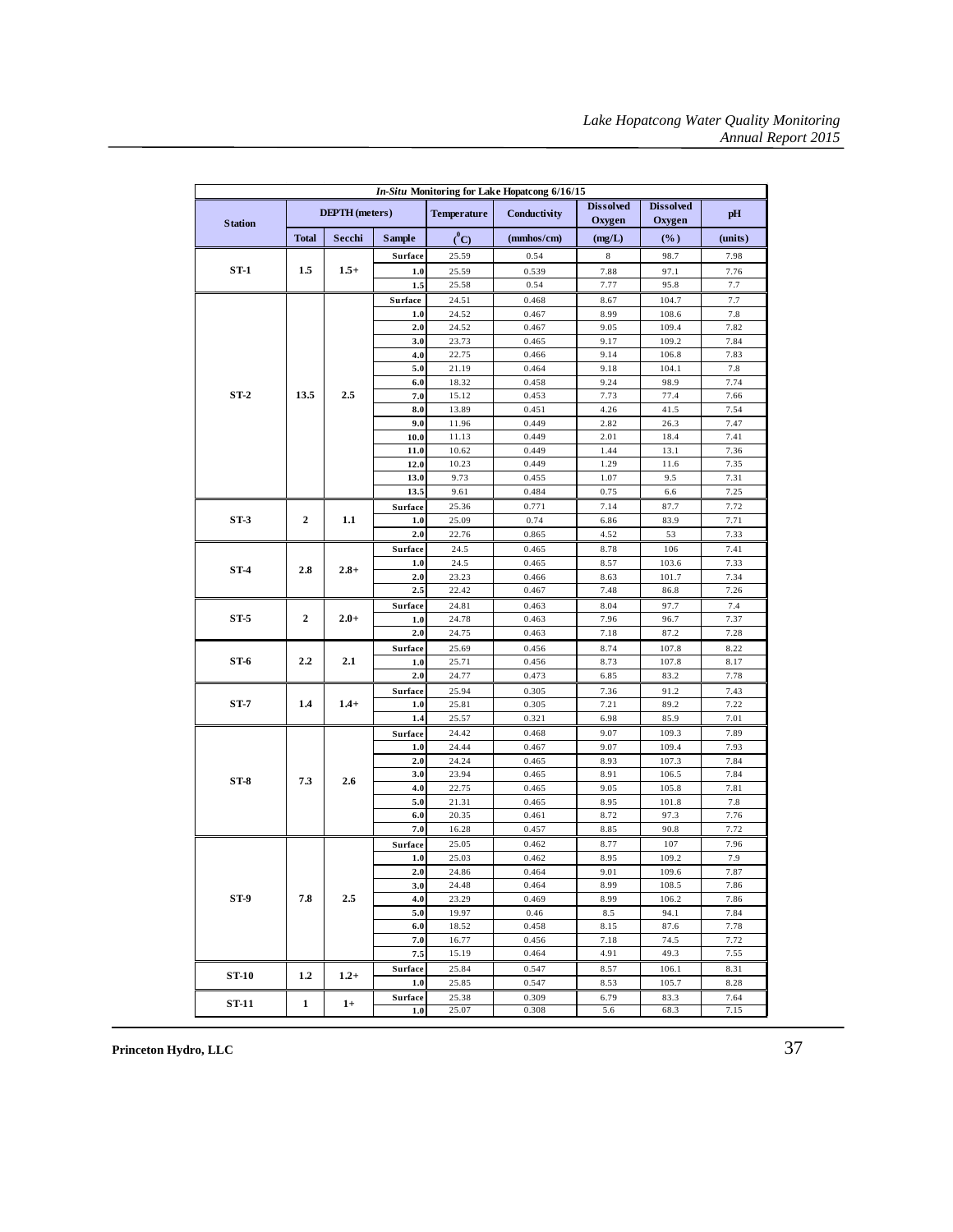| In-Situ Monitoring for Lake Hopatcong 6/16/15 |                       |         |               |                    |                |                            |                            |              |
|-----------------------------------------------|-----------------------|---------|---------------|--------------------|----------------|----------------------------|----------------------------|--------------|
| <b>Station</b>                                | <b>DEPTH</b> (meters) |         |               | <b>Temperature</b> | Conductivity   | <b>Dissolved</b><br>Oxygen | <b>Dissolved</b><br>Oxygen | pH           |
|                                               | <b>Total</b>          | Secchi  | <b>Sample</b> | $C^0$              | (mmhos/cm)     | (mg/L)                     | (%)                        | (units)      |
|                                               |                       |         | Surface       | 25.59              | 0.54           | $\,$ 8 $\,$                | 98.7                       | 7.98         |
| $ST-1$                                        | 1.5                   | $1.5+$  | 1.0           | 25.59              | 0.539          | 7.88                       | 97.1                       | 7.76         |
|                                               |                       |         | 1.5           | 25.58              | 0.54           | 7.77                       | 95.8                       | 7.7          |
|                                               |                       |         | Surface       | 24.51              | 0.468          | 8.67                       | 104.7                      | 7.7          |
|                                               |                       |         | 1.0           | 24.52              | 0.467          | 8.99                       | 108.6                      | 7.8          |
|                                               |                       |         | 2.0           | 24.52              | 0.467          | 9.05                       | 109.4                      | 7.82         |
|                                               |                       |         | 3.0           | 23.73              | 0.465          | 9.17                       | 109.2                      | 7.84         |
|                                               |                       |         | 4.0           | 22.75              | 0.466          | 9.14                       | 106.8                      | 7.83         |
|                                               |                       |         | 5.0           | 21.19              | 0.464          | 9.18                       | 104.1                      | 7.8          |
|                                               | 13.5                  | 2.5     | 6.0<br>7.0    | 18.32              | 0.458          | 9.24                       | 98.9                       | 7.74         |
| $ST-2$                                        |                       |         | 8.0           | 15.12<br>13.89     | 0.453<br>0.451 | 7.73<br>4.26               | 77.4<br>41.5               | 7.66<br>7.54 |
|                                               |                       |         | 9.0           | 11.96              | 0.449          | 2.82                       | 26.3                       | 7.47         |
|                                               |                       |         | 10.0          | 11.13              | 0.449          | 2.01                       | 18.4                       | 7.41         |
|                                               |                       |         | 11.0          | 10.62              | 0.449          | 1.44                       | 13.1                       | 7.36         |
|                                               |                       |         | 12.0          | 10.23              | 0.449          | 1.29                       | 11.6                       | 7.35         |
|                                               |                       |         | 13.0          | 9.73               | 0.455          | 1.07                       | 9.5                        | 7.31         |
|                                               |                       |         | 13.5          | 9.61               | 0.484          | 0.75                       | 6.6                        | 7.25         |
|                                               |                       |         | Surface       | 25.36              | 0.771          | 7.14                       | 87.7                       | 7.72         |
| $ST-3$                                        | 2                     | 1.1     | $1.0$         | 25.09              | 0.74           | 6.86                       | 83.9                       | 7.71         |
|                                               |                       |         | 2.0           | 22.76              | 0.865          | 4.52                       | 53                         | 7.33         |
|                                               | 2.8                   | $2.8 +$ | Surface       | 24.5               | 0.465          | 8.78                       | 106                        | 7.41         |
| $ST-4$                                        |                       |         | 1.0           | 24.5               | 0.465          | 8.57                       | 103.6                      | 7.33         |
|                                               |                       |         | 2.0           | 23.23              | 0.466          | 8.63                       | 101.7                      | 7.34         |
|                                               |                       |         | 2.5           | 22.42              | 0.467          | 7.48                       | 86.8                       | 7.26         |
|                                               | $\overline{2}$        |         | Surface       | 24.81              | 0.463          | 8.04                       | 97.7                       | 7.4          |
| ST <sub>5</sub>                               |                       | $2.0+$  | 1.0           | 24.78              | 0.463          | 7.96                       | 96.7                       | 7.37         |
|                                               |                       |         | 2.0           | 24.75              | 0.463          | 7.18                       | 87.2                       | 7.28         |
| ST-6                                          | 2.2                   | 2.1     | Surface       | 25.69              | 0.456          | 8.74                       | 107.8<br>107.8             | 8.22         |
|                                               |                       |         | 1.0<br>2.0    | 25.71<br>24.77     | 0.456<br>0.473 | 8.73<br>6.85               | 83.2                       | 8.17<br>7.78 |
|                                               |                       |         | Surface       | 25.94              | 0.305          | 7.36                       | 91.2                       | 7.43         |
| $ST-7$                                        | 1.4                   | $1.4+$  | 1.0           | 25.81              | 0.305          | 7.21                       | 89.2                       | 7.22         |
|                                               |                       |         | 1.4           | 25.57              | 0.321          | 6.98                       | 85.9                       | 7.01         |
|                                               |                       |         | Surface       | 24.42              | 0.468          | 9.07                       | 109.3                      | 7.89         |
|                                               | 7.3                   |         | 1.0           | 24.44              | 0.467          | 9.07                       | 109.4                      | 7.93         |
|                                               |                       |         | 2.0           | 24.24              | 0.465          | 8.93                       | 107.3                      | 7.84         |
| $ST-8$                                        |                       | 2.6     | 3.0           | 23.94              | 0.465          | 8.91                       | 106.5                      | 7.84         |
|                                               |                       |         | 4.0           | 22.75              | 0.465          | 9.05                       | 105.8                      | 7.81         |
|                                               |                       |         | 5.0           | 21.31              | 0.465          | 8.95                       | 101.8                      | 7.8          |
|                                               |                       |         | 6.0           | 20.35              | 0.461          | 8.72                       | 97.3                       | 7.76         |
|                                               |                       |         | 7.0           | 16.28              | 0.457          | 8.85                       | 90.8                       | 7.72         |
|                                               |                       |         | Surface       | 25.05              | 0.462          | 8.77                       | 107                        | 7.96         |
|                                               |                       |         | 1.0           | 25.03              | 0.462          | 8.95                       | 109.2                      | 7.9          |
|                                               |                       |         | 2.0           | 24.86<br>24.48     | 0.464<br>0.464 | 9.01<br>8.99               | 109.6<br>108.5             | 7.87         |
| ST-9                                          | 7.8                   | 2.5     | 3.0<br>4.0    | 23.29              | 0.469          | 8.99                       | 106.2                      | 7.86<br>7.86 |
|                                               |                       |         | 5.0           | 19.97              | 0.46           | 8.5                        | 94.1                       | 7.84         |
|                                               |                       |         | 6.0           | 18.52              | 0.458          | 8.15                       | 87.6                       | 7.78         |
|                                               |                       |         | 7.0           | 16.77              | 0.456          | 7.18                       | 74.5                       | 7.72         |
|                                               |                       |         | 7.5           | 15.19              | 0.464          | 4.91                       | 49.3                       | 7.55         |
|                                               |                       |         | Surface       | 25.84              | 0.547          | 8.57                       | 106.1                      | 8.31         |
| <b>ST-10</b>                                  | 1.2                   | $1.2+$  | 1.0           | 25.85              | 0.547          | 8.53                       | 105.7                      | 8.28         |
|                                               |                       |         | Surface       | 25.38              | 0.309          | 6.79                       | 83.3                       | 7.64         |
| <b>ST-11</b>                                  | 1                     | $1+$    | 1.0           | 25.07              | 0.308          | 5.6                        | 68.3                       | 7.15         |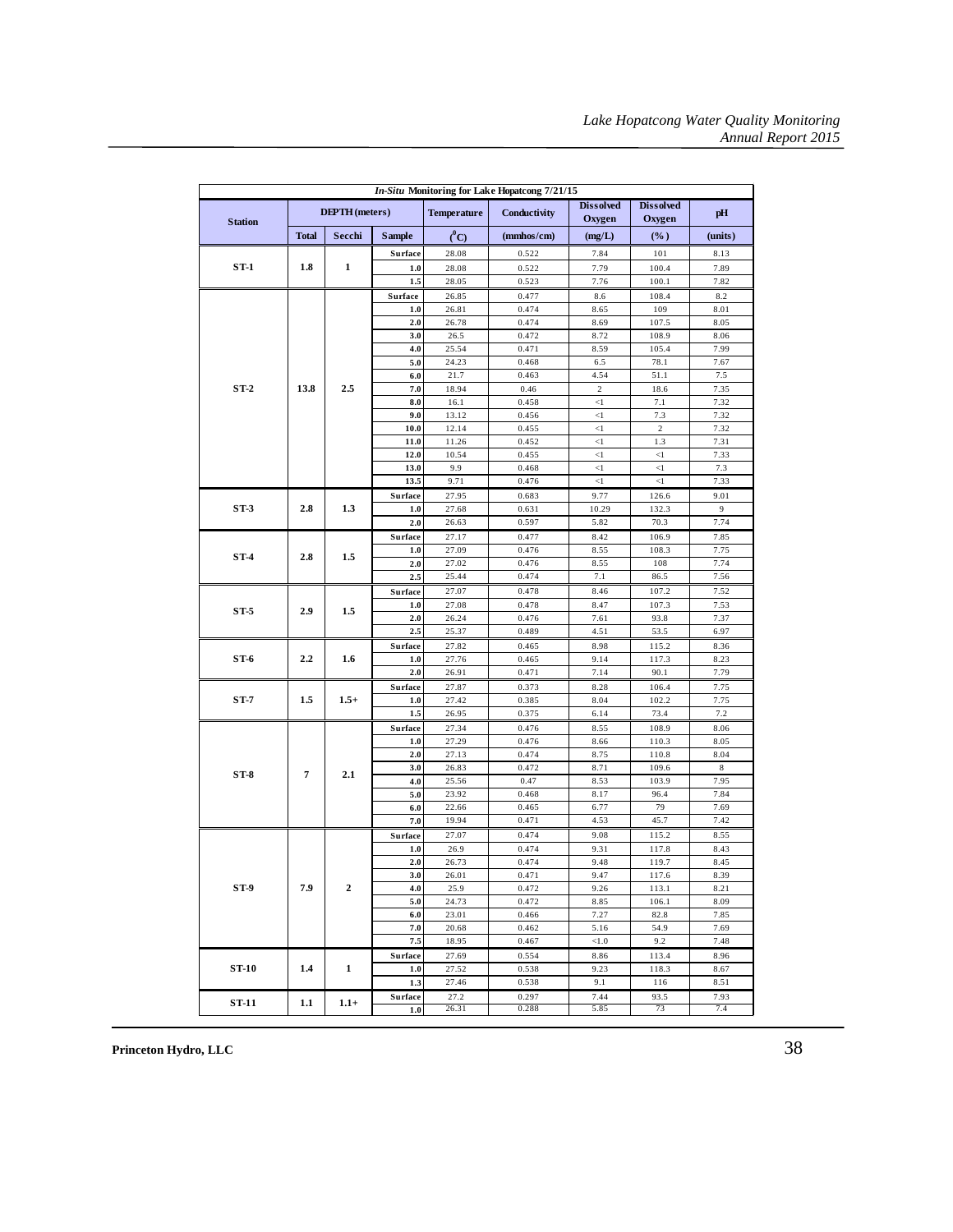| <b>Dissolved</b><br><b>Dissolved</b><br><b>DEPTH</b> (meters)<br><b>Temperature</b><br>Conductivity<br>Oxygen<br>Oxygen<br><b>Station</b><br>$\binom{0}{C}$<br><b>Total</b><br>Secchi<br><b>Sample</b><br>(mmbos/cm)<br>(mg/L)<br>$(\%)$<br>0.522<br>7.84<br>101<br>Surface<br>28.08<br>$ST-1$<br>1.8<br>1<br>28.08<br>7.79<br>100.4<br>0.522<br>1.0<br>1.5<br>28.05<br>0.523<br>100.1 | pH<br>(units)<br>8.13<br>7.89<br>7.82<br>8.2<br>8.01 |
|----------------------------------------------------------------------------------------------------------------------------------------------------------------------------------------------------------------------------------------------------------------------------------------------------------------------------------------------------------------------------------------|------------------------------------------------------|
|                                                                                                                                                                                                                                                                                                                                                                                        |                                                      |
|                                                                                                                                                                                                                                                                                                                                                                                        |                                                      |
|                                                                                                                                                                                                                                                                                                                                                                                        |                                                      |
|                                                                                                                                                                                                                                                                                                                                                                                        |                                                      |
| 7.76                                                                                                                                                                                                                                                                                                                                                                                   |                                                      |
| Surface<br>26.85<br>0.477<br>8.6<br>108.4                                                                                                                                                                                                                                                                                                                                              |                                                      |
| 0.474<br>109<br>1.0<br>26.81<br>8.65                                                                                                                                                                                                                                                                                                                                                   |                                                      |
| 26.78<br>8.69<br>107.5<br>2.0<br>0.474                                                                                                                                                                                                                                                                                                                                                 | 8.05                                                 |
| 3.0<br>108.9<br>26.5<br>0.472<br>8.72                                                                                                                                                                                                                                                                                                                                                  | 8.06                                                 |
| 4.0<br>25.54<br>0.471<br>8.59<br>105.4                                                                                                                                                                                                                                                                                                                                                 | 7.99                                                 |
| 5.0<br>24.23<br>0.468<br>6.5<br>78.1                                                                                                                                                                                                                                                                                                                                                   | 7.67                                                 |
| 6.0<br>21.7<br>0.463<br>4.54<br>51.1                                                                                                                                                                                                                                                                                                                                                   | 7.5                                                  |
| $ST-2$<br>13.8<br>2.5<br>7.0<br>18.94<br>0.46<br>$\sqrt{2}$<br>18.6                                                                                                                                                                                                                                                                                                                    | 7.35                                                 |
| 8.0<br>7.1<br>16.1<br>0.458<br>$\leq$                                                                                                                                                                                                                                                                                                                                                  | 7.32                                                 |
| 9.0<br>13.12<br>$<\!\!1$<br>7.3<br>0.456                                                                                                                                                                                                                                                                                                                                               | 7.32                                                 |
| 10.0<br>12.14<br>0.455<br>$<\!\!1$<br>$\overline{c}$                                                                                                                                                                                                                                                                                                                                   | 7.32                                                 |
| $\leq$<br>11.0<br>11.26<br>0.452<br>1.3<br>0.455                                                                                                                                                                                                                                                                                                                                       | 7.31                                                 |
| 12.0<br>10.54<br>$<\!\!1$<br>$<\!\!1$<br>13.0<br>9.9                                                                                                                                                                                                                                                                                                                                   | 7.33                                                 |
| 0.468<br><1<br><1<br>$\leq$ 1<br>$\leq$ 1<br>13.5<br>9.71<br>0.476                                                                                                                                                                                                                                                                                                                     | 7.3<br>7.33                                          |
| 27.95                                                                                                                                                                                                                                                                                                                                                                                  | 9.01                                                 |
| Surface<br>0.683<br>9.77<br>126.6<br>$ST-3$<br>2.8<br>1.3<br>27.68<br>10.29<br>1.0<br>0.631<br>132.3                                                                                                                                                                                                                                                                                   | 9                                                    |
| 2.0<br>0.597<br>5.82<br>70.3<br>26.63                                                                                                                                                                                                                                                                                                                                                  | 7.74                                                 |
| Surface<br>27.17<br>106.9<br>0.477<br>8.42                                                                                                                                                                                                                                                                                                                                             | 7.85                                                 |
| 1.0<br>8.55<br>108.3<br>27.09<br>0.476                                                                                                                                                                                                                                                                                                                                                 | 7.75                                                 |
| $ST-4$<br>2.8<br>1.5<br>27.02<br>0.476<br>8.55<br>108<br>2.0                                                                                                                                                                                                                                                                                                                           | 7.74                                                 |
| 2.5<br>0.474<br>7.1<br>25.44<br>86.5                                                                                                                                                                                                                                                                                                                                                   | 7.56                                                 |
| 27.07<br>0.478<br>8.46<br>107.2<br>Surface                                                                                                                                                                                                                                                                                                                                             | 7.52                                                 |
| 1.0<br>27.08<br>0.478<br>8.47<br>107.3                                                                                                                                                                                                                                                                                                                                                 | 7.53                                                 |
| $ST-5$<br>2.9<br>1.5<br>2.0<br>93.8<br>26.24<br>0.476<br>7.61                                                                                                                                                                                                                                                                                                                          | 7.37                                                 |
| 25.37<br>0.489<br>4.51<br>53.5<br>2.5                                                                                                                                                                                                                                                                                                                                                  | 6.97                                                 |
| 27.82<br>0.465<br>8.98<br>115.2<br>Surface                                                                                                                                                                                                                                                                                                                                             | 8.36                                                 |
| ST-6<br>2.2<br>1.6<br>27.76<br>0.465<br>9.14<br>117.3<br>1.0                                                                                                                                                                                                                                                                                                                           | 8.23                                                 |
| 7.14<br>90.1<br>2.0<br>26.91<br>0.471                                                                                                                                                                                                                                                                                                                                                  | 7.79                                                 |
| 27.87<br>0.373<br>106.4<br>Surface<br>8.28                                                                                                                                                                                                                                                                                                                                             | 7.75                                                 |
| $ST-7$<br>1.5<br>$1.5+$<br>1.0<br>27.42<br>0.385<br>8.04<br>102.2                                                                                                                                                                                                                                                                                                                      | 7.75                                                 |
| 1.5<br>26.95<br>0.375<br>6.14<br>73.4                                                                                                                                                                                                                                                                                                                                                  | 7.2                                                  |
| Surface<br>8.55<br>27.34<br>0.476<br>108.9                                                                                                                                                                                                                                                                                                                                             | 8.06                                                 |
| 27.29<br>0.476<br>110.3<br>8.66<br>1.0                                                                                                                                                                                                                                                                                                                                                 | 8.05                                                 |
| 2.0<br>27.13<br>0.474<br>8.75<br>110.8                                                                                                                                                                                                                                                                                                                                                 | 8.04                                                 |
| 3.0<br>26.83<br>0.472<br>8.71<br>109.6<br>$\overline{7}$<br>2.1<br>$ST-8$                                                                                                                                                                                                                                                                                                              | 8                                                    |
| 4.0<br>25.56<br>0.47<br>8.53<br>103.9                                                                                                                                                                                                                                                                                                                                                  | 7.95                                                 |
| 5.0<br>23.92<br>0.468<br>8.17<br>96.4                                                                                                                                                                                                                                                                                                                                                  | 7.84                                                 |
| 6.0<br>22.66<br>0.465<br>6.77<br>79                                                                                                                                                                                                                                                                                                                                                    | 7.69                                                 |
| 7.0<br>19.94<br>0.471<br>4.53<br>45.7                                                                                                                                                                                                                                                                                                                                                  | 7.42                                                 |
| 27.07<br>0.474<br>9.08<br>115.2<br>Surface                                                                                                                                                                                                                                                                                                                                             | 8.55                                                 |
| 1.0<br>26.9<br>0.474<br>9.31<br>117.8<br>2.0<br>26.73                                                                                                                                                                                                                                                                                                                                  | 8.43                                                 |
| 0.474<br>9.48<br>119.7<br>26.01<br>0.471<br>9.47<br>117.6<br>3.0                                                                                                                                                                                                                                                                                                                       | 8.45<br>8.39                                         |
| ST-9<br>7.9<br>$\boldsymbol{2}$<br>4.0<br>25.9<br>0.472<br>9.26<br>113.1                                                                                                                                                                                                                                                                                                               | 8.21                                                 |
| 5.0<br>24.73<br>0.472<br>8.85<br>106.1                                                                                                                                                                                                                                                                                                                                                 | 8.09                                                 |
| 7.27<br>6.0<br>23.01<br>0.466<br>82.8                                                                                                                                                                                                                                                                                                                                                  | 7.85                                                 |
| 7.0<br>54.9<br>20.68<br>0.462<br>5.16                                                                                                                                                                                                                                                                                                                                                  | 7.69                                                 |
| 7.5<br>18.95<br>0.467<br>< 1.0<br>9.2                                                                                                                                                                                                                                                                                                                                                  | 7.48                                                 |
| 0.554<br>8.86<br>Surface<br>27.69<br>113.4                                                                                                                                                                                                                                                                                                                                             | 8.96                                                 |
| ST-10<br>1.4<br>1<br>9.23<br>1.0<br>27.52<br>0.538<br>118.3                                                                                                                                                                                                                                                                                                                            | 8.67                                                 |
| 0.538<br>116<br>1.3<br>27.46<br>9.1                                                                                                                                                                                                                                                                                                                                                    | 8.51                                                 |
| 27.2<br>0.297<br>7.44<br>93.5<br>Surface                                                                                                                                                                                                                                                                                                                                               | 7.93                                                 |
| ST-11<br>1.1<br>$1.1+$<br>73<br>1.0<br>26.31<br>0.288<br>5.85                                                                                                                                                                                                                                                                                                                          | 7.4                                                  |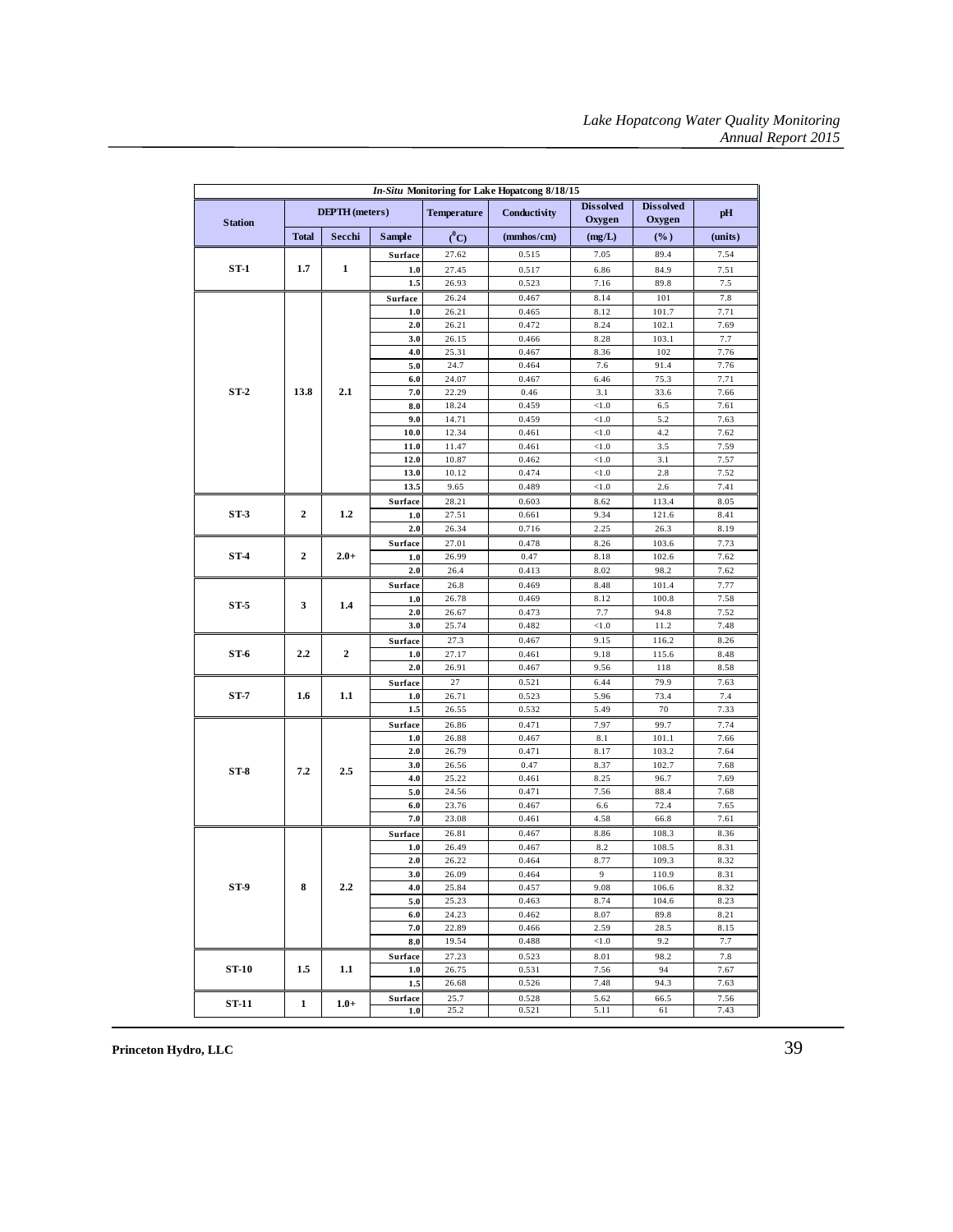| In-Situ Monitoring for Lake Hopatcong 8/18/15 |                  |                       |               |                    |               |                            |                            |              |
|-----------------------------------------------|------------------|-----------------------|---------------|--------------------|---------------|----------------------------|----------------------------|--------------|
| <b>Station</b>                                |                  | <b>DEPTH</b> (meters) |               | <b>Temperature</b> | Conductivity  | <b>Dissolved</b><br>Oxygen | <b>Dissolved</b><br>Oxygen | pH           |
|                                               | <b>Total</b>     | Secchi                | <b>Sample</b> | $^0C$              | (mmbos/cm)    | (mg/L)                     | $(\%)$                     | (units)      |
|                                               |                  |                       | Surface       | 27.62              | 0.515         | 7.05                       | 89.4                       | 7.54         |
| $ST-1$                                        | 1.7              | $\mathbf{1}$          | 1.0           | 27.45              | 0.517         | 6.86                       | 84.9                       | 7.51         |
|                                               |                  |                       | 1.5           | 26.93              | 0.523         | 7.16                       | 89.8                       | 7.5          |
|                                               |                  |                       | Surface       | 26.24              | 0.467         | 8.14                       | 101                        | 7.8          |
|                                               |                  |                       | 1.0           | 26.21              | 0.465         | 8.12                       | 101.7                      | 7.71         |
|                                               |                  |                       | 2.0           | 26.21              | 0.472         | 8.24                       | 102.1                      | 7.69         |
|                                               |                  |                       | 3.0           | 26.15              | 0.466         | 8.28                       | 103.1                      | 7.7          |
|                                               |                  |                       | 4.0           | 25.31              | 0.467         | 8.36                       | 102                        | 7.76         |
|                                               |                  |                       | 5.0<br>6.0    | 24.7               | 0.464         | 7.6                        | 91.4                       | 7.76         |
| $ST-2$                                        | 13.8             | 2.1                   | 7.0           | 24.07<br>22.29     | 0.467<br>0.46 | 6.46<br>3.1                | 75.3<br>33.6               | 7.71<br>7.66 |
|                                               |                  |                       | 8.0           | 18.24              | 0.459         | < 1.0                      | 6.5                        | 7.61         |
|                                               |                  |                       | 9.0           | 14.71              | 0.459         | $<1.0$                     | 5.2                        | 7.63         |
|                                               |                  |                       | 10.0          | 12.34              | 0.461         | < 1.0                      | 4.2                        | 7.62         |
|                                               |                  |                       | 11.0          | 11.47              | 0.461         | < 1.0                      | 3.5                        | 7.59         |
|                                               |                  |                       | 12.0          | 10.87              | 0.462         | < 1.0                      | 3.1                        | 7.57         |
|                                               |                  |                       | 13.0          | 10.12              | 0.474         | < 1.0                      | 2.8                        | 7.52         |
|                                               |                  |                       | 13.5          | 9.65               | 0.489         | < 1.0                      | 2.6                        | 7.41         |
|                                               |                  |                       | Surface       | 28.21              | 0.603         | 8.62                       | 113.4                      | 8.05         |
| $ST-3$                                        | $\boldsymbol{2}$ | 1.2                   | 1.0           | 27.51              | 0.661         | 9.34                       | 121.6                      | 8.41         |
|                                               |                  |                       | 2.0           | 26.34              | 0.716         | 2.25                       | 26.3                       | 8.19         |
|                                               |                  |                       | Surface       | 27.01              | 0.478         | 8.26                       | 103.6                      | 7.73         |
| ST-4                                          | $\boldsymbol{2}$ | $2.0+$                | 1.0           | 26.99              | 0.47          | 8.18                       | 102.6                      | 7.62         |
|                                               |                  |                       | 2.0           | 26.4               | 0.413         | 8.02                       | 98.2                       | 7.62         |
|                                               |                  |                       | Surface       | 26.8               | 0.469         | 8.48                       | 101.4                      | 7.77         |
| ST-5                                          | 3                | 1.4                   | 1.0           | 26.78              | 0.469         | 8.12                       | 100.8                      | 7.58         |
|                                               |                  |                       | 2.0           | 26.67              | 0.473         | 7.7                        | 94.8                       | 7.52         |
|                                               |                  |                       | 3.0           | 25.74              | 0.482         | < 1.0                      | 11.2                       | 7.48         |
|                                               |                  |                       | Surface       | 27.3               | 0.467         | 9.15                       | 116.2                      | 8.26         |
| ST-6                                          | 2.2              | $\boldsymbol{2}$      | 1.0           | 27.17              | 0.461         | 9.18                       | 115.6                      | 8.48         |
|                                               |                  |                       | 2.0           | 26.91              | 0.467         | 9.56                       | 118                        | 8.58         |
|                                               |                  |                       | Surface       | 27                 | 0.521         | 6.44                       | 79.9                       | 7.63         |
| ST-7                                          | 1.6              | 1.1                   | 1.0           | 26.71              | 0.523         | 5.96                       | 73.4                       | 7.4          |
|                                               |                  |                       | 1.5           | 26.55              | 0.532         | 5.49                       | 70                         | 7.33         |
|                                               |                  |                       | Surface       | 26.86              | 0.471         | 7.97                       | 99.7                       | 7.74         |
|                                               |                  |                       | 1.0           | 26.88              | 0.467         | 8.1                        | 101.1                      | 7.66         |
|                                               |                  |                       | 2.0<br>3.0    | 26.79              | 0.471         | 8.17                       | 103.2                      | 7.64         |
| $ST-8$                                        | 7.2              | 2.5                   | 4.0           | 26.56<br>25.22     | 0.47<br>0.461 | 8.37<br>8.25               | 102.7<br>96.7              | 7.68<br>7.69 |
|                                               |                  |                       | 5.0           | 24.56              | 0.471         | 7.56                       | 88.4                       | 7.68         |
|                                               |                  |                       | 6.0           | 23.76              | 0.467         | 6.6                        | 72.4                       | 7.65         |
|                                               |                  |                       | 7.0           | 23.08              | 0.461         | 4.58                       | 66.8                       | 7.61         |
|                                               |                  |                       | Surface       | 26.81              | 0.467         | 8.86                       | 108.3                      | 8.36         |
|                                               |                  |                       | 1.0           | 26.49              | 0.467         | 8.2                        | 108.5                      | 8.31         |
|                                               |                  |                       | 2.0           | 26.22              | 0.464         | 8.77                       | 109.3                      | 8.32         |
|                                               |                  |                       | 3.0           | 26.09              | 0.464         | 9                          | 110.9                      | 8.31         |
| ST-9                                          | 8                | 2.2                   | 4.0           | 25.84              | 0.457         | 9.08                       | 106.6                      | 8.32         |
|                                               |                  |                       | 5.0           | 25.23              | 0.463         | 8.74                       | 104.6                      | 8.23         |
|                                               |                  |                       | 6.0           | 24.23              | 0.462         | 8.07                       | 89.8                       | 8.21         |
|                                               |                  |                       | 7.0           | 22.89              | 0.466         | 2.59                       | 28.5                       | 8.15         |
|                                               |                  |                       | 8.0           | 19.54              | 0.488         | < 1.0                      | 9.2                        | 7.7          |
|                                               |                  |                       | Surface       | 27.23              | 0.523         | 8.01                       | 98.2                       | 7.8          |
| ST-10                                         | 1.5              | $1.1\,$               | 1.0           | 26.75              | 0.531         | 7.56                       | 94                         | 7.67         |
|                                               |                  |                       | 1.5           | 26.68              | 0.526         | 7.48                       | 94.3                       | 7.63         |
| ST-11                                         | 1                | $1.0+$                | Surface       | 25.7               | 0.528         | 5.62                       | 66.5                       | 7.56         |
|                                               |                  |                       | 1.0           | 25.2               | 0.521         | 5.11                       | 61                         | 7.43         |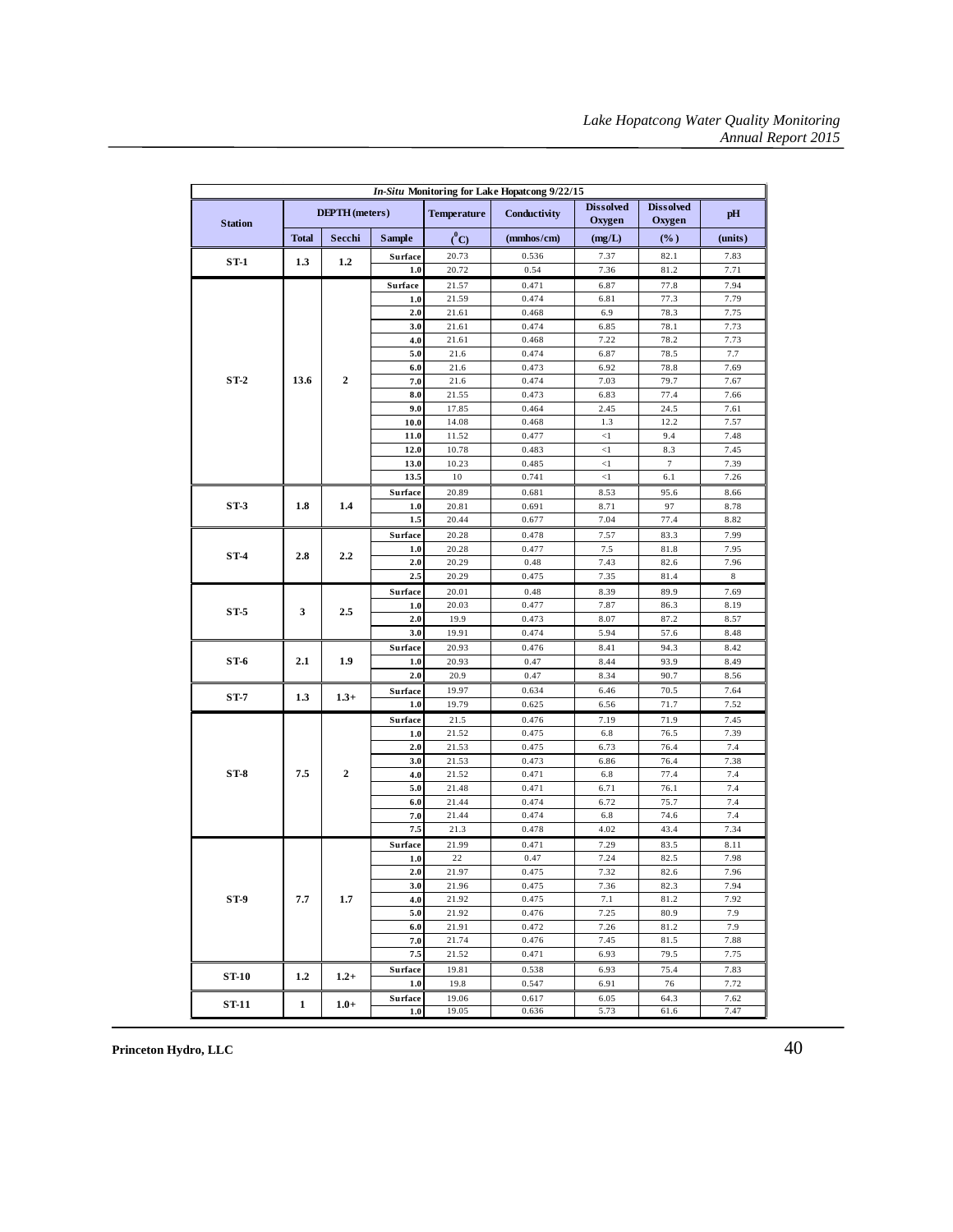| In-Situ Monitoring for Lake Hopatcong 9/22/15 |                       |                  |                |                    |                |                            |                            |              |
|-----------------------------------------------|-----------------------|------------------|----------------|--------------------|----------------|----------------------------|----------------------------|--------------|
| <b>Station</b>                                | <b>DEPTH</b> (meters) |                  |                | <b>Temperature</b> | Conductivity   | <b>Dissolved</b><br>Oxygen | <b>Dissolved</b><br>Oxygen | pH           |
|                                               | <b>Total</b>          | Secchi           | <b>Sample</b>  | $(^0C)$            | (mmbos/cm)     | (mg/L)                     | $(\%)$                     | (units)      |
|                                               |                       |                  | Surface        | 20.73              | 0.536          | 7.37                       | 82.1                       | 7.83         |
| $ST-1$                                        | 1.3                   | 1.2              | 1.0            | 20.72              | 0.54           | 7.36                       | 81.2                       | 7.71         |
|                                               |                       |                  | <b>Surface</b> | 21.57              | 0.471          | 6.87                       | 77.8                       | 7.94         |
|                                               |                       |                  | 1.0            | 21.59              | 0.474          | 6.81                       | 77.3                       | 7.79         |
|                                               |                       |                  | 2.0            | 21.61              | 0.468          | 6.9                        | 78.3                       | 7.75         |
|                                               |                       |                  | 3.0            | 21.61              | 0.474          | 6.85                       | 78.1                       | 7.73         |
|                                               |                       |                  | 4.0            | 21.61              | 0.468          | 7.22                       | 78.2                       | 7.73         |
|                                               |                       |                  | 5.0            | 21.6               | 0.474          | 6.87                       | 78.5                       | 7.7          |
|                                               |                       |                  | 6.0            | 21.6               | 0.473          | 6.92                       | 78.8                       | 7.69         |
| $ST-2$                                        | 13.6                  | $\overline{2}$   | 7.0            | 21.6               | 0.474          | 7.03                       | 79.7                       | 7.67         |
|                                               |                       |                  | 8.0            | 21.55              | 0.473          | 6.83                       | 77.4                       | 7.66         |
|                                               |                       |                  | 9.0            | 17.85              | 0.464          | 2.45                       | 24.5                       | 7.61         |
|                                               |                       |                  | 10.0<br>11.0   | 14.08<br>11.52     | 0.468<br>0.477 | 1.3<br>$\triangleleft$     | 12.2<br>9.4                | 7.57<br>7.48 |
|                                               |                       |                  | 12.0           | 10.78              | 0.483          | $\triangleleft$            | 8.3                        | 7.45         |
|                                               |                       |                  | 13.0           | 10.23              | 0.485          | $<\!\!1$                   | $\tau$                     | 7.39         |
|                                               |                       |                  | 13.5           | 10                 | 0.741          | $\leq$ 1                   | 6.1                        | 7.26         |
|                                               |                       |                  | Surface        | 20.89              | 0.681          | 8.53                       | 95.6                       | 8.66         |
| $ST-3$                                        | 1.8                   | 1.4              | 1.0            | 20.81              | 0.691          | 8.71                       | 97                         | 8.78         |
|                                               |                       |                  | 1.5            | 20.44              | 0.677          | 7.04                       | 77.4                       | 8.82         |
|                                               |                       |                  | Surface        | 20.28              | 0.478          | 7.57                       | 83.3                       | 7.99         |
|                                               |                       |                  | $1.0$          | 20.28              | 0.477          | 7.5                        | 81.8                       | 7.95         |
| $ST-4$                                        | 2.8                   | 2.2              | 2.0            | 20.29              | 0.48           | 7.43                       | 82.6                       | 7.96         |
|                                               |                       |                  | 2.5            | 20.29              | 0.475          | 7.35                       | 81.4                       | 8            |
|                                               | 3                     |                  | Surface        | 20.01              | 0.48           | 8.39                       | 89.9                       | 7.69         |
|                                               |                       | 2.5              | $1.0$          | 20.03              | 0.477          | 7.87                       | 86.3                       | 8.19         |
| $ST-5$                                        |                       |                  | 2.0            | 19.9               | 0.473          | 8.07                       | 87.2                       | 8.57         |
|                                               |                       |                  | 3.0            | 19.91              | 0.474          | 5.94                       | 57.6                       | 8.48         |
|                                               | 2.1                   | 1.9              | Surface        | 20.93              | 0.476          | 8.41                       | 94.3                       | 8.42         |
| ST-6                                          |                       |                  | 1.0            | 20.93              | 0.47           | 8.44                       | 93.9                       | 8.49         |
|                                               |                       |                  | 2.0            | 20.9               | 0.47           | 8.34                       | 90.7                       | 8.56         |
|                                               |                       |                  | Surface        | 19.97              | 0.634          | 6.46                       | 70.5                       | 7.64         |
| $ST-7$                                        | 1.3                   | $1.3+$           | 1.0            | 19.79              | 0.625          | 6.56                       | 71.7                       | 7.52         |
|                                               |                       |                  | <b>Surface</b> | 21.5               | 0.476          | 7.19                       | 71.9                       | 7.45         |
|                                               |                       |                  | 1.0            | 21.52              | 0.475          | 6.8                        | 76.5                       | 7.39         |
|                                               |                       |                  | 2.0            | 21.53              | 0.475          | 6.73                       | 76.4                       | 7.4          |
|                                               |                       | $\boldsymbol{2}$ | 3.0            | 21.53              | 0.473          | 6.86                       | 76.4                       | 7.38         |
| $ST-8$                                        | 7.5                   |                  | 4.0            | 21.52              | 0.471          | 6.8                        | 77.4                       | 7.4          |
|                                               |                       |                  | 5.0            | 21.48              | 0.471          | 6.71                       | 76.1                       | 7.4          |
|                                               |                       |                  | 6.0            | 21.44              | 0.474          | 6.72                       | 75.7                       | 7.4          |
|                                               |                       |                  | 7.0            | 21.44              | 0.474          | 6.8                        | 74.6                       | 7.4          |
|                                               |                       |                  | 7.5            | 21.3               | 0.478          | 4.02                       | 43.4                       | 7.34         |
|                                               |                       |                  | Surface        | 21.99              | 0.471          | 7.29                       | 83.5                       | 8.11         |
|                                               |                       |                  | 1.0            | 22                 | 0.47           | 7.24                       | 82.5                       | 7.98         |
|                                               |                       |                  | 2.0            | 21.97              | 0.475          | 7.32                       | 82.6                       | 7.96         |
| $ST-9$                                        | 7.7                   | 1.7              | 3.0<br>4.0     | 21.96<br>21.92     | 0.475<br>0.475 | 7.36<br>7.1                | 82.3<br>81.2               | 7.94<br>7.92 |
|                                               |                       |                  | 5.0            | 21.92              | 0.476          | 7.25                       | 80.9                       | 7.9          |
|                                               |                       |                  | 6.0            | 21.91              | 0.472          | 7.26                       | 81.2                       | 7.9          |
|                                               |                       |                  | 7.0            | 21.74              | 0.476          | 7.45                       | 81.5                       | 7.88         |
|                                               |                       |                  | 7.5            | 21.52              | 0.471          | 6.93                       | 79.5                       | 7.75         |
|                                               |                       |                  | Surface        | 19.81              | 0.538          | 6.93                       | 75.4                       | 7.83         |
| <b>ST-10</b>                                  | 1.2                   | $1.2+$           | 1.0            | 19.8               | 0.547          | 6.91                       | 76                         | 7.72         |
|                                               |                       |                  | <b>Surface</b> | 19.06              | 0.617          | 6.05                       | 64.3                       | 7.62         |
| <b>ST-11</b>                                  | $\mathbf{1}$          | $1.0+$           | 1.0            | 19.05              | 0.636          | 5.73                       | 61.6                       | 7.47         |
|                                               |                       |                  |                |                    |                |                            |                            |              |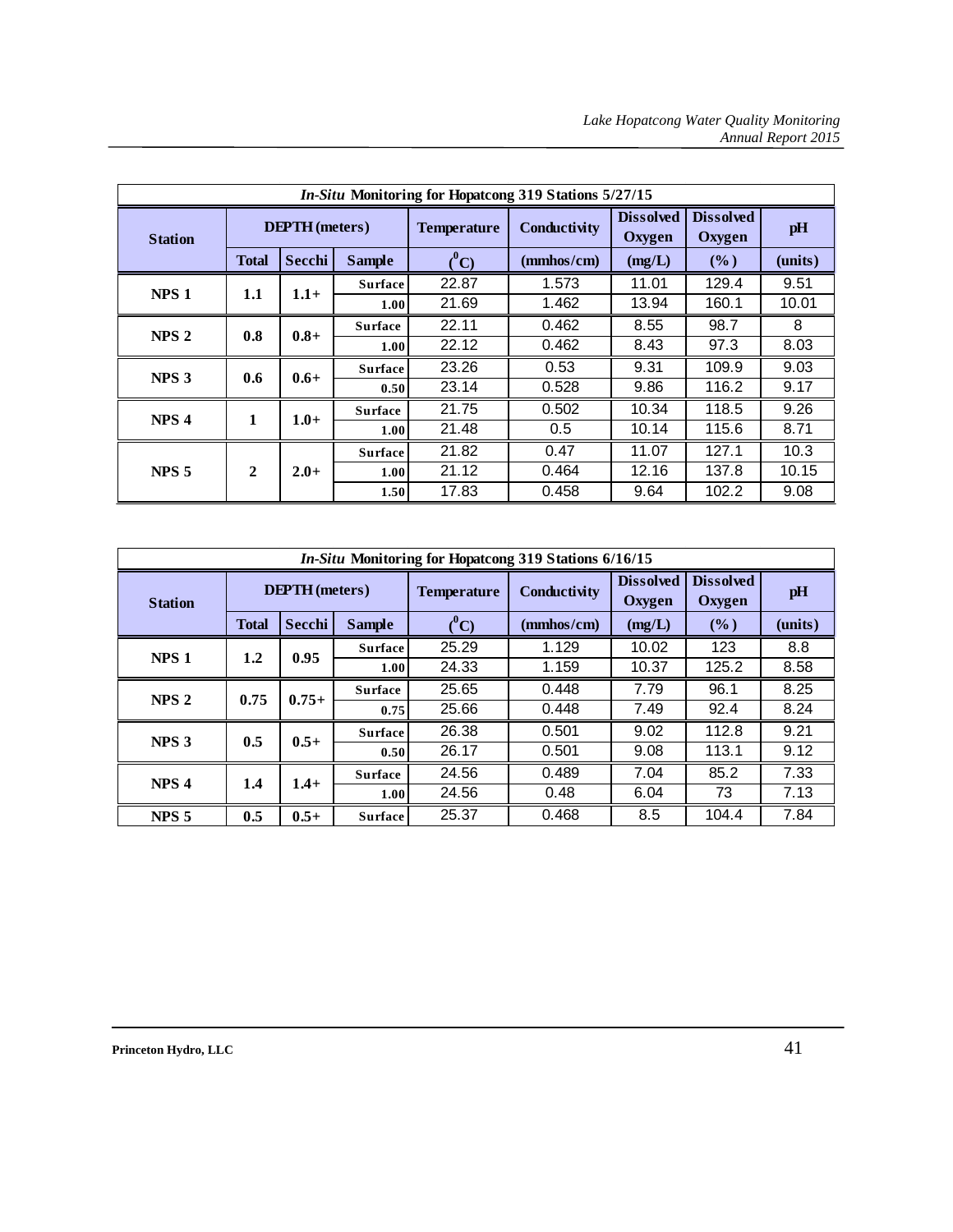|                  | In-Situ Monitoring for Hopatcong 319 Stations 5/27/15 |         |                |                       |                |                            |                            |         |      |   |
|------------------|-------------------------------------------------------|---------|----------------|-----------------------|----------------|----------------------------|----------------------------|---------|------|---|
| <b>Station</b>   | <b>DEPTH</b> (meters)                                 |         |                | <b>Temperature</b>    | Conductivity   | <b>Dissolved</b><br>Oxygen | <b>Dissolved</b><br>Oxygen | pH      |      |   |
|                  | <b>Total</b>                                          | Secchi  | <b>Sample</b>  | $\binom{0}{\text{C}}$ | (mmbos/cm)     | (mg/L)                     | (%)                        | (units) |      |   |
| NPS <sub>1</sub> | 1.1                                                   | $1.1 +$ | <b>Surface</b> | 22.87                 | 1.573          | 11.01                      | 129.4                      | 9.51    |      |   |
|                  |                                                       |         | 1.00           | 21.69                 | 1.462          | 13.94                      | 160.1                      | 10.01   |      |   |
| NPS <sub>2</sub> |                                                       |         | 0.8            | $0.8 +$               | <b>Surface</b> | 22.11                      | 0.462                      | 8.55    | 98.7 | 8 |
|                  |                                                       |         | 1.00           | 22.12                 | 0.462          | 8.43                       | 97.3                       | 8.03    |      |   |
| NPS <sub>3</sub> | 0.6                                                   | $0.6+$  | <b>Surface</b> | 23.26                 | 0.53           | 9.31                       | 109.9                      | 9.03    |      |   |
|                  |                                                       |         | 0.50           | 23.14                 | 0.528          | 9.86                       | 116.2                      | 9.17    |      |   |
| NPS <sub>4</sub> | 1                                                     |         | <b>Surface</b> | 21.75                 | 0.502          | 10.34                      | 118.5                      | 9.26    |      |   |
|                  |                                                       | $1.0+$  | 1.00           | 21.48                 | 0.5            | 10.14                      | 115.6                      | 8.71    |      |   |
|                  |                                                       | $2.0+$  | <b>Surface</b> | 21.82                 | 0.47           | 11.07                      | 127.1                      | 10.3    |      |   |
| NPS <sub>5</sub> | 2                                                     |         | 1.00           | 21.12                 | 0.464          | 12.16                      | 137.8                      | 10.15   |      |   |
|                  |                                                       |         | 1.50           | 17.83                 | 0.458          | 9.64                       | 102.2                      | 9.08    |      |   |

|                         | In-Situ Monitoring for Hopatcong 319 Stations 6/16/15 |         |                |                         |              |                            |                            |        |
|-------------------------|-------------------------------------------------------|---------|----------------|-------------------------|--------------|----------------------------|----------------------------|--------|
| <b>Station</b>          | <b>DEPTH</b> (meters)                                 |         |                | <b>Temperature</b>      | Conductivity | <b>Dissolved</b><br>Oxygen | <b>Dissolved</b><br>Oxygen | pH     |
|                         | <b>Total</b>                                          | Secchi  | <b>Sample</b>  | $\binom{0}{\mathbf{C}}$ | (mmbos/cm)   | (mg/L)                     | $($ %)                     | (mits) |
| NPS <sub>1</sub>        |                                                       | 0.95    | <b>Surface</b> | 25.29                   | 1.129        | 10.02                      | 123                        | 8.8    |
|                         | 1.2                                                   |         | 1.00           | 24.33                   | 1.159        | 10.37                      | 125.2                      | 8.58   |
| NPS <sub>2</sub>        | 0.75                                                  | $0.75+$ | <b>Surface</b> | 25.65                   | 0.448        | 7.79                       | 96.1                       | 8.25   |
|                         |                                                       |         | 0.75           | 25.66                   | 0.448        | 7.49                       | 92.4                       | 8.24   |
|                         |                                                       | $0.5+$  | <b>Surface</b> | 26.38                   | 0.501        | 9.02                       | 112.8                      | 9.21   |
| NPS <sub>3</sub>        | 0.5                                                   |         | 0.50           | 26.17                   | 0.501        | 9.08                       | 113.1                      | 9.12   |
|                         |                                                       | $1.4+$  | <b>Surface</b> | 24.56                   | 0.489        | 7.04                       | 85.2                       | 7.33   |
| NPS <sub>4</sub><br>1.4 |                                                       |         | 1.00           | 24.56                   | 0.48         | 6.04                       | 73                         | 7.13   |
| NPS <sub>5</sub>        | 0.5                                                   | $0.5+$  | <b>Surface</b> | 25.37                   | 0.468        | 8.5                        | 104.4                      | 7.84   |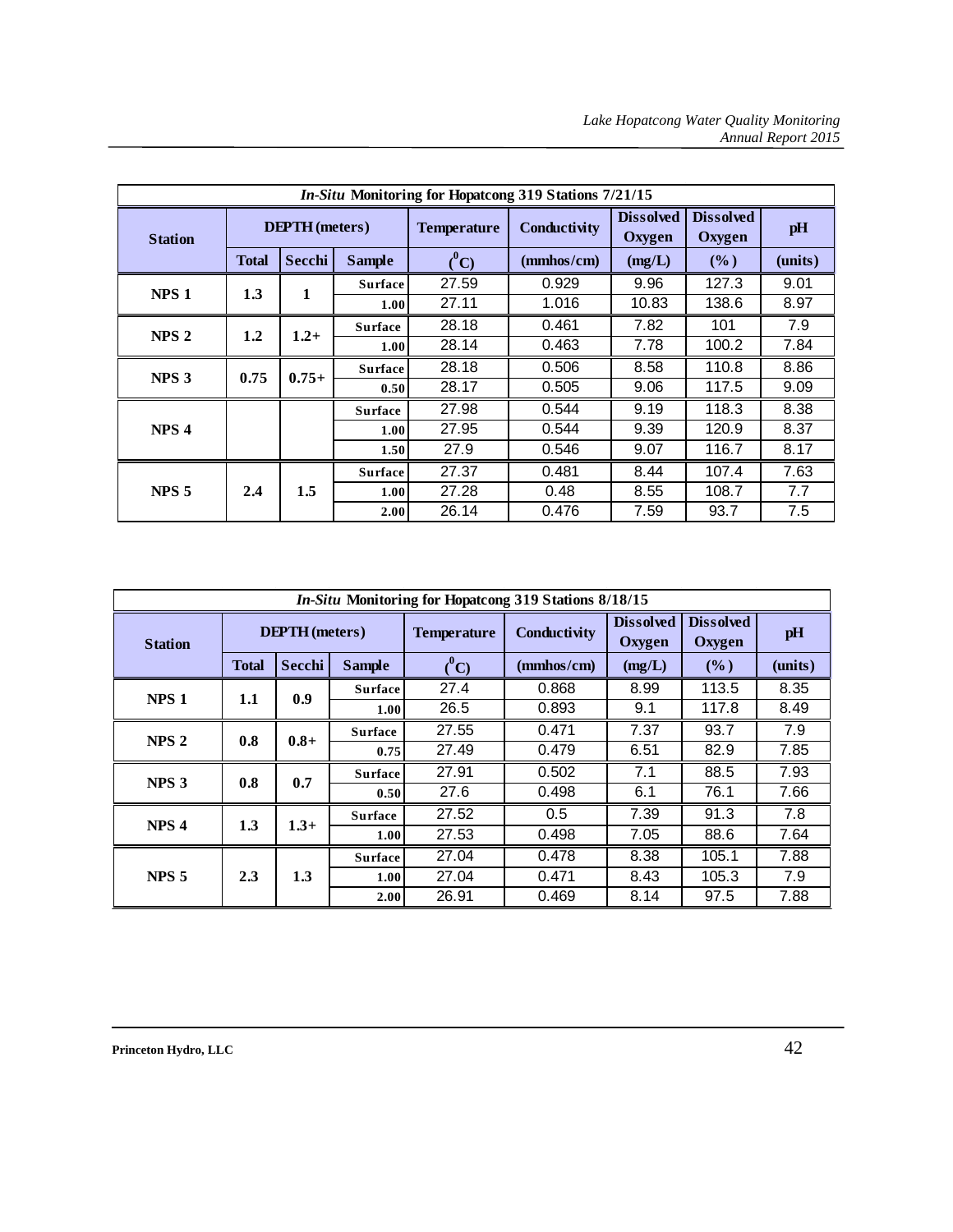|                  | In-Situ Monitoring for Hopatcong 319 Stations 7/21/15 |         |                |                       |              |                                   |                            |         |  |
|------------------|-------------------------------------------------------|---------|----------------|-----------------------|--------------|-----------------------------------|----------------------------|---------|--|
| <b>Station</b>   | <b>DEPTH</b> (meters)                                 |         |                | <b>Temperature</b>    | Conductivity | <b>Dissolved</b><br><b>Oxygen</b> | <b>Dissolved</b><br>Oxygen | pH      |  |
|                  | <b>Total</b>                                          | Secchi  | <b>Sample</b>  | $\binom{0}{\text{C}}$ | (mmhos/cm)   | (mg/L)                            | (%)                        | (units) |  |
| NPS <sub>1</sub> | 1.3                                                   | 1       | <b>Surface</b> | 27.59                 | 0.929        | 9.96                              | 127.3                      | 9.01    |  |
|                  |                                                       |         | 1.00           | 27.11                 | 1.016        | 10.83                             | 138.6                      | 8.97    |  |
| NPS <sub>2</sub> | 1.2                                                   | $1.2+$  | <b>Surface</b> | 28.18                 | 0.461        | 7.82                              | 101                        | 7.9     |  |
|                  |                                                       |         | 1.00           | 28.14                 | 0.463        | 7.78                              | 100.2                      | 7.84    |  |
| NPS <sub>3</sub> | 0.75                                                  |         | <b>Surface</b> | 28.18                 | 0.506        | 8.58                              | 110.8                      | 8.86    |  |
|                  |                                                       | $0.75+$ | 0.50           | 28.17                 | 0.505        | 9.06                              | 117.5                      | 9.09    |  |
|                  |                                                       |         | <b>Surface</b> | 27.98                 | 0.544        | 9.19                              | 118.3                      | 8.38    |  |
| NPS <sub>4</sub> |                                                       |         | 1.00           | 27.95                 | 0.544        | 9.39                              | 120.9                      | 8.37    |  |
|                  |                                                       |         | 1.50           | 27.9                  | 0.546        | 9.07                              | 116.7                      | 8.17    |  |
|                  |                                                       |         | <b>Surface</b> | 27.37                 | 0.481        | 8.44                              | 107.4                      | 7.63    |  |
| NPS <sub>5</sub> | 2.4                                                   | 1.5     | 1.00           | 27.28                 | 0.48         | 8.55                              | 108.7                      | 7.7     |  |
|                  |                                                       |         | 2.00           | 26.14                 | 0.476        | 7.59                              | 93.7                       | 7.5     |  |

| <i>In-Situ</i> Monitoring for Hopatcong 319 Stations 8/18/15 |                       |         |                   |                       |              |                            |                            |         |     |
|--------------------------------------------------------------|-----------------------|---------|-------------------|-----------------------|--------------|----------------------------|----------------------------|---------|-----|
| <b>Station</b>                                               | <b>DEPTH</b> (meters) |         |                   | <b>Temperature</b>    | Conductivity | <b>Dissolved</b><br>Oxygen | <b>Dissolved</b><br>Oxygen | pH      |     |
|                                                              | <b>Total</b>          | Secchi  | <b>Sample</b>     | $\binom{0}{\text{C}}$ | (mmbos/cm)   | (mg/L)                     | $($ %)                     | (units) |     |
| NPS <sub>1</sub>                                             |                       | 0.9     | <b>Surface</b>    | 27.4                  | 0.868        | 8.99                       | 113.5                      | 8.35    |     |
|                                                              | 1.1                   |         | 1.00              | 26.5                  | 0.893        | 9.1                        | 117.8                      | 8.49    |     |
|                                                              |                       | 0.8     |                   | <b>Surface</b>        | 27.55        | 0.471                      | 7.37                       | 93.7    | 7.9 |
| NPS <sub>2</sub>                                             |                       | $0.8 +$ | 0.75              | 27.49                 | 0.479        | 6.51                       | 82.9                       | 7.85    |     |
| NPS <sub>3</sub>                                             | 0.8                   | 0.7     | <b>Surface</b>    | 27.91                 | 0.502        | 7.1                        | 88.5                       | 7.93    |     |
|                                                              |                       |         | 0.50              | 27.6                  | 0.498        | 6.1                        | 76.1                       | 7.66    |     |
|                                                              |                       |         | <b>Surface</b>    | 27.52                 | 0.5          | 7.39                       | 91.3                       | 7.8     |     |
| NPS <sub>4</sub>                                             | 1.3                   | $1.3+$  | 1.00              | 27.53                 | 0.498        | 7.05                       | 88.6                       | 7.64    |     |
|                                                              |                       |         | <b>Surface</b>    | 27.04                 | 0.478        | 8.38                       | 105.1                      | 7.88    |     |
| NPS <sub>5</sub>                                             | 2.3                   | 1.3     | 1.00 <sub>l</sub> | 27.04                 | 0.471        | 8.43                       | 105.3                      | 7.9     |     |
|                                                              |                       |         | 2.00              | 26.91                 | 0.469        | 8.14                       | 97.5                       | 7.88    |     |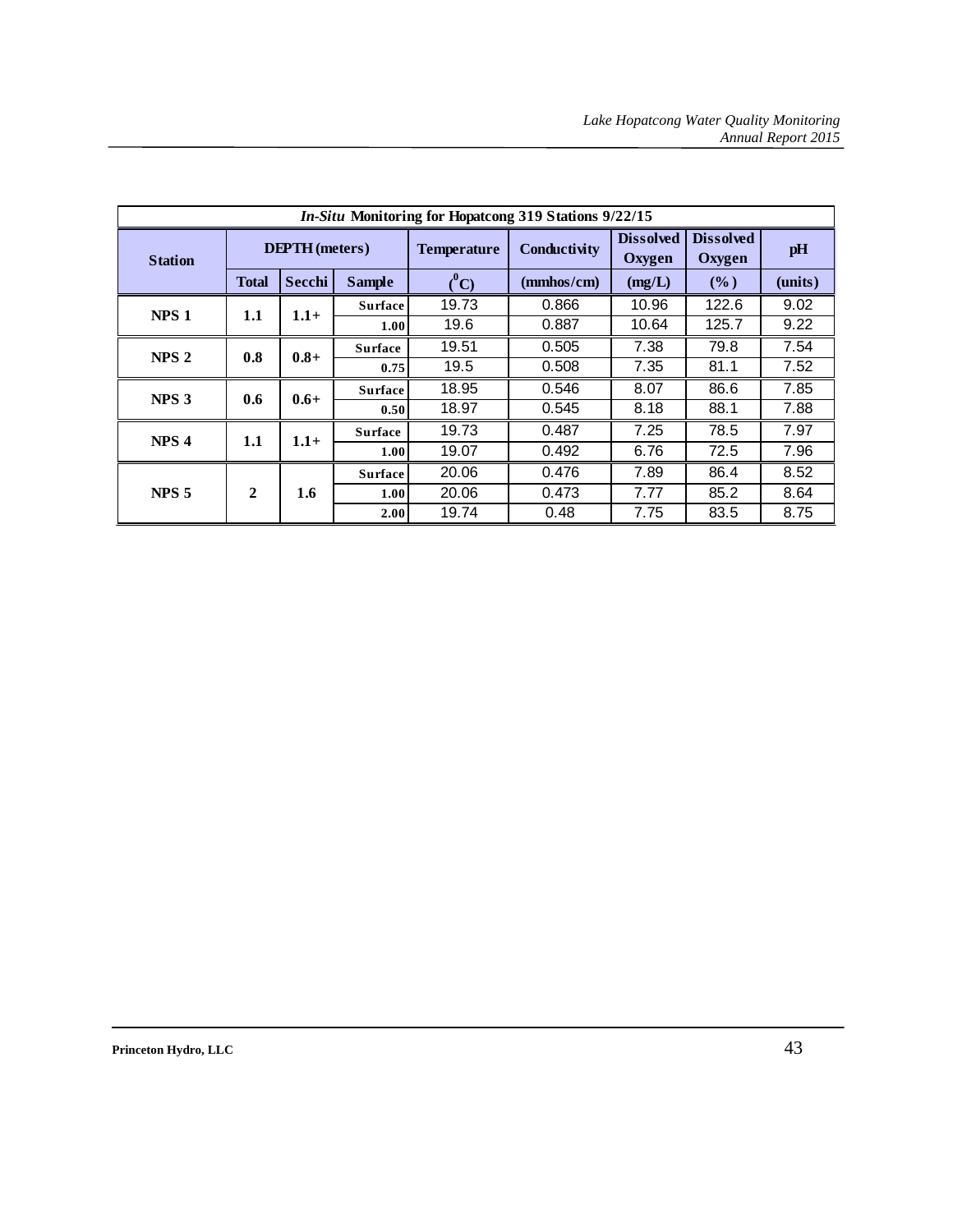|                  | In-Situ Monitoring for Hopatcong 319 Stations 9/22/15 |         |                |                         |              |                            |                            |         |  |
|------------------|-------------------------------------------------------|---------|----------------|-------------------------|--------------|----------------------------|----------------------------|---------|--|
| <b>Station</b>   | <b>DEPTH</b> (meters)                                 |         |                | <b>Temperature</b>      | Conductivity | <b>Dissolved</b><br>Oxygen | <b>Dissolved</b><br>Oxygen | pH      |  |
|                  | <b>Total</b>                                          | Secchi  | <b>Sample</b>  | $\binom{0}{\mathbf{C}}$ | (mmhos/cm)   | (mg/L)                     | $(\%)$                     | (units) |  |
|                  |                                                       |         | <b>Surface</b> | 19.73                   | 0.866        | 10.96                      | 122.6                      | 9.02    |  |
| NPS <sub>1</sub> | 1.1                                                   | $1.1 +$ | 1.00           | 19.6                    | 0.887        | 10.64                      | 125.7                      | 9.22    |  |
| NPS <sub>2</sub> | 0.8                                                   | $0.8 +$ | <b>Surface</b> | 19.51                   | 0.505        | 7.38                       | 79.8                       | 7.54    |  |
|                  |                                                       |         | 0.75           | 19.5                    | 0.508        | 7.35                       | 81.1                       | 7.52    |  |
| NPS <sub>3</sub> |                                                       |         | <b>Surface</b> | 18.95                   | 0.546        | 8.07                       | 86.6                       | 7.85    |  |
|                  | 0.6                                                   | $0.6 +$ | 0.50           | 18.97                   | 0.545        | 8.18                       | 88.1                       | 7.88    |  |
|                  |                                                       |         | <b>Surface</b> | 19.73                   | 0.487        | 7.25                       | 78.5                       | 7.97    |  |
| NPS <sub>4</sub> | 1.1                                                   | $1.1 +$ | 1.00           | 19.07                   | 0.492        | 6.76                       | 72.5                       | 7.96    |  |
|                  |                                                       |         | <b>Surface</b> | 20.06                   | 0.476        | 7.89                       | 86.4                       | 8.52    |  |
| NPS <sub>5</sub> | 2                                                     | 1.6     | 1.00           | 20.06                   | 0.473        | 7.77                       | 85.2                       | 8.64    |  |
|                  |                                                       |         | 2.00           | 19.74                   | 0.48         | 7.75                       | 83.5                       | 8.75    |  |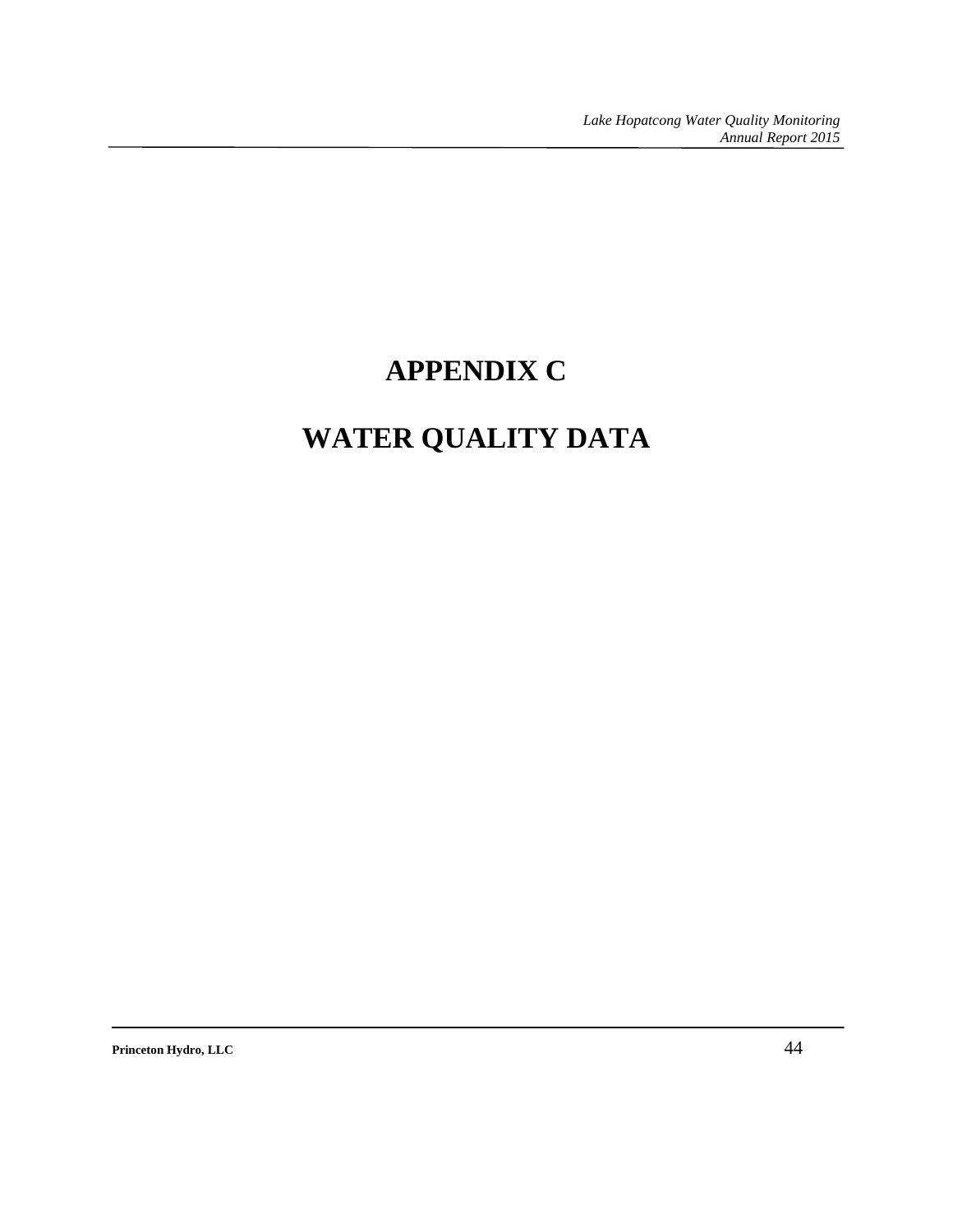# **APPENDIX C**

# **WATER QUALITY DATA**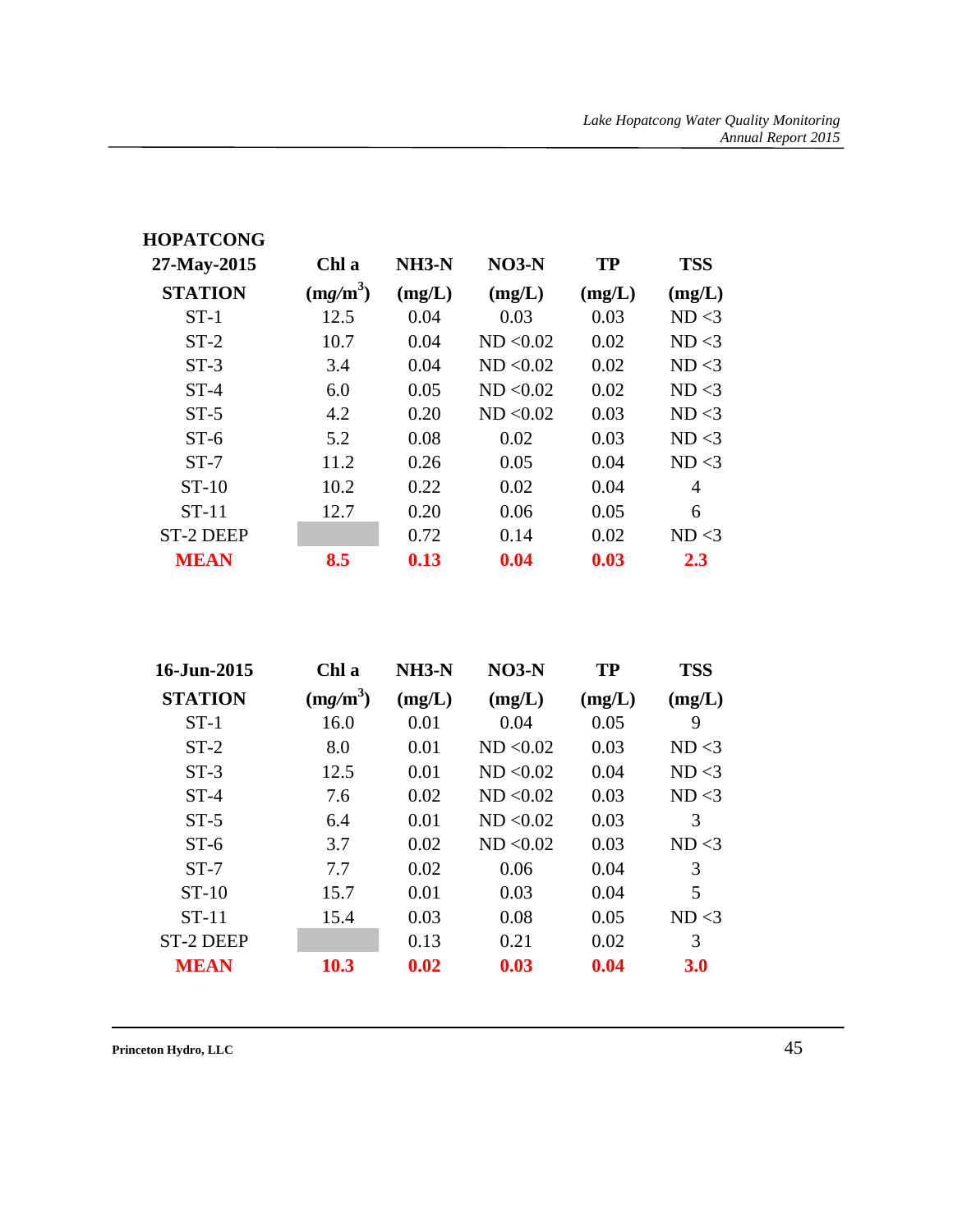| <b>HOPATCONG</b> |            |              |           |           |            |
|------------------|------------|--------------|-----------|-----------|------------|
| 27-May-2015      | Chl a      | <b>NH3-N</b> | $NO3-N$   | <b>TP</b> | <b>TSS</b> |
| <b>STATION</b>   | $(mg/m^3)$ | (mg/L)       | (mg/L)    | (mg/L)    | (mg/L)     |
| $ST-1$           | 12.5       | 0.04         | 0.03      | 0.03      | ND < 3     |
| $ST-2$           | 10.7       | 0.04         | ND < 0.02 | 0.02      | ND < 3     |
| $ST-3$           | 3.4        | 0.04         | ND < 0.02 | 0.02      | ND < 3     |
| $ST-4$           | 6.0        | 0.05         | ND < 0.02 | 0.02      | ND < 3     |
| $ST-5$           | 4.2        | 0.20         | ND < 0.02 | 0.03      | ND < 3     |
| $ST-6$           | 5.2        | 0.08         | 0.02      | 0.03      | ND < 3     |
| $ST-7$           | 11.2       | 0.26         | 0.05      | 0.04      | ND < 3     |
| $ST-10$          | 10.2       | 0.22         | 0.02      | 0.04      | 4          |
| $ST-11$          | 12.7       | 0.20         | 0.06      | 0.05      | 6          |
| <b>ST-2 DEEP</b> |            | 0.72         | 0.14      | 0.02      | ND < 3     |
| <b>MEAN</b>      | 8.5        | 0.13         | 0.04      | 0.03      | 2.3        |

| 16-Jun-2015      | Chl a      | NH3-N  | $NO3-N$   | <b>TP</b> | <b>TSS</b> |
|------------------|------------|--------|-----------|-----------|------------|
| <b>STATION</b>   | $(mg/m^3)$ | (mg/L) | (mg/L)    | (mg/L)    | (mg/L)     |
| $ST-1$           | 16.0       | 0.01   | 0.04      | 0.05      | 9          |
| $ST-2$           | 8.0        | 0.01   | ND < 0.02 | 0.03      | ND < 3     |
| $ST-3$           | 12.5       | 0.01   | ND < 0.02 | 0.04      | ND < 3     |
| $ST-4$           | 7.6        | 0.02   | ND < 0.02 | 0.03      | ND < 3     |
| $ST-5$           | 6.4        | 0.01   | ND < 0.02 | 0.03      | 3          |
| $ST-6$           | 3.7        | 0.02   | ND < 0.02 | 0.03      | ND < 3     |
| $ST-7$           | 7.7        | 0.02   | 0.06      | 0.04      | 3          |
| $ST-10$          | 15.7       | 0.01   | 0.03      | 0.04      | 5          |
| $ST-11$          | 15.4       | 0.03   | 0.08      | 0.05      | ND < 3     |
| <b>ST-2 DEEP</b> |            | 0.13   | 0.21      | 0.02      | 3          |
| <b>MEAN</b>      | 10.3       | 0.02   | 0.03      | 0.04      | <b>3.0</b> |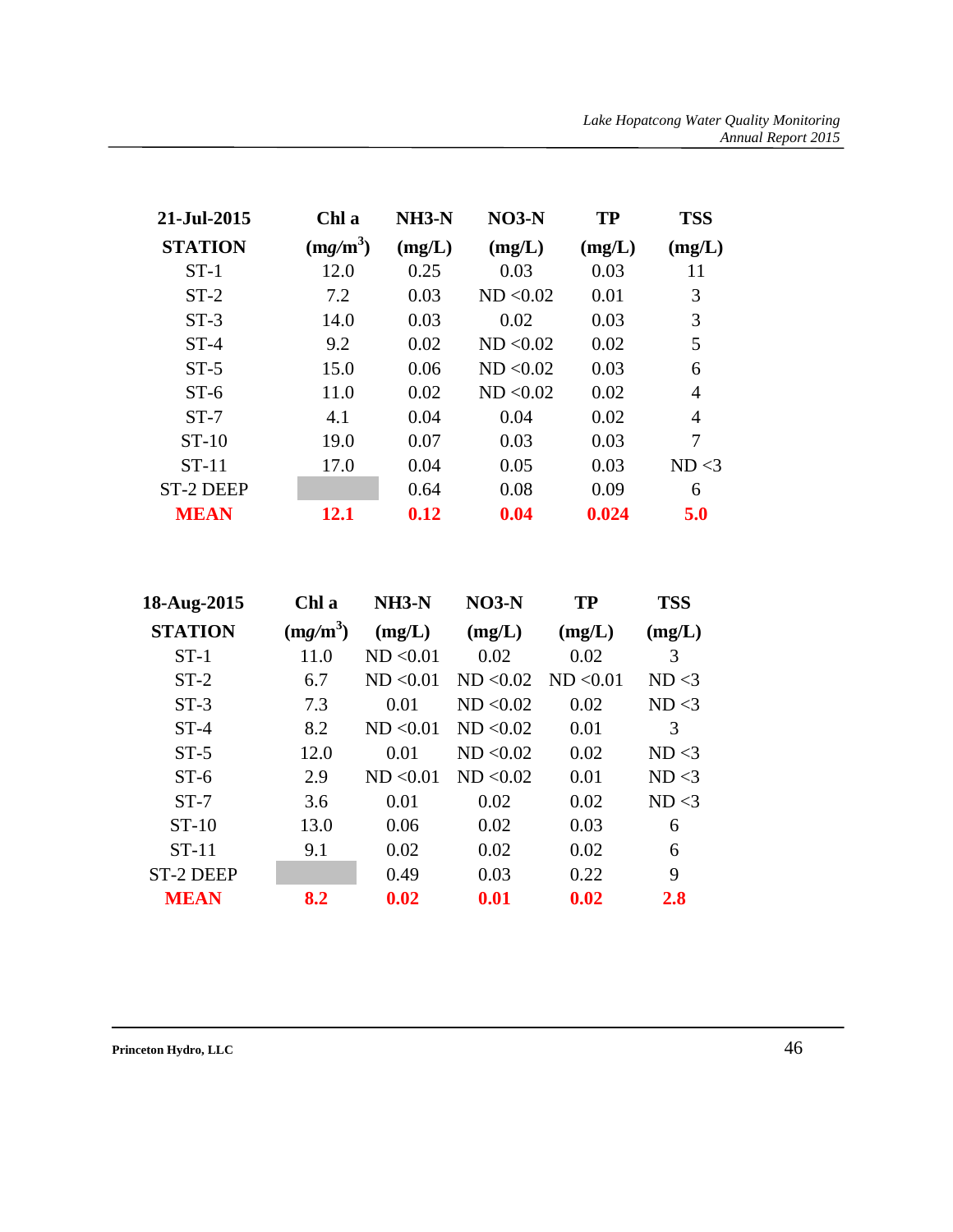| 21-Jul-2015      | Chl a      | $NH3-N$ | $NO3-N$   | TP     | <b>TSS</b> |
|------------------|------------|---------|-----------|--------|------------|
| <b>STATION</b>   | $(mg/m^3)$ | (mg/L)  | (mg/L)    | (mg/L) | (mg/L)     |
| $ST-1$           | 12.0       | 0.25    | 0.03      | 0.03   | 11         |
| $ST-2$           | 7.2        | 0.03    | ND < 0.02 | 0.01   | 3          |
| $ST-3$           | 14.0       | 0.03    | 0.02      | 0.03   | 3          |
| $ST-4$           | 9.2        | 0.02    | ND < 0.02 | 0.02   | 5          |
| $ST-5$           | 15.0       | 0.06    | ND < 0.02 | 0.03   | 6          |
| $ST-6$           | 11.0       | 0.02    | ND < 0.02 | 0.02   | 4          |
| $ST-7$           | 4.1        | 0.04    | 0.04      | 0.02   | 4          |
| $ST-10$          | 19.0       | 0.07    | 0.03      | 0.03   | 7          |
| $ST-11$          | 17.0       | 0.04    | 0.05      | 0.03   | ND < 3     |
| <b>ST-2 DEEP</b> |            | 0.64    | 0.08      | 0.09   | 6          |
| <b>MEAN</b>      | 12.1       | 0.12    | 0.04      | 0.024  | 5.0        |

| 18-Aug-2015    | Chl a      | <b>NH3-N</b> | $NO3-N$   | <b>TP</b> | <b>TSS</b> |
|----------------|------------|--------------|-----------|-----------|------------|
| <b>STATION</b> | $(mg/m^3)$ | (mg/L)       | (mg/L)    | (mg/L)    | (mg/L)     |
| $ST-1$         | 11.0       | ND < 0.01    | 0.02      | 0.02      | 3          |
| $ST-2$         | 6.7        | ND < 0.01    | ND < 0.02 | ND < 0.01 | ND < 3     |
| $ST-3$         | 7.3        | 0.01         | ND < 0.02 | 0.02      | ND < 3     |
| $ST-4$         | 8.2        | ND < 0.01    | ND < 0.02 | 0.01      | 3          |
| $ST-5$         | 12.0       | 0.01         | ND < 0.02 | 0.02      | ND < 3     |
| $ST-6$         | 2.9        | ND < 0.01    | ND < 0.02 | 0.01      | ND < 3     |
| $ST-7$         | 3.6        | 0.01         | 0.02      | 0.02      | ND < 3     |
| $ST-10$        | 13.0       | 0.06         | 0.02      | 0.03      | 6          |
| $ST-11$        | 9.1        | 0.02         | 0.02      | 0.02      | 6          |
| ST-2 DEEP      |            | 0.49         | 0.03      | 0.22      | 9          |
| <b>MEAN</b>    | 8.2        | 0.02         | 0.01      | 0.02      | <b>2.8</b> |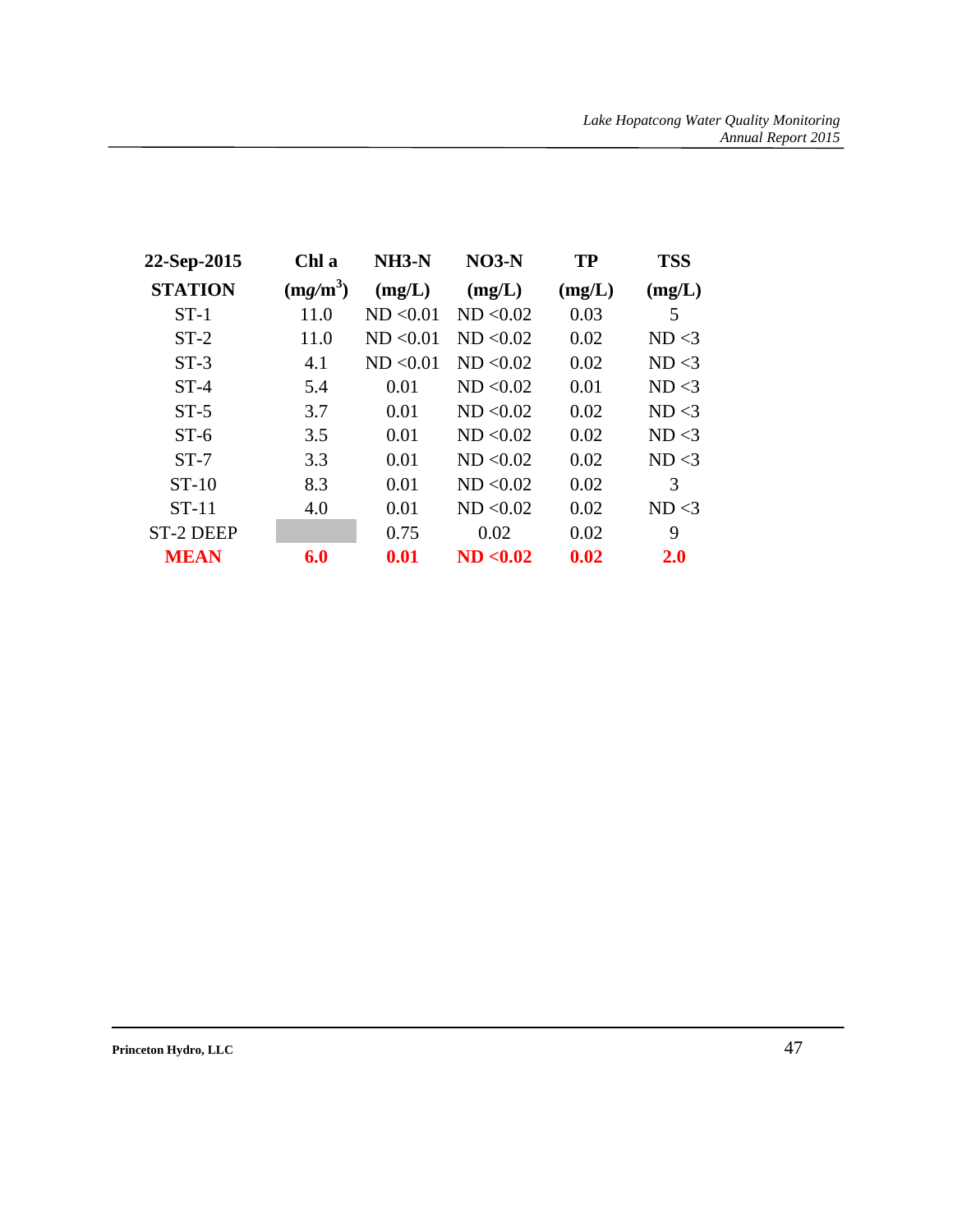| 22-Sep-2015    | Chl a      | NH3-N     | $NO3-N$   | TP     | <b>TSS</b> |
|----------------|------------|-----------|-----------|--------|------------|
| <b>STATION</b> | $(mg/m^3)$ | (mg/L)    | (mg/L)    | (mg/L) | (mg/L)     |
| $ST-1$         | 11.0       | ND < 0.01 | ND < 0.02 | 0.03   | 5          |
| $ST-2$         | 11.0       | ND < 0.01 | ND < 0.02 | 0.02   | ND < 3     |
| $ST-3$         | 4.1        | ND < 0.01 | ND < 0.02 | 0.02   | ND < 3     |
| $ST-4$         | 5.4        | 0.01      | ND < 0.02 | 0.01   | ND < 3     |
| $ST-5$         | 3.7        | 0.01      | ND < 0.02 | 0.02   | ND < 3     |
| $ST-6$         | 3.5        | 0.01      | ND < 0.02 | 0.02   | ND < 3     |
| $ST-7$         | 3.3        | 0.01      | ND < 0.02 | 0.02   | ND < 3     |
| $ST-10$        | 8.3        | 0.01      | ND < 0.02 | 0.02   | 3          |
| $ST-11$        | 4.0        | 0.01      | ND < 0.02 | 0.02   | ND < 3     |
| ST-2 DEEP      |            | 0.75      | 0.02      | 0.02   | 9          |
| <b>MEAN</b>    | 6.0        | 0.01      | ND < 0.02 | 0.02   | 2.0        |